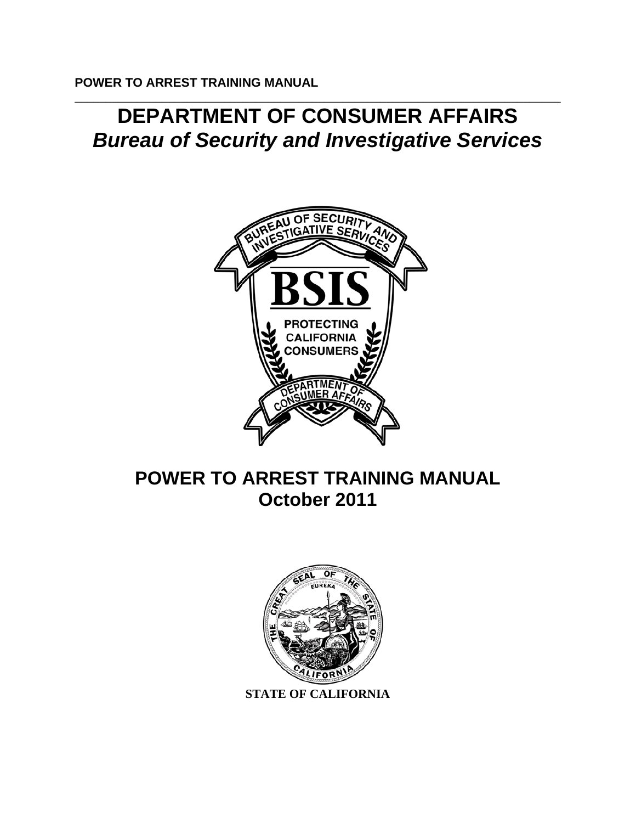# \_\_\_\_\_\_\_\_\_\_\_\_\_\_\_\_\_\_\_\_\_\_\_\_\_\_\_\_\_\_\_\_\_\_\_\_\_\_\_\_\_\_\_\_\_\_\_\_\_\_\_\_\_\_\_\_\_\_\_\_\_\_\_\_\_\_\_\_\_\_\_\_\_\_\_\_\_\_ **DEPARTMENT OF CONSUMER AFFAIRS** *Bureau of Security and Investigative Services*



# **POWER TO ARREST TRAINING MANUAL October 2011**



**STATE OF CALIFORNIA**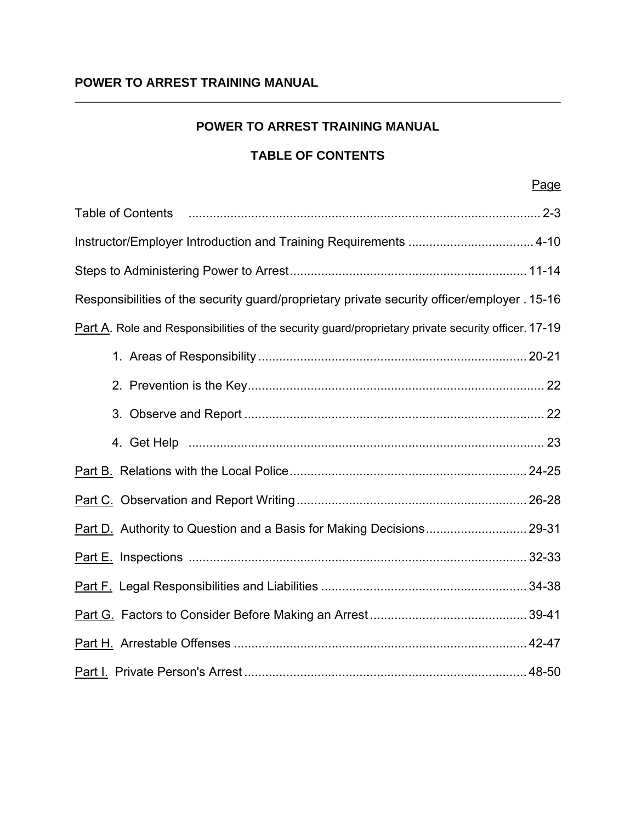\_\_\_\_\_\_\_\_\_\_\_\_\_\_\_\_\_\_\_\_\_\_\_\_\_\_\_\_\_\_\_\_\_\_\_\_\_\_\_\_\_\_\_\_\_\_\_\_\_\_\_\_\_\_\_\_\_\_\_\_\_\_\_\_\_\_\_\_\_\_\_\_\_\_\_\_\_\_

# **TABLE OF CONTENTS**

| Responsibilities of the security guard/proprietary private security officer/employer . 15-16        |
|-----------------------------------------------------------------------------------------------------|
| Part A. Role and Responsibilities of the security guard/proprietary private security officer. 17-19 |
|                                                                                                     |
|                                                                                                     |
|                                                                                                     |
|                                                                                                     |
|                                                                                                     |
|                                                                                                     |
|                                                                                                     |
|                                                                                                     |
|                                                                                                     |
|                                                                                                     |
|                                                                                                     |
|                                                                                                     |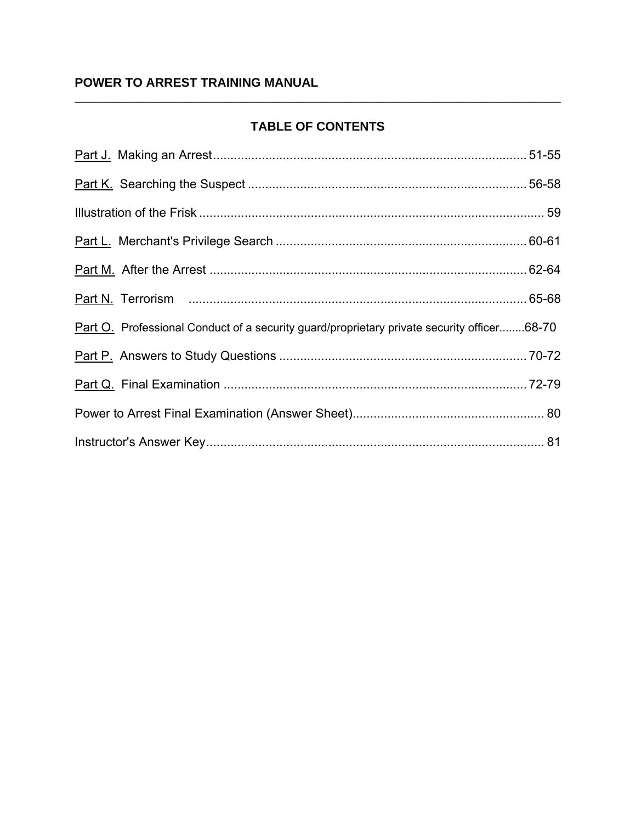# **TABLE OF CONTENTS**

| Part O. Professional Conduct of a security guard/proprietary private security officer68-70 |  |
|--------------------------------------------------------------------------------------------|--|
|                                                                                            |  |
|                                                                                            |  |
|                                                                                            |  |
|                                                                                            |  |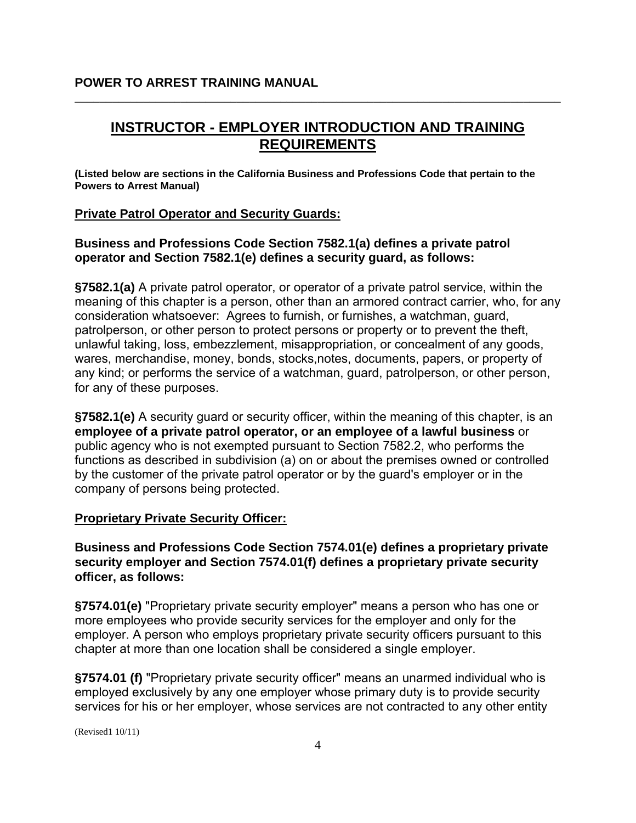# **INSTRUCTOR - EMPLOYER INTRODUCTION AND TRAINING REQUIREMENTS**

\_\_\_\_\_\_\_\_\_\_\_\_\_\_\_\_\_\_\_\_\_\_\_\_\_\_\_\_\_\_\_\_\_\_\_\_\_\_\_\_\_\_\_\_\_\_\_\_\_\_\_\_\_\_\_\_\_\_\_\_\_\_\_\_\_\_\_\_\_\_\_\_\_\_\_\_\_\_

**(Listed below are sections in the California Business and Professions Code that pertain to the Powers to Arrest Manual)** 

#### **Private Patrol Operator and Security Guards:**

**Business and Professions Code Section 7582.1(a) defines a private patrol operator and Section 7582.1(e) defines a security guard, as follows:** 

**§7582.1(a)** A private patrol operator, or operator of a private patrol service, within the meaning of this chapter is a person, other than an armored contract carrier, who, for any consideration whatsoever: Agrees to furnish, or furnishes, a watchman, guard, patrolperson, or other person to protect persons or property or to prevent the theft, unlawful taking, loss, embezzlement, misappropriation, or concealment of any goods, wares, merchandise, money, bonds, stocks,notes, documents, papers, or property of any kind; or performs the service of a watchman, guard, patrolperson, or other person, for any of these purposes.

**§7582.1(e)** A security guard or security officer, within the meaning of this chapter, is an **employee of a private patrol operator, or an employee of a lawful business** or public agency who is not exempted pursuant to Section 7582.2, who performs the functions as described in subdivision (a) on or about the premises owned or controlled by the customer of the private patrol operator or by the guard's employer or in the company of persons being protected.

#### **Proprietary Private Security Officer:**

**Business and Professions Code Section 7574.01(e) defines a proprietary private security employer and Section 7574.01(f) defines a proprietary private security officer, as follows:** 

**§7574.01(e)** "Proprietary private security employer" means a person who has one or more employees who provide security services for the employer and only for the employer. A person who employs proprietary private security officers pursuant to this chapter at more than one location shall be considered a single employer.

**§7574.01 (f)** "Proprietary private security officer" means an unarmed individual who is employed exclusively by any one employer whose primary duty is to provide security services for his or her employer, whose services are not contracted to any other entity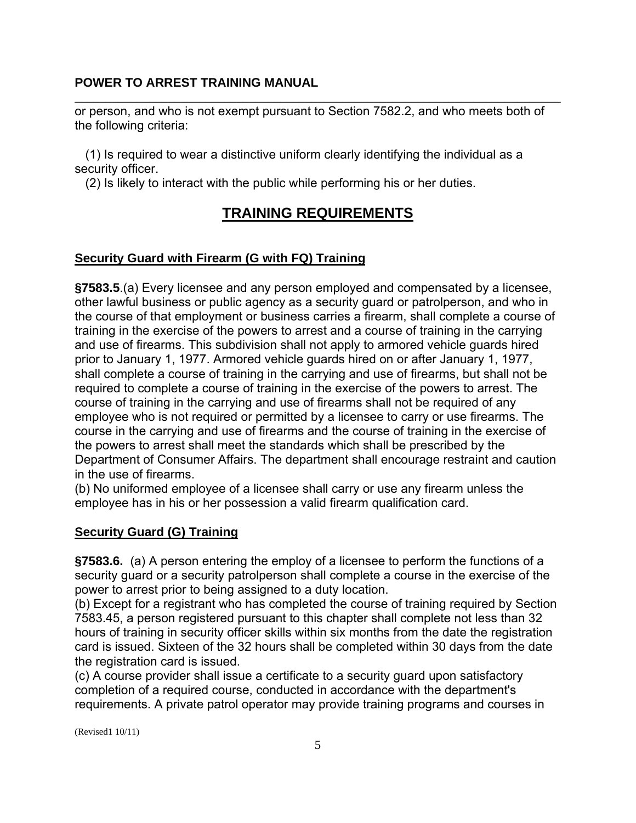\_\_\_\_\_\_\_\_\_\_\_\_\_\_\_\_\_\_\_\_\_\_\_\_\_\_\_\_\_\_\_\_\_\_\_\_\_\_\_\_\_\_\_\_\_\_\_\_\_\_\_\_\_\_\_\_\_\_\_\_\_\_\_\_\_\_\_\_\_\_\_\_\_\_\_\_\_\_ or person, and who is not exempt pursuant to Section 7582.2, and who meets both of the following criteria:

(1) Is required to wear a distinctive uniform clearly identifying the individual as a security officer.

(2) Is likely to interact with the public while performing his or her duties.

# **TRAINING REQUIREMENTS**

# **Security Guard with Firearm (G with FQ) Training**

**§7583.5**.(a) Every licensee and any person employed and compensated by a licensee, other lawful business or public agency as a security guard or patrolperson, and who in the course of that employment or business carries a firearm, shall complete a course of training in the exercise of the powers to arrest and a course of training in the carrying and use of firearms. This subdivision shall not apply to armored vehicle guards hired prior to January 1, 1977. Armored vehicle guards hired on or after January 1, 1977, shall complete a course of training in the carrying and use of firearms, but shall not be required to complete a course of training in the exercise of the powers to arrest. The course of training in the carrying and use of firearms shall not be required of any employee who is not required or permitted by a licensee to carry or use firearms. The course in the carrying and use of firearms and the course of training in the exercise of the powers to arrest shall meet the standards which shall be prescribed by the Department of Consumer Affairs. The department shall encourage restraint and caution in the use of firearms.

(b) No uniformed employee of a licensee shall carry or use any firearm unless the employee has in his or her possession a valid firearm qualification card.

# **Security Guard (G) Training**

**§7583.6.** (a) A person entering the employ of a licensee to perform the functions of a security guard or a security patrolperson shall complete a course in the exercise of the power to arrest prior to being assigned to a duty location.

(b) Except for a registrant who has completed the course of training required by Section 7583.45, a person registered pursuant to this chapter shall complete not less than 32 hours of training in security officer skills within six months from the date the registration card is issued. Sixteen of the 32 hours shall be completed within 30 days from the date the registration card is issued.

(c) A course provider shall issue a certificate to a security guard upon satisfactory completion of a required course, conducted in accordance with the department's requirements. A private patrol operator may provide training programs and courses in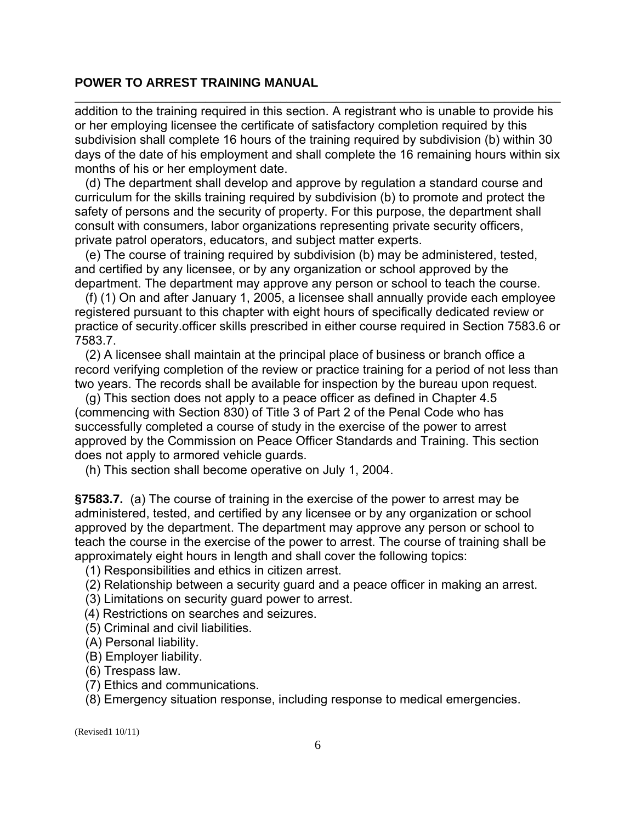addition to the training required in this section. A registrant who is unable to provide his or her employing licensee the certificate of satisfactory completion required by this subdivision shall complete 16 hours of the training required by subdivision (b) within 30 days of the date of his employment and shall complete the 16 remaining hours within six months of his or her employment date.

\_\_\_\_\_\_\_\_\_\_\_\_\_\_\_\_\_\_\_\_\_\_\_\_\_\_\_\_\_\_\_\_\_\_\_\_\_\_\_\_\_\_\_\_\_\_\_\_\_\_\_\_\_\_\_\_\_\_\_\_\_\_\_\_\_\_\_\_\_\_\_\_\_\_\_\_\_\_

(d) The department shall develop and approve by regulation a standard course and curriculum for the skills training required by subdivision (b) to promote and protect the safety of persons and the security of property. For this purpose, the department shall consult with consumers, labor organizations representing private security officers, private patrol operators, educators, and subject matter experts.

(e) The course of training required by subdivision (b) may be administered, tested, and certified by any licensee, or by any organization or school approved by the department. The department may approve any person or school to teach the course.

(f) (1) On and after January 1, 2005, a licensee shall annually provide each employee registered pursuant to this chapter with eight hours of specifically dedicated review or practice of security.officer skills prescribed in either course required in Section 7583.6 or 7583.7.

(2) A licensee shall maintain at the principal place of business or branch office a record verifying completion of the review or practice training for a period of not less than two years. The records shall be available for inspection by the bureau upon request.

(g) This section does not apply to a peace officer as defined in Chapter 4.5 (commencing with Section 830) of Title 3 of Part 2 of the Penal Code who has successfully completed a course of study in the exercise of the power to arrest approved by the Commission on Peace Officer Standards and Training. This section does not apply to armored vehicle guards.

(h) This section shall become operative on July 1, 2004.

**§7583.7.** (a) The course of training in the exercise of the power to arrest may be administered, tested, and certified by any licensee or by any organization or school approved by the department. The department may approve any person or school to teach the course in the exercise of the power to arrest. The course of training shall be approximately eight hours in length and shall cover the following topics:

(1) Responsibilities and ethics in citizen arrest.

(2) Relationship between a security guard and a peace officer in making an arrest.

- (3) Limitations on security guard power to arrest.
- (4) Restrictions on searches and seizures.
- (5) Criminal and civil liabilities.
- (A) Personal liability.
- (B) Employer liability.
- (6) Trespass law.
- (7) Ethics and communications.

(8) Emergency situation response, including response to medical emergencies.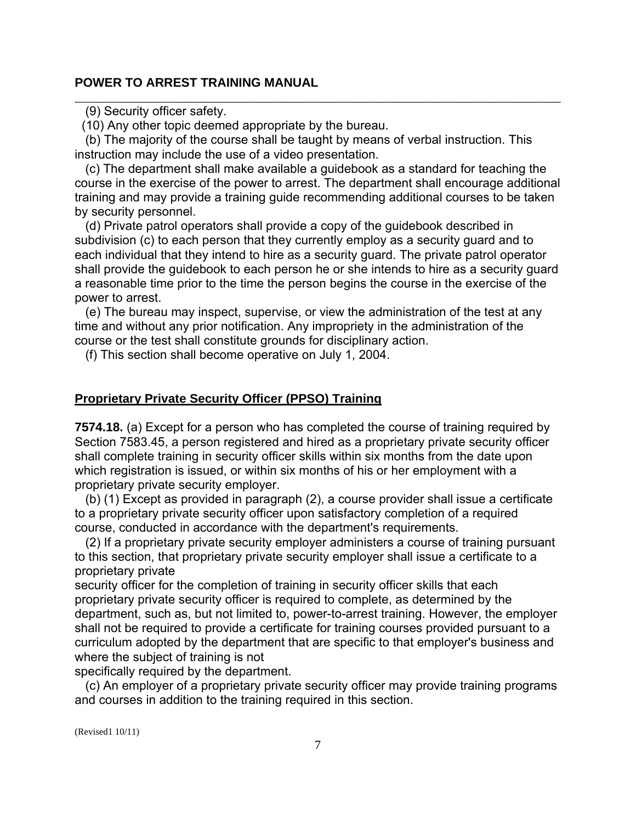(9) Security officer safety.

(10) Any other topic deemed appropriate by the bureau.

(b) The majority of the course shall be taught by means of verbal instruction. This instruction may include the use of a video presentation.

(c) The department shall make available a guidebook as a standard for teaching the course in the exercise of the power to arrest. The department shall encourage additional training and may provide a training guide recommending additional courses to be taken by security personnel.

\_\_\_\_\_\_\_\_\_\_\_\_\_\_\_\_\_\_\_\_\_\_\_\_\_\_\_\_\_\_\_\_\_\_\_\_\_\_\_\_\_\_\_\_\_\_\_\_\_\_\_\_\_\_\_\_\_\_\_\_\_\_\_\_\_\_\_\_\_\_\_\_\_\_\_\_\_\_

(d) Private patrol operators shall provide a copy of the guidebook described in subdivision (c) to each person that they currently employ as a security guard and to each individual that they intend to hire as a security guard. The private patrol operator shall provide the guidebook to each person he or she intends to hire as a security guard a reasonable time prior to the time the person begins the course in the exercise of the power to arrest.

(e) The bureau may inspect, supervise, or view the administration of the test at any time and without any prior notification. Any impropriety in the administration of the course or the test shall constitute grounds for disciplinary action.

(f) This section shall become operative on July 1, 2004.

#### **Proprietary Private Security Officer (PPSO) Training**

**7574.18.** (a) Except for a person who has completed the course of training required by Section 7583.45, a person registered and hired as a proprietary private security officer shall complete training in security officer skills within six months from the date upon which registration is issued, or within six months of his or her employment with a proprietary private security employer.

(b) (1) Except as provided in paragraph (2), a course provider shall issue a certificate to a proprietary private security officer upon satisfactory completion of a required course, conducted in accordance with the department's requirements.

(2) If a proprietary private security employer administers a course of training pursuant to this section, that proprietary private security employer shall issue a certificate to a proprietary private

security officer for the completion of training in security officer skills that each proprietary private security officer is required to complete, as determined by the department, such as, but not limited to, power-to-arrest training. However, the employer shall not be required to provide a certificate for training courses provided pursuant to a curriculum adopted by the department that are specific to that employer's business and where the subject of training is not

specifically required by the department.

(c) An employer of a proprietary private security officer may provide training programs and courses in addition to the training required in this section.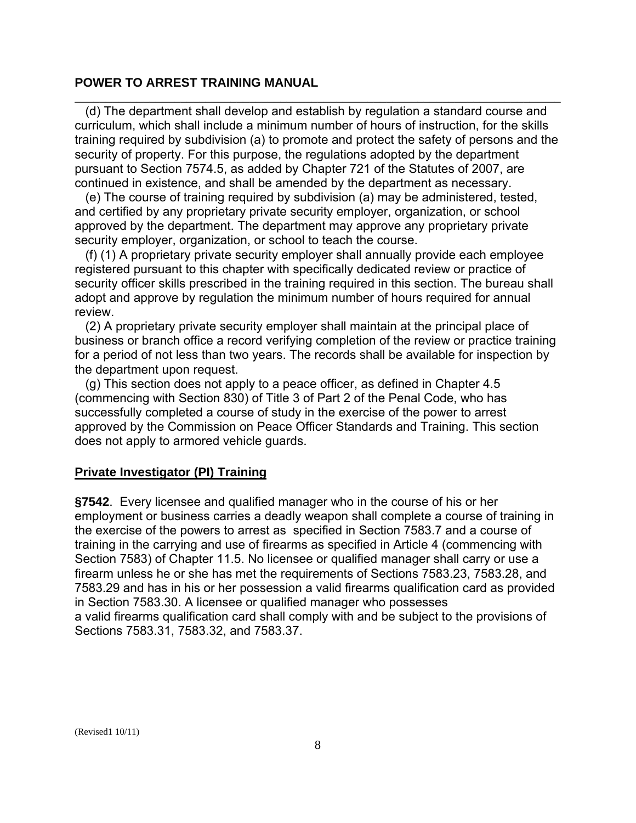(d) The department shall develop and establish by regulation a standard course and curriculum, which shall include a minimum number of hours of instruction, for the skills training required by subdivision (a) to promote and protect the safety of persons and the security of property. For this purpose, the regulations adopted by the department pursuant to Section 7574.5, as added by Chapter 721 of the Statutes of 2007, are continued in existence, and shall be amended by the department as necessary.

\_\_\_\_\_\_\_\_\_\_\_\_\_\_\_\_\_\_\_\_\_\_\_\_\_\_\_\_\_\_\_\_\_\_\_\_\_\_\_\_\_\_\_\_\_\_\_\_\_\_\_\_\_\_\_\_\_\_\_\_\_\_\_\_\_\_\_\_\_\_\_\_\_\_\_\_\_\_

(e) The course of training required by subdivision (a) may be administered, tested, and certified by any proprietary private security employer, organization, or school approved by the department. The department may approve any proprietary private security employer, organization, or school to teach the course.

(f) (1) A proprietary private security employer shall annually provide each employee registered pursuant to this chapter with specifically dedicated review or practice of security officer skills prescribed in the training required in this section. The bureau shall adopt and approve by regulation the minimum number of hours required for annual review.

(2) A proprietary private security employer shall maintain at the principal place of business or branch office a record verifying completion of the review or practice training for a period of not less than two years. The records shall be available for inspection by the department upon request.

(g) This section does not apply to a peace officer, as defined in Chapter 4.5 (commencing with Section 830) of Title 3 of Part 2 of the Penal Code, who has successfully completed a course of study in the exercise of the power to arrest approved by the Commission on Peace Officer Standards and Training. This section does not apply to armored vehicle guards.

#### **Private Investigator (PI) Training**

**§7542**. Every licensee and qualified manager who in the course of his or her employment or business carries a deadly weapon shall complete a course of training in the exercise of the powers to arrest as specified in Section 7583.7 and a course of training in the carrying and use of firearms as specified in Article 4 (commencing with Section 7583) of Chapter 11.5. No licensee or qualified manager shall carry or use a firearm unless he or she has met the requirements of Sections 7583.23, 7583.28, and 7583.29 and has in his or her possession a valid firearms qualification card as provided in Section 7583.30. A licensee or qualified manager who possesses a valid firearms qualification card shall comply with and be subject to the provisions of Sections 7583.31, 7583.32, and 7583.37.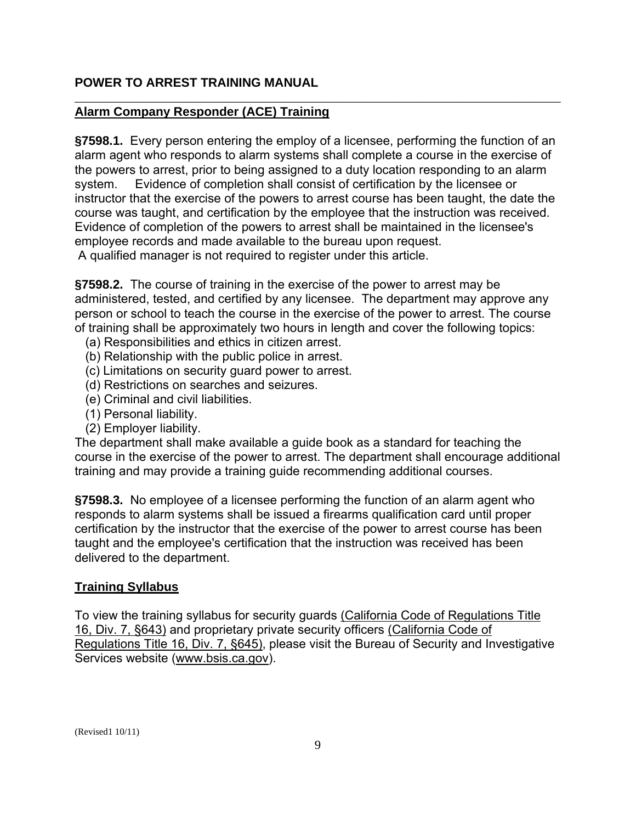### **Alarm Company Responder (ACE) Training**

 system. Evidence of completion shall consist of certification by the licensee or **§7598.1.** Every person entering the employ of a licensee, performing the function of an alarm agent who responds to alarm systems shall complete a course in the exercise of the powers to arrest, prior to being assigned to a duty location responding to an alarm instructor that the exercise of the powers to arrest course has been taught, the date the course was taught, and certification by the employee that the instruction was received. Evidence of completion of the powers to arrest shall be maintained in the licensee's employee records and made available to the bureau upon request.

\_\_\_\_\_\_\_\_\_\_\_\_\_\_\_\_\_\_\_\_\_\_\_\_\_\_\_\_\_\_\_\_\_\_\_\_\_\_\_\_\_\_\_\_\_\_\_\_\_\_\_\_\_\_\_\_\_\_\_\_\_\_\_\_\_\_\_\_\_\_\_\_\_\_\_\_\_\_

A qualified manager is not required to register under this article.

**§7598.2.** The course of training in the exercise of the power to arrest may be administered, tested, and certified by any licensee. The department may approve any person or school to teach the course in the exercise of the power to arrest. The course of training shall be approximately two hours in length and cover the following topics:

- (a) Responsibilities and ethics in citizen arrest.
- (b) Relationship with the public police in arrest.
- (c) Limitations on security guard power to arrest.
- (d) Restrictions on searches and seizures.
- (e) Criminal and civil liabilities.
- (1) Personal liability.
- (2) Employer liability.

The department shall make available a guide book as a standard for teaching the course in the exercise of the power to arrest. The department shall encourage additional training and may provide a training guide recommending additional courses.

**§7598.3.** No employee of a licensee performing the function of an alarm agent who responds to alarm systems shall be issued a firearms qualification card until proper certification by the instructor that the exercise of the power to arrest course has been taught and the employee's certification that the instruction was received has been delivered to the department.

#### **Training Syllabus**

To view the training syllabus for security guards (California Code of Regulations Title 16, Div. 7, §643) and proprietary private security officers (California Code of Regulations Title 16, Div. 7, §645), please visit the Bureau of Security and Investigative Services website [\(www.bsis.ca.gov\)](http://www.bsis.ca.gov/).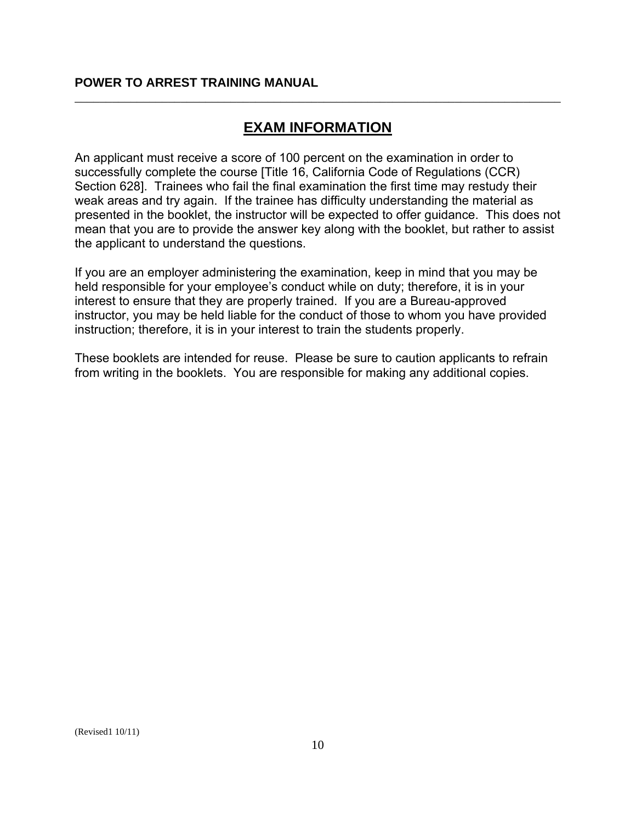# **EXAM INFORMATION**

\_\_\_\_\_\_\_\_\_\_\_\_\_\_\_\_\_\_\_\_\_\_\_\_\_\_\_\_\_\_\_\_\_\_\_\_\_\_\_\_\_\_\_\_\_\_\_\_\_\_\_\_\_\_\_\_\_\_\_\_\_\_\_\_\_\_\_\_\_\_\_\_\_\_\_\_\_\_

An applicant must receive a score of 100 percent on the examination in order to successfully complete the course [Title 16, California Code of Regulations (CCR) Section 628]. Trainees who fail the final examination the first time may restudy their weak areas and try again. If the trainee has difficulty understanding the material as presented in the booklet, the instructor will be expected to offer guidance. This does not mean that you are to provide the answer key along with the booklet, but rather to assist the applicant to understand the questions.

If you are an employer administering the examination, keep in mind that you may be held responsible for your employee's conduct while on duty; therefore, it is in your interest to ensure that they are properly trained. If you are a Bureau-approved instructor, you may be held liable for the conduct of those to whom you have provided instruction; therefore, it is in your interest to train the students properly.

These booklets are intended for reuse. Please be sure to caution applicants to refrain from writing in the booklets. You are responsible for making any additional copies.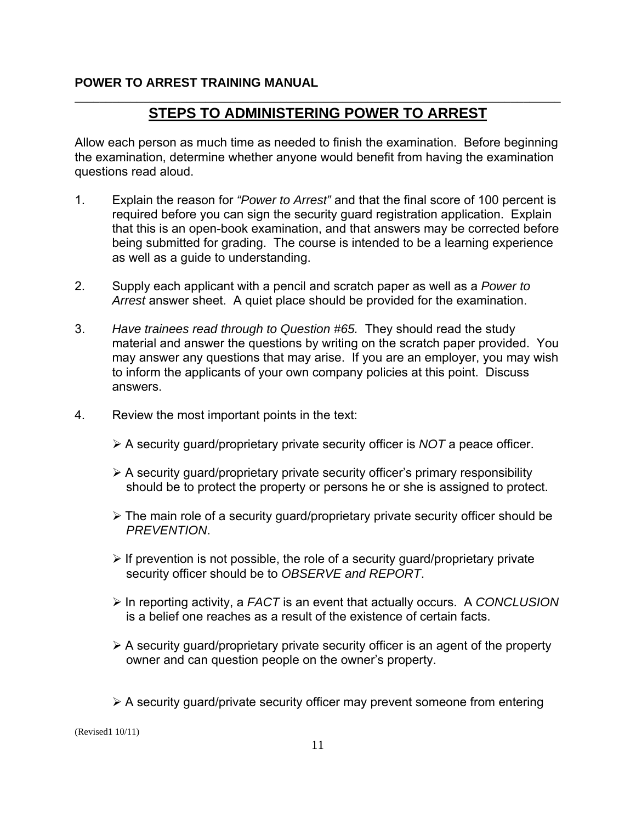# \_\_\_\_\_\_\_\_\_\_\_\_\_\_\_\_\_\_\_\_\_\_\_\_\_\_\_\_\_\_\_\_\_\_\_\_\_\_\_\_\_\_\_\_\_\_\_\_\_\_\_\_\_\_\_\_\_\_\_\_\_\_\_\_\_\_\_\_\_\_\_\_\_\_\_\_\_\_ **STEPS TO ADMINISTERING POWER TO ARREST**

Allow each person as much time as needed to finish the examination. Before beginning the examination, determine whether anyone would benefit from having the examination questions read aloud.

- 1. Explain the reason for *"Power to Arrest"* and that the final score of 100 percent is required before you can sign the security guard registration application. Explain that this is an open-book examination, and that answers may be corrected before being submitted for grading. The course is intended to be a learning experience as well as a guide to understanding.
- 2. Supply each applicant with a pencil and scratch paper as well as a *Power to Arrest* answer sheet. A quiet place should be provided for the examination.
- 3. *Have trainees read through to Question #65.* They should read the study material and answer the questions by writing on the scratch paper provided. You may answer any questions that may arise. If you are an employer, you may wish to inform the applicants of your own company policies at this point. Discuss answers.
- 4. Review the most important points in the text:
	- ¾ A security guard/proprietary private security officer is *NOT* a peace officer.
	- $\triangleright$  A security guard/proprietary private security officer's primary responsibility should be to protect the property or persons he or she is assigned to protect.
	- $\triangleright$  The main role of a security guard/proprietary private security officer should be *PREVENTION*.
	- $\triangleright$  If prevention is not possible, the role of a security guard/proprietary private security officer should be to *OBSERVE and REPORT*.
	- ¾ In reporting activity, a *FACT* is an event that actually occurs. A *CONCLUSION*  is a belief one reaches as a result of the existence of certain facts.
	- $\triangleright$  A security guard/proprietary private security officer is an agent of the property owner and can question people on the owner's property.
	- $\triangleright$  A security guard/private security officer may prevent someone from entering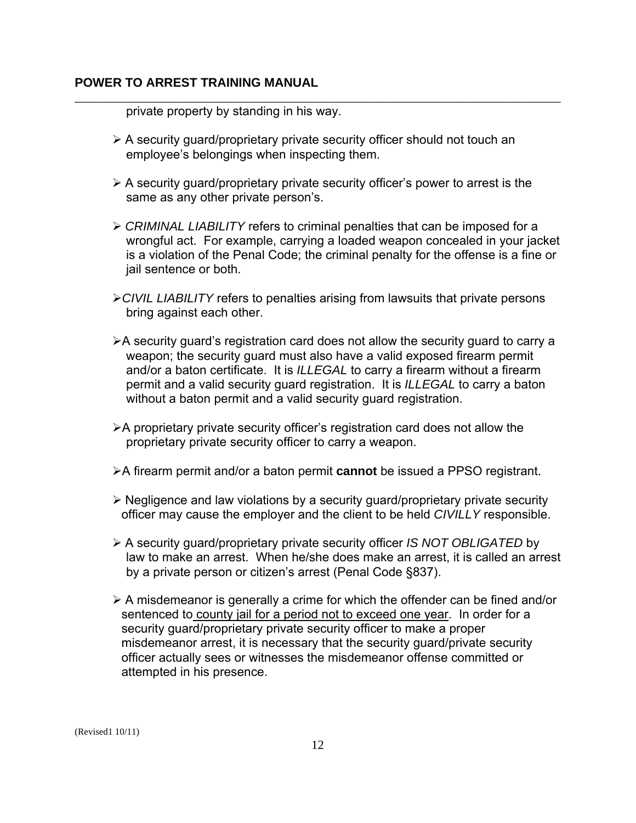private property by standing in his way.

 $\triangleright$  A security guard/proprietary private security officer should not touch an employee's belongings when inspecting them.

\_\_\_\_\_\_\_\_\_\_\_\_\_\_\_\_\_\_\_\_\_\_\_\_\_\_\_\_\_\_\_\_\_\_\_\_\_\_\_\_\_\_\_\_\_\_\_\_\_\_\_\_\_\_\_\_\_\_\_\_\_\_\_\_\_\_\_\_\_\_\_\_\_\_\_\_\_\_

- $\triangleright$  A security guard/proprietary private security officer's power to arrest is the same as any other private person's.
- ¾ *CRIMINAL LIABILITY* refers to criminal penalties that can be imposed for a wrongful act. For example, carrying a loaded weapon concealed in your jacket is a violation of the Penal Code; the criminal penalty for the offense is a fine or jail sentence or both.
- ¾*CIVIL LIABILITY* refers to penalties arising from lawsuits that private persons bring against each other.
- ¾A security guard's registration card does not allow the security guard to carry a weapon; the security guard must also have a valid exposed firearm permit and/or a baton certificate. It is *ILLEGAL* to carry a firearm without a firearm permit and a valid security guard registration. It is *ILLEGAL* to carry a baton without a baton permit and a valid security guard registration.
- $\triangleright$  A proprietary private security officer's registration card does not allow the proprietary private security officer to carry a weapon.
- ¾A firearm permit and/or a baton permit **cannot** be issued a PPSO registrant.
- ¾ Negligence and law violations by a security guard/proprietary private security officer may cause the employer and the client to be held *CIVILLY* responsible.
- ¾ A security guard/proprietary private security officer *IS NOT OBLIGATED* by law to make an arrest. When he/she does make an arrest, it is called an arrest by a private person or citizen's arrest (Penal Code §837).
- $\triangleright$  A misdemeanor is generally a crime for which the offender can be fined and/or sentenced to county jail for a period not to exceed one year. In order for a security guard/proprietary private security officer to make a proper misdemeanor arrest, it is necessary that the security guard/private security officer actually sees or witnesses the misdemeanor offense committed or attempted in his presence.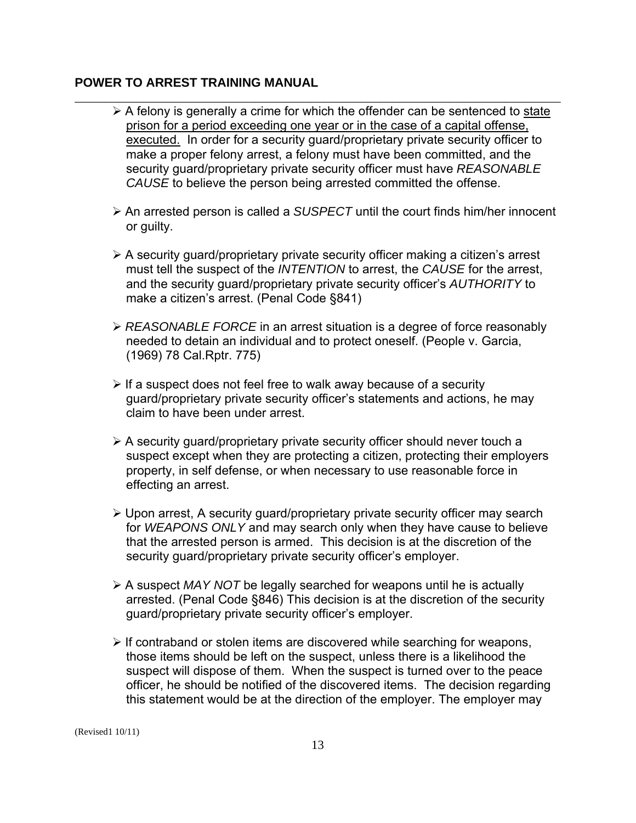$\triangleright$  A felony is generally a crime for which the offender can be sentenced to state prison for a period exceeding one year or in the case of a capital offense, executed. In order for a security guard/proprietary private security officer to make a proper felony arrest, a felony must have been committed, and the security guard/proprietary private security officer must have *REASONABLE CAUSE* to believe the person being arrested committed the offense.

\_\_\_\_\_\_\_\_\_\_\_\_\_\_\_\_\_\_\_\_\_\_\_\_\_\_\_\_\_\_\_\_\_\_\_\_\_\_\_\_\_\_\_\_\_\_\_\_\_\_\_\_\_\_\_\_\_\_\_\_\_\_\_\_\_\_\_\_\_\_\_\_\_\_\_\_\_\_

- ¾ An arrested person is called a *SUSPECT* until the court finds him/her innocent or guilty.
- $\triangleright$  A security guard/proprietary private security officer making a citizen's arrest must tell the suspect of the *INTENTION* to arrest, the *CAUSE* for the arrest, and the security guard/proprietary private security officer's *AUTHORITY* to make a citizen's arrest. (Penal Code §841)
- ¾ *REASONABLE FORCE* in an arrest situation is a degree of force reasonably needed to detain an individual and to protect oneself. (People v. Garcia, (1969) 78 Cal.Rptr. 775)
- $\triangleright$  If a suspect does not feel free to walk away because of a security guard/proprietary private security officer's statements and actions, he may claim to have been under arrest.
- $\triangleright$  A security guard/proprietary private security officer should never touch a suspect except when they are protecting a citizen, protecting their employers property, in self defense, or when necessary to use reasonable force in effecting an arrest.
- $\triangleright$  Upon arrest, A security guard/proprietary private security officer may search for *WEAPONS ONLY* and may search only when they have cause to believe that the arrested person is armed. This decision is at the discretion of the security guard/proprietary private security officer's employer.
- ¾ A suspect *MAY NOT* be legally searched for weapons until he is actually arrested. (Penal Code §846) This decision is at the discretion of the security guard/proprietary private security officer's employer.
- $\triangleright$  If contraband or stolen items are discovered while searching for weapons, those items should be left on the suspect, unless there is a likelihood the suspect will dispose of them. When the suspect is turned over to the peace officer, he should be notified of the discovered items. The decision regarding this statement would be at the direction of the employer. The employer may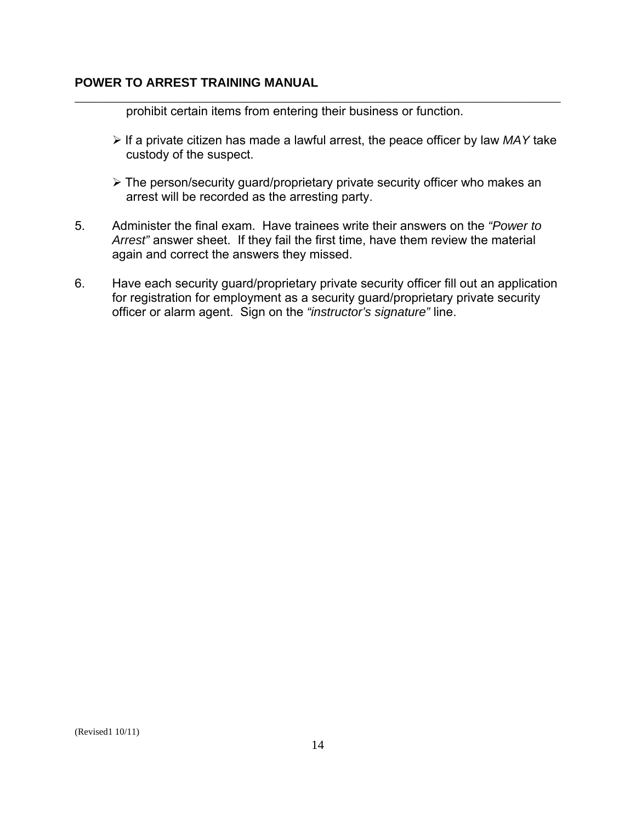prohibit certain items from entering their business or function.

¾ If a private citizen has made a lawful arrest, the peace officer by law *MAY* take custody of the suspect.

\_\_\_\_\_\_\_\_\_\_\_\_\_\_\_\_\_\_\_\_\_\_\_\_\_\_\_\_\_\_\_\_\_\_\_\_\_\_\_\_\_\_\_\_\_\_\_\_\_\_\_\_\_\_\_\_\_\_\_\_\_\_\_\_\_\_\_\_\_\_\_\_\_\_\_\_\_\_

- ¾ The person/security guard/proprietary private security officer who makes an arrest will be recorded as the arresting party.
- 5. Administer the final exam. Have trainees write their answers on the *"Power to Arrest"* answer sheet. If they fail the first time, have them review the material again and correct the answers they missed.
- 6. Have each security guard/proprietary private security officer fill out an application for registration for employment as a security guard/proprietary private security officer or alarm agent. Sign on the *"instructor's signature"* line.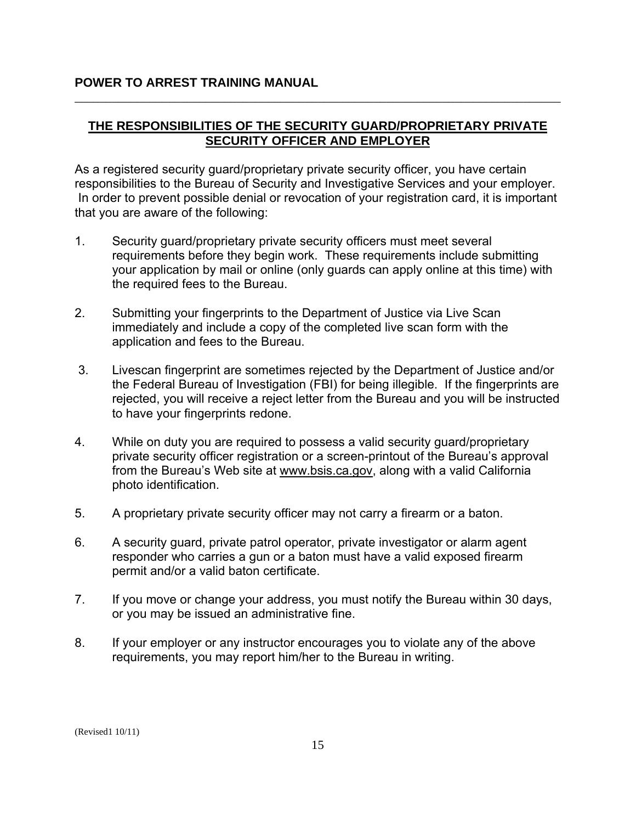# **THE RESPONSIBILITIES OF THE SECURITY GUARD/PROPRIETARY PRIVATE SECURITY OFFICER AND EMPLOYER**

\_\_\_\_\_\_\_\_\_\_\_\_\_\_\_\_\_\_\_\_\_\_\_\_\_\_\_\_\_\_\_\_\_\_\_\_\_\_\_\_\_\_\_\_\_\_\_\_\_\_\_\_\_\_\_\_\_\_\_\_\_\_\_\_\_\_\_\_\_\_\_\_\_\_\_\_\_\_

As a registered security guard/proprietary private security officer, you have certain responsibilities to the Bureau of Security and Investigative Services and your employer. In order to prevent possible denial or revocation of your registration card, it is important that you are aware of the following:

- 1. Security guard/proprietary private security officers must meet several requirements before they begin work. These requirements include submitting your application by mail or online (only guards can apply online at this time) with the required fees to the Bureau.
- 2. Submitting your fingerprints to the Department of Justice via Live Scan immediately and include a copy of the completed live scan form with the application and fees to the Bureau.
- 3. Livescan fingerprint are sometimes rejected by the Department of Justice and/or the Federal Bureau of Investigation (FBI) for being illegible. If the fingerprints are rejected, you will receive a reject letter from the Bureau and you will be instructed to have your fingerprints redone.
- 4. While on duty you are required to possess a valid security guard/proprietary private security officer registration or a screen-printout of the Bureau's approval from the Bureau's Web site at [www.bsis.ca.gov,](http://www.dca.ca.gov/bsis) along with a valid California photo identification.
- 5. A proprietary private security officer may not carry a firearm or a baton.
- 6. A security guard, private patrol operator, private investigator or alarm agent responder who carries a gun or a baton must have a valid exposed firearm permit and/or a valid baton certificate.
- 7. If you move or change your address, you must notify the Bureau within 30 days, or you may be issued an administrative fine.
- 8. If your employer or any instructor encourages you to violate any of the above requirements, you may report him/her to the Bureau in writing.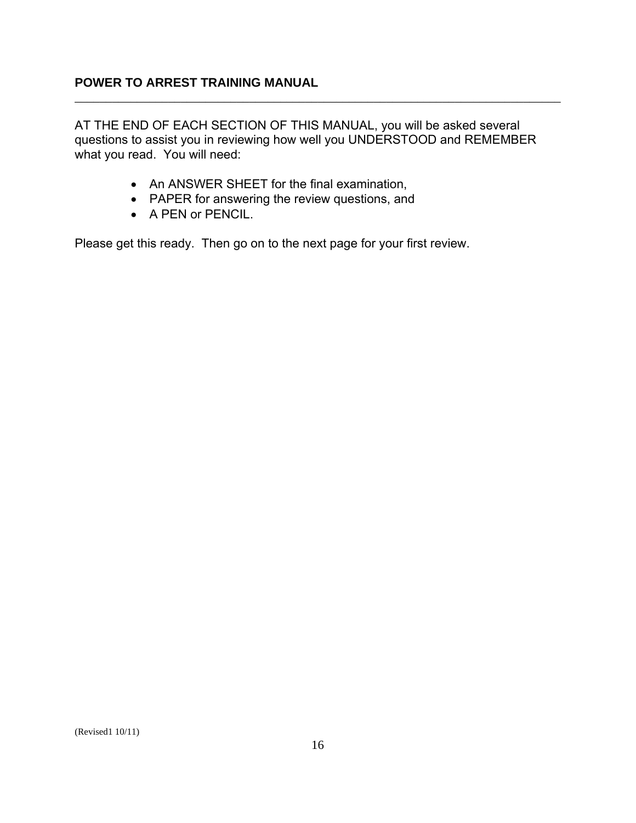AT THE END OF EACH SECTION OF THIS MANUAL, you will be asked several questions to assist you in reviewing how well you UNDERSTOOD and REMEMBER what you read. You will need:

\_\_\_\_\_\_\_\_\_\_\_\_\_\_\_\_\_\_\_\_\_\_\_\_\_\_\_\_\_\_\_\_\_\_\_\_\_\_\_\_\_\_\_\_\_\_\_\_\_\_\_\_\_\_\_\_\_\_\_\_\_\_\_\_\_\_\_\_\_\_\_\_\_\_\_\_\_\_

- An ANSWER SHEET for the final examination,
- PAPER for answering the review questions, and
- A PEN or PENCIL.

Please get this ready. Then go on to the next page for your first review.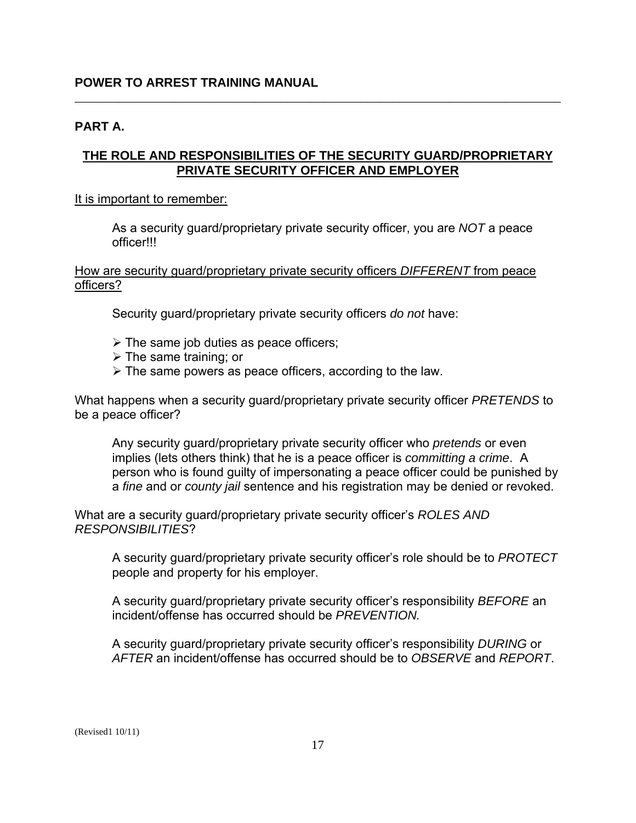#### **PART A.**

# **THE ROLE AND RESPONSIBILITIES OF THE SECURITY GUARD/PROPRIETARY PRIVATE SECURITY OFFICER AND EMPLOYER**

\_\_\_\_\_\_\_\_\_\_\_\_\_\_\_\_\_\_\_\_\_\_\_\_\_\_\_\_\_\_\_\_\_\_\_\_\_\_\_\_\_\_\_\_\_\_\_\_\_\_\_\_\_\_\_\_\_\_\_\_\_\_\_\_\_\_\_\_\_\_\_\_\_\_\_\_\_\_

#### It is important to remember:

As a security guard/proprietary private security officer, you are *NOT* a peace officer!!!

### How are security guard/proprietary private security officers *DIFFERENT* from peace officers?

Security guard/proprietary private security officers *do not* have:

- $\triangleright$  The same job duties as peace officers;
- $\triangleright$  The same training; or
- $\triangleright$  The same powers as peace officers, according to the law.

What happens when a security guard/proprietary private security officer *PRETENDS* to be a peace officer?

Any security guard/proprietary private security officer who *pretends* or even implies (lets others think) that he is a peace officer is *committing a crime*. A person who is found guilty of impersonating a peace officer could be punished by a *fine* and or *county jail* sentence and his registration may be denied or revoked.

What are a security guard/proprietary private security officer's *ROLES AND RESPONSIBILITIES*?

A security guard/proprietary private security officer's role should be to *PROTECT*  people and property for his employer.

A security guard/proprietary private security officer's responsibility *BEFORE* an incident/offense has occurred should be *PREVENTION.* 

A security guard/proprietary private security officer's responsibility *DURING* or *AFTER* an incident/offense has occurred should be to *OBSERVE* and *REPORT*.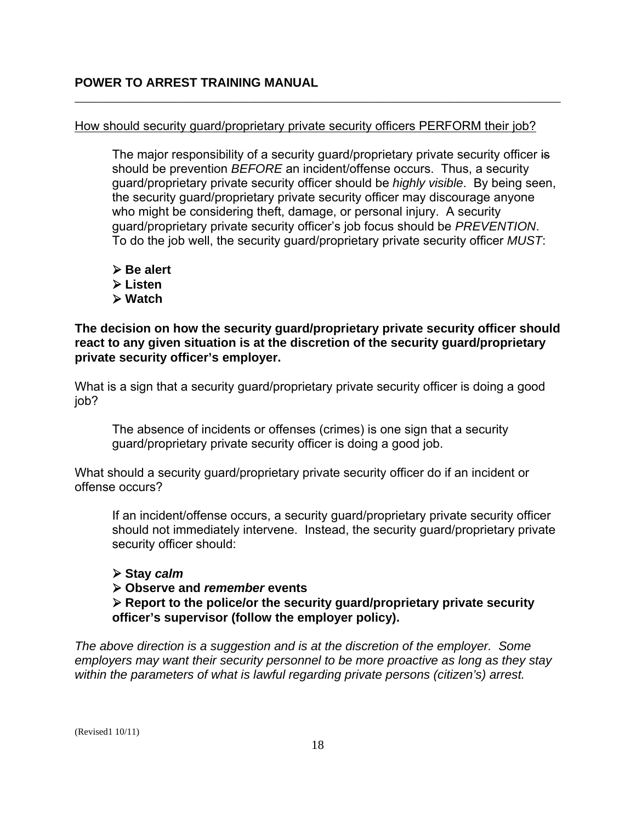#### How should security guard/proprietary private security officers PERFORM their job?

\_\_\_\_\_\_\_\_\_\_\_\_\_\_\_\_\_\_\_\_\_\_\_\_\_\_\_\_\_\_\_\_\_\_\_\_\_\_\_\_\_\_\_\_\_\_\_\_\_\_\_\_\_\_\_\_\_\_\_\_\_\_\_\_\_\_\_\_\_\_\_\_\_\_\_\_\_\_

The major responsibility of a security guard/proprietary private security officer is should be prevention *BEFORE* an incident/offense occurs. Thus, a security guard/proprietary private security officer should be *highly visible*. By being seen, the security guard/proprietary private security officer may discourage anyone who might be considering theft, damage, or personal injury. A security guard/proprietary private security officer's job focus should be *PREVENTION*. To do the job well, the security guard/proprietary private security officer *MUST*:

- ¾ **Be alert**
- ¾ **Listen**
- ¾ **Watch**

**The decision on how the security guard/proprietary private security officer should react to any given situation is at the discretion of the security guard/proprietary private security officer's employer.** 

What is a sign that a security guard/proprietary private security officer is doing a good job?

The absence of incidents or offenses (crimes) is one sign that a security guard/proprietary private security officer is doing a good job.

What should a security guard/proprietary private security officer do if an incident or offense occurs?

If an incident/offense occurs, a security guard/proprietary private security officer should not immediately intervene. Instead, the security guard/proprietary private security officer should:

#### ¾ **Stay** *calm*

#### ¾ **Observe and** *remember* **events**

¾ **Report to the police/or the security guard/proprietary private security officer's supervisor (follow the employer policy).** 

*The above direction is a suggestion and is at the discretion of the employer. Some employers may want their security personnel to be more proactive as long as they stay within the parameters of what is lawful regarding private persons (citizen's) arrest.*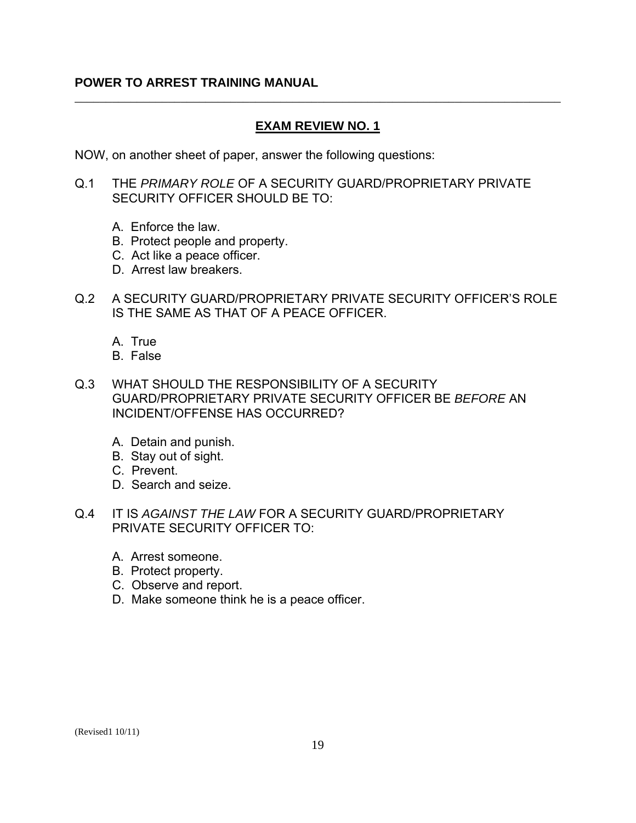# **EXAM REVIEW NO. 1**

\_\_\_\_\_\_\_\_\_\_\_\_\_\_\_\_\_\_\_\_\_\_\_\_\_\_\_\_\_\_\_\_\_\_\_\_\_\_\_\_\_\_\_\_\_\_\_\_\_\_\_\_\_\_\_\_\_\_\_\_\_\_\_\_\_\_\_\_\_\_\_\_\_\_\_\_\_\_

NOW, on another sheet of paper, answer the following questions:

- Q.1 THE *PRIMARY ROLE* OF A SECURITY GUARD/PROPRIETARY PRIVATE SECURITY OFFICER SHOULD BE TO:
	- A. Enforce the law.
	- B. Protect people and property.
	- C. Act like a peace officer.
	- D. Arrest law breakers.
- Q.2 A SECURITY GUARD/PROPRIETARY PRIVATE SECURITY OFFICER'S ROLE IS THE SAME AS THAT OF A PEACE OFFICER.
	- A. True
	- B. False
- Q.3 WHAT SHOULD THE RESPONSIBILITY OF A SECURITY GUARD/PROPRIETARY PRIVATE SECURITY OFFICER BE *BEFORE* AN INCIDENT/OFFENSE HAS OCCURRED?
	- A. Detain and punish.
	- B. Stay out of sight.
	- C. Prevent.
	- D. Search and seize.
- Q.4 IT IS *AGAINST THE LAW* FOR A SECURITY GUARD/PROPRIETARY PRIVATE SECURITY OFFICER TO:
	- A. Arrest someone.
	- B. Protect property.
	- C. Observe and report.
	- D. Make someone think he is a peace officer.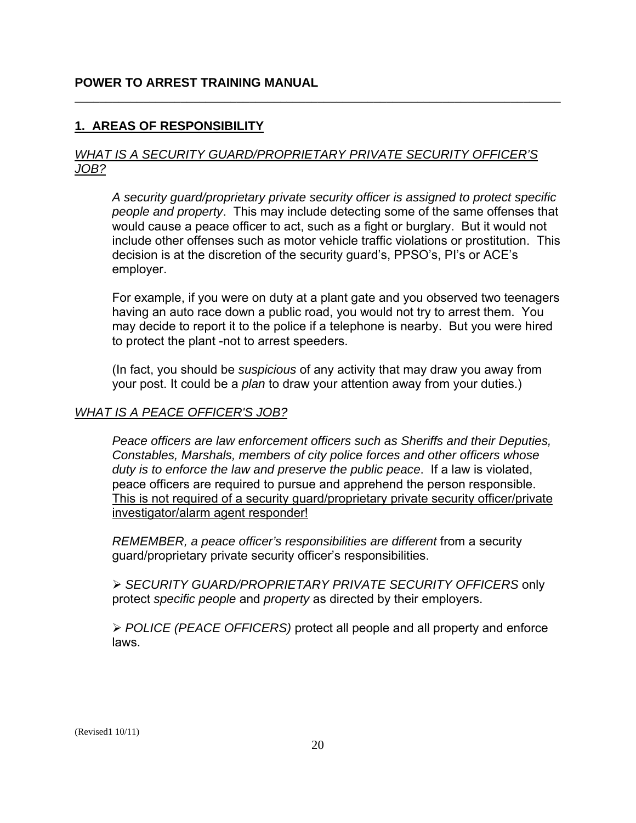# **1. AREAS OF RESPONSIBILITY**

#### *WHAT IS A SECURITY GUARD/PROPRIETARY PRIVATE SECURITY OFFICER'S JOB?*

\_\_\_\_\_\_\_\_\_\_\_\_\_\_\_\_\_\_\_\_\_\_\_\_\_\_\_\_\_\_\_\_\_\_\_\_\_\_\_\_\_\_\_\_\_\_\_\_\_\_\_\_\_\_\_\_\_\_\_\_\_\_\_\_\_\_\_\_\_\_\_\_\_\_\_\_\_\_

*A security guard/proprietary private security officer is assigned to protect specific people and property*. This may include detecting some of the same offenses that would cause a peace officer to act, such as a fight or burglary. But it would not include other offenses such as motor vehicle traffic violations or prostitution. This decision is at the discretion of the security guard's, PPSO's, PI's or ACE's employer.

For example, if you were on duty at a plant gate and you observed two teenagers having an auto race down a public road, you would not try to arrest them. You may decide to report it to the police if a telephone is nearby. But you were hired to protect the plant -not to arrest speeders.

(In fact, you should be *suspicious* of any activity that may draw you away from your post. It could be a *plan* to draw your attention away from your duties.)

#### *WHAT IS A PEACE OFFICER'S JOB?*

*Peace officers are law enforcement officers such as Sheriffs and their Deputies, Constables, Marshals, members of city police forces and other officers whose duty is to enforce the law and preserve the public peace*. If a law is violated, peace officers are required to pursue and apprehend the person responsible. This is not required of a security guard/proprietary private security officer/private investigator/alarm agent responder!

*REMEMBER, a peace officer's responsibilities are different* from a security guard/proprietary private security officer's responsibilities.

¾ *SECURITY GUARD/PROPRIETARY PRIVATE SECURITY OFFICERS* only protect *specific people* and *property* as directed by their employers.

¾ *POLICE (PEACE OFFICERS)* protect all people and all property and enforce laws.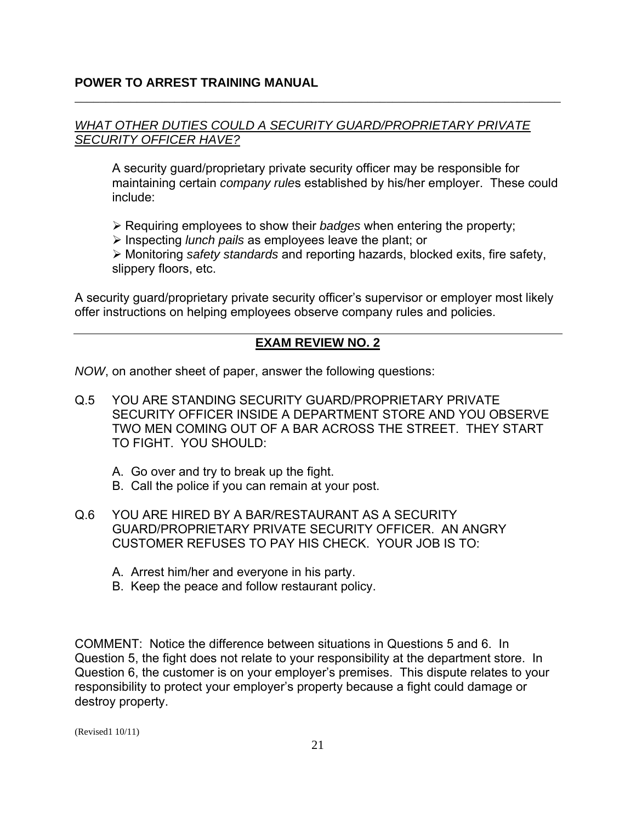#### *WHAT OTHER DUTIES COULD A SECURITY GUARD/PROPRIETARY PRIVATE SECURITY OFFICER HAVE?*

\_\_\_\_\_\_\_\_\_\_\_\_\_\_\_\_\_\_\_\_\_\_\_\_\_\_\_\_\_\_\_\_\_\_\_\_\_\_\_\_\_\_\_\_\_\_\_\_\_\_\_\_\_\_\_\_\_\_\_\_\_\_\_\_\_\_\_\_\_\_\_\_\_\_\_\_\_\_

A security guard/proprietary private security officer may be responsible for maintaining certain *company rule*s established by his/her employer. These could include:

¾ Requiring employees to show their *badges* when entering the property;

¾ Inspecting *lunch pails* as employees leave the plant; or

¾ Monitoring *safety standards* and reporting hazards, blocked exits, fire safety, slippery floors, etc.

A security guard/proprietary private security officer's supervisor or employer most likely offer instructions on helping employees observe company rules and policies.

# **EXAM REVIEW NO. 2**

*NOW*, on another sheet of paper, answer the following questions:

- Q.5 YOU ARE STANDING SECURITY GUARD/PROPRIETARY PRIVATE SECURITY OFFICER INSIDE A DEPARTMENT STORE AND YOU OBSERVE TWO MEN COMING OUT OF A BAR ACROSS THE STREET. THEY START TO FIGHT. YOU SHOULD:
	- A. Go over and try to break up the fight.
	- B. Call the police if you can remain at your post.
- Q.6 YOU ARE HIRED BY A BAR/RESTAURANT AS A SECURITY GUARD/PROPRIETARY PRIVATE SECURITY OFFICER. AN ANGRY CUSTOMER REFUSES TO PAY HIS CHECK. YOUR JOB IS TO:
	- A. Arrest him/her and everyone in his party.
	- B. Keep the peace and follow restaurant policy.

COMMENT: Notice the difference between situations in Questions 5 and 6. In Question 5, the fight does not relate to your responsibility at the department store. In Question 6, the customer is on your employer's premises. This dispute relates to your responsibility to protect your employer's property because a fight could damage or destroy property.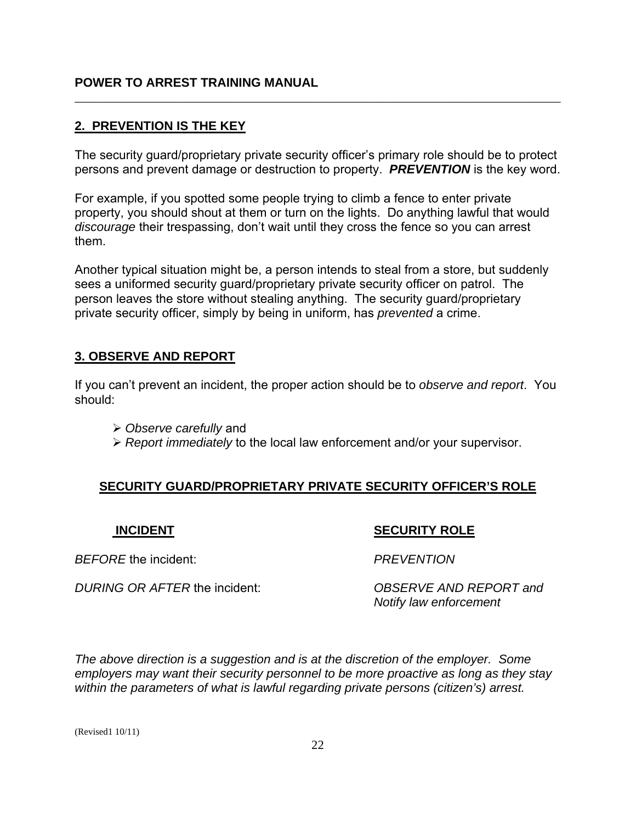# **2. PREVENTION IS THE KEY**

The security guard/proprietary private security officer's primary role should be to protect persons and prevent damage or destruction to property. *PREVENTION* is the key word.

<span id="page-21-0"></span>\_\_\_\_\_\_\_\_\_\_\_\_\_\_\_\_\_\_\_\_\_\_\_\_\_\_\_\_\_\_\_\_\_\_\_\_\_\_\_\_\_\_\_\_\_\_\_\_\_\_\_\_\_\_\_\_\_\_\_\_\_\_\_\_\_\_\_\_\_\_\_\_\_\_\_\_\_\_

For example, if you spotted some people trying to climb a fence to enter private property, you should shout at them or turn on the lights. Do anything lawful that would *discourage* their trespassing, don't wait until they cross the fence so you can arrest them.

Another typical situation might be, a person intends to steal from a store, but suddenly sees a uniformed security guard/proprietary private security officer on patrol. The person leaves the store without stealing anything. The security guard/proprietary private security officer, simply by being in uniform, has *prevented* a crime.

# **3. OBSERVE AND REPORT**

If you can't prevent an incident, the proper action should be to *observe and report*. You should:

- ¾ *Observe carefully* and
- ¾ *Report immediately* to the local law enforcement and/or your supervisor.

# **SECURITY GUARD/PROPRIETARY PRIVATE SECURITY OFFICER'S ROLE**

#### **INCIDENT**

# **SECURITY ROLE**

*BEFORE* the incident: *PREVENTION* 

*DURING OR AFTER* the incident: *OBSERVE AND REPORT and* 

*Notify law enforcement*  $\sim$  *Notify law enforcement* 

*The above direction is a suggestion and is at the discretion of the employer. Some employers may want their security personnel to be more proactive as long as they stay within the parameters of what is lawful regarding private persons (citizen's) arrest.*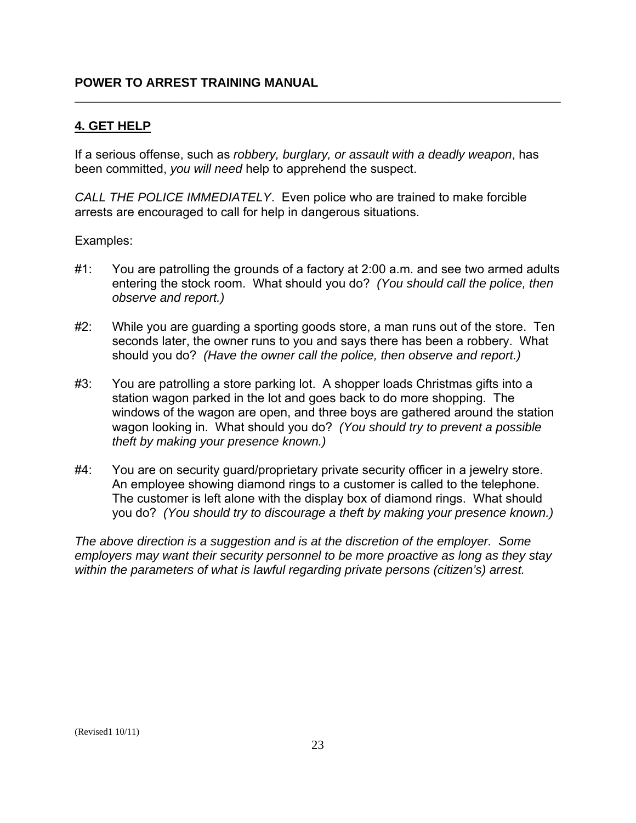# **4. GET HELP**

If a serious offense, such as *robbery, burglary, or assault with a deadly weapon*, has been committed, *you will need* help to apprehend the suspect.

<span id="page-22-0"></span>\_\_\_\_\_\_\_\_\_\_\_\_\_\_\_\_\_\_\_\_\_\_\_\_\_\_\_\_\_\_\_\_\_\_\_\_\_\_\_\_\_\_\_\_\_\_\_\_\_\_\_\_\_\_\_\_\_\_\_\_\_\_\_\_\_\_\_\_\_\_\_\_\_\_\_\_\_\_

*CALL THE POLICE IMMEDIATELY*. Even police who are trained to make forcible arrests are encouraged to call for help in dangerous situations.

Examples:

- #1: You are patrolling the grounds of a factory at 2:00 a.m. and see two armed adults entering the stock room. What should you do? *(You should call the police, then observe and report.)*
- #2: While you are guarding a sporting goods store, a man runs out of the store. Ten seconds later, the owner runs to you and says there has been a robbery. What should you do? *(Have the owner call the police, then observe and report.)*
- #3: You are patrolling a store parking lot. A shopper loads Christmas gifts into a station wagon parked in the lot and goes back to do more shopping. The windows of the wagon are open, and three boys are gathered around the station wagon looking in. What should you do? *(You should try to prevent a possible theft by making your presence known.)*
- #4: You are on security quard/proprietary private security officer in a jewelry store. An employee showing diamond rings to a customer is called to the telephone. The customer is left alone with the display box of diamond rings. What should you do? *(You should try to discourage a theft by making your presence known.)*

*The above direction is a suggestion and is at the discretion of the employer. Some employers may want their security personnel to be more proactive as long as they stay within the parameters of what is lawful regarding private persons (citizen's) arrest.*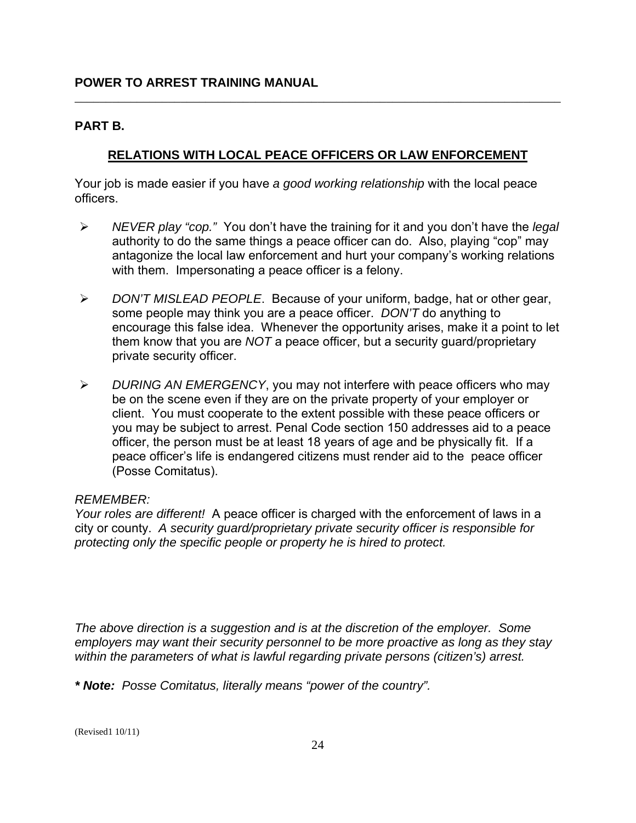#### **PART B.**

### **RELATIONS WITH LOCAL PEACE OFFICERS OR LAW ENFORCEMENT**

\_\_\_\_\_\_\_\_\_\_\_\_\_\_\_\_\_\_\_\_\_\_\_\_\_\_\_\_\_\_\_\_\_\_\_\_\_\_\_\_\_\_\_\_\_\_\_\_\_\_\_\_\_\_\_\_\_\_\_\_\_\_\_\_\_\_\_\_\_\_\_\_\_\_\_\_\_\_

Your job is made easier if you have *a good working relationship* with the local peace officers.

- $\blacktriangleright$ ¾ *NEVER play "cop."* You don't have the training for it and you don't have the *legal*  authority to do the same things a peace officer can do. Also, playing "cop" may antagonize the local law enforcement and hurt your company's working relations with them. Impersonating a peace officer is a felony.
- ¾ *DON'T MISLEAD PEOPLE*. Because of your uniform, badge, hat or other gear, some people may think you are a peace officer. *DON'T* do anything to encourage this false idea. Whenever the opportunity arises, make it a point to let them know that you are *NOT* a peace officer, but a security guard/proprietary private security officer.
- ¾ *DURING AN EMERGENCY*, you may not interfere with peace officers who may be on the scene even if they are on the private property of your employer or client. You must cooperate to the extent possible with these peace officers or you may be subject to arrest. Penal Code section 150 addresses aid to a peace officer, the person must be at least 18 years of age and be physically fit. If a peace officer's life is endangered citizens must render aid to the peace officer (Posse Comitatus).

#### *REMEMBER:*

*Your roles are different!* A peace officer is charged with the enforcement of laws in a city or county. *A security guard/proprietary private security officer is responsible for protecting only the specific people or property he is hired to protect.* 

*The above direction is a suggestion and is at the discretion of the employer. Some employers may want their security personnel to be more proactive as long as they stay within the parameters of what is lawful regarding private persons (citizen's) arrest.* 

*\* Note: Posse Comitatus, literally means "power of the country".*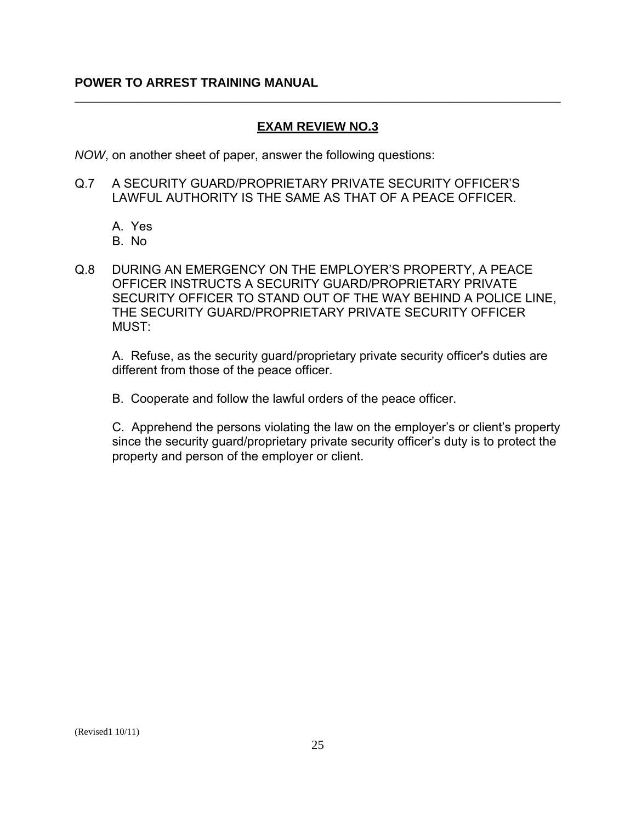### **EXAM REVIEW NO.3**

\_\_\_\_\_\_\_\_\_\_\_\_\_\_\_\_\_\_\_\_\_\_\_\_\_\_\_\_\_\_\_\_\_\_\_\_\_\_\_\_\_\_\_\_\_\_\_\_\_\_\_\_\_\_\_\_\_\_\_\_\_\_\_\_\_\_\_\_\_\_\_\_\_\_\_\_\_\_

*NOW*, on another sheet of paper, answer the following questions:

- Q.7 A SECURITY GUARD/PROPRIETARY PRIVATE SECURITY OFFICER'S LAWFUL AUTHORITY IS THE SAME AS THAT OF A PEACE OFFICER.
	- A. Yes
	- B. No
- Q.8 DURING AN EMERGENCY ON THE EMPLOYER'S PROPERTY, A PEACE OFFICER INSTRUCTS A SECURITY GUARD/PROPRIETARY PRIVATE SECURITY OFFICER TO STAND OUT OF THE WAY BEHIND A POLICE LINE, THE SECURITY GUARD/PROPRIETARY PRIVATE SECURITY OFFICER MUST:

A. Refuse, as the security guard/proprietary private security officer's duties are different from those of the peace officer.

B. Cooperate and follow the lawful orders of the peace officer.

C. Apprehend the persons violating the law on the employer's or client's property since the security guard/proprietary private security officer's duty is to protect the property and person of the employer or client.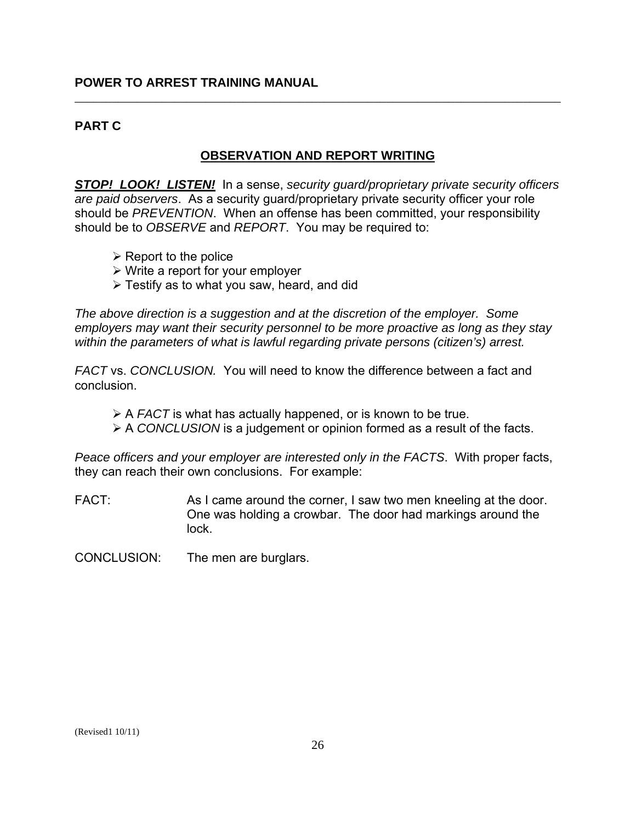### **PART C**

#### **OBSERVATION AND REPORT WRITING**

\_\_\_\_\_\_\_\_\_\_\_\_\_\_\_\_\_\_\_\_\_\_\_\_\_\_\_\_\_\_\_\_\_\_\_\_\_\_\_\_\_\_\_\_\_\_\_\_\_\_\_\_\_\_\_\_\_\_\_\_\_\_\_\_\_\_\_\_\_\_\_\_\_\_\_\_\_\_

*STOP! LOOK! LISTEN!* In a sense, *security guard/proprietary private security officers are paid observers*. As a security guard/proprietary private security officer your role should be *PREVENTION*. When an offense has been committed, your responsibility should be to *OBSERVE* and *REPORT*. You may be required to:

- $\triangleright$  Report to the police
- $\triangleright$  Write a report for your employer
- $\triangleright$  Testify as to what you saw, heard, and did

*The above direction is a suggestion and at the discretion of the employer. Some employers may want their security personnel to be more proactive as long as they stay within the parameters of what is lawful regarding private persons (citizen's) arrest.* 

*FACT* vs. *CONCLUSION.* You will need to know the difference between a fact and conclusion.

- ¾ A *FACT* is what has actually happened, or is known to be true.
- ¾ A *CONCLUSION* is a judgement or opinion formed as a result of the facts.

*Peace officers and your employer are interested only in the FACTS*. With proper facts, they can reach their own conclusions. For example:

 $FACT$ As I came around the corner, I saw two men kneeling at the door. One was holding a crowbar. The door had markings around the lock.

CONCLUSION: The men are burglars.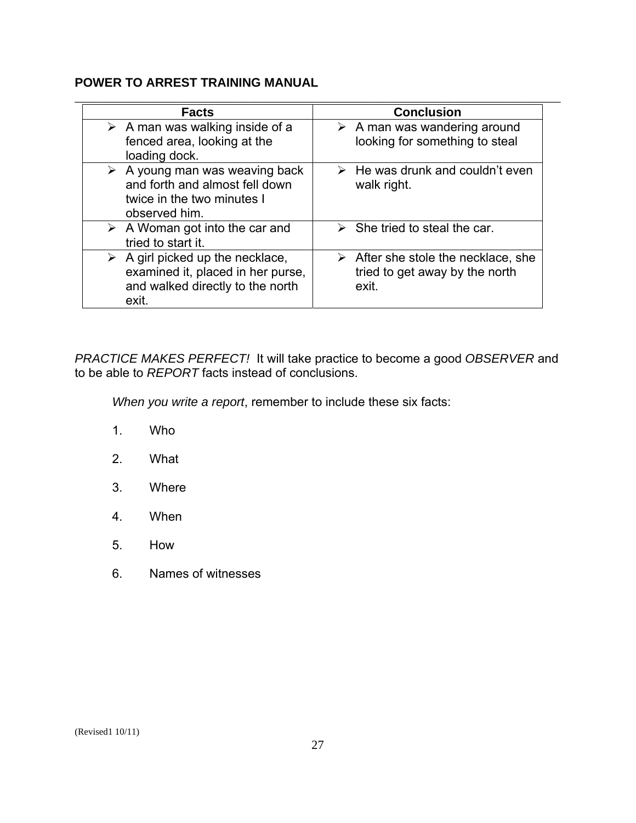| <b>Facts</b>                                                                                                                      | <b>Conclusion</b>                                                                             |
|-----------------------------------------------------------------------------------------------------------------------------------|-----------------------------------------------------------------------------------------------|
| $\triangleright$ A man was walking inside of a<br>fenced area, looking at the<br>loading dock.                                    | $\triangleright$ A man was wandering around<br>looking for something to steal                 |
| $\triangleright$ A young man was weaving back<br>and forth and almost fell down<br>twice in the two minutes I<br>observed him.    | $\triangleright$ He was drunk and couldn't even<br>walk right.                                |
| $\triangleright$ A Woman got into the car and<br>tried to start it.                                                               | $\triangleright$ She tried to steal the car.                                                  |
| $\triangleright$ A girl picked up the necklace,<br>examined it, placed in her purse,<br>and walked directly to the north<br>exit. | $\triangleright$ After she stole the necklace, she<br>tried to get away by the north<br>exit. |

*PRACTICE MAKES PERFECT!* It will take practice to become a good *OBSERVER* and to be able to *REPORT* facts instead of conclusions.

*When you write a report*, remember to include these six facts:

- 1. Who
- 2. What
- 3. Where
- 4. When
- 5. How
- 6. Names of witnesses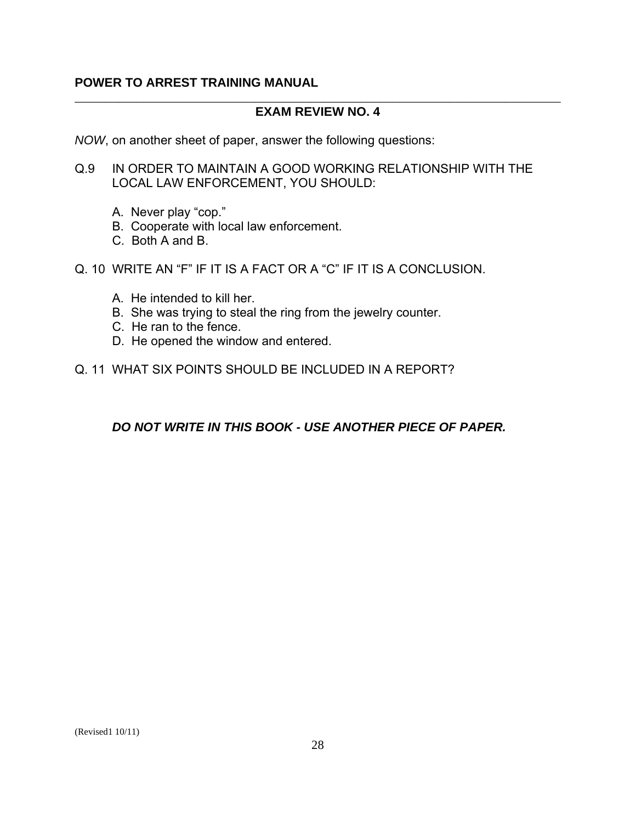#### \_\_\_\_\_\_\_\_\_\_\_\_\_\_\_\_\_\_\_\_\_\_\_\_\_\_\_\_\_\_\_\_\_\_\_\_\_\_\_\_\_\_\_\_\_\_\_\_\_\_\_\_\_\_\_\_\_\_\_\_\_\_\_\_\_\_\_\_\_\_\_\_\_\_\_\_\_\_ **EXAM REVIEW NO. 4**

*NOW*, on another sheet of paper, answer the following questions:

- Q.9 IN ORDER TO MAINTAIN A GOOD WORKING RELATIONSHIP WITH THE LOCAL LAW ENFORCEMENT, YOU SHOULD:
	- A. Never play "cop."
	- B. Cooperate with local law enforcement.
	- C. Both A and B.
- Q. 10 WRITE AN "F" IF IT IS A FACT OR A "C" IF IT IS A CONCLUSION.
	- A. He intended to kill her.
	- B. She was trying to steal the ring from the jewelry counter.
	- C. He ran to the fence.
	- D. He opened the window and entered.
- Q. 11 WHAT SIX POINTS SHOULD BE INCLUDED IN A REPORT?

*DO NOT WRITE IN THIS BOOK - USE ANOTHER PIECE OF PAPER.*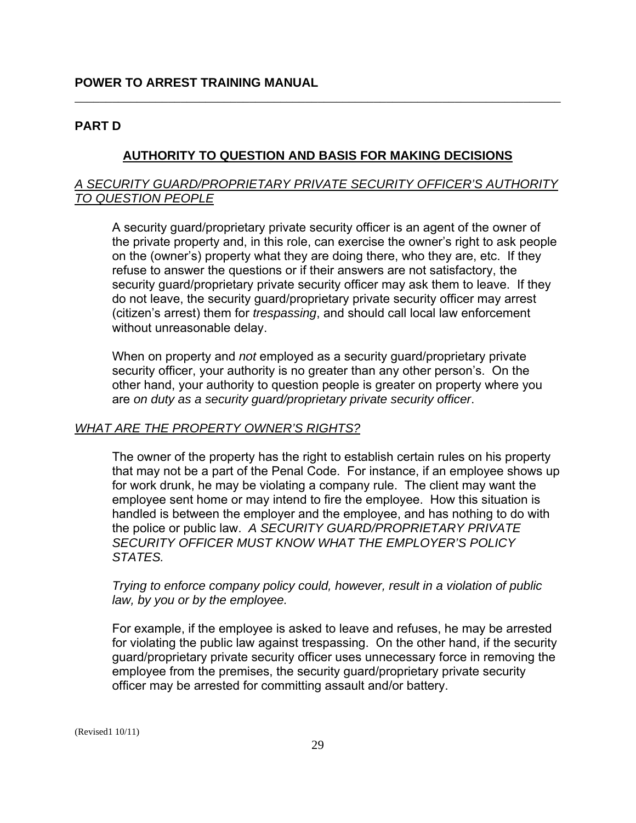#### **PART D**

#### **AUTHORITY TO QUESTION AND BASIS FOR MAKING DECISIONS**

\_\_\_\_\_\_\_\_\_\_\_\_\_\_\_\_\_\_\_\_\_\_\_\_\_\_\_\_\_\_\_\_\_\_\_\_\_\_\_\_\_\_\_\_\_\_\_\_\_\_\_\_\_\_\_\_\_\_\_\_\_\_\_\_\_\_\_\_\_\_\_\_\_\_\_\_\_\_

#### *A SECURITY GUARD/PROPRIETARY PRIVATE SECURITY OFFICER'S AUTHORITY TO QUESTION PEOPLE*

A security guard/proprietary private security officer is an agent of the owner of the private property and, in this role, can exercise the owner's right to ask people on the (owner's) property what they are doing there, who they are, etc. If they refuse to answer the questions or if their answers are not satisfactory, the security guard/proprietary private security officer may ask them to leave. If they do not leave, the security guard/proprietary private security officer may arrest (citizen's arrest) them for *trespassing*, and should call local law enforcement without unreasonable delay.

When on property and *not* employed as a security guard/proprietary private security officer, your authority is no greater than any other person's. On the other hand, your authority to question people is greater on property where you are *on duty as a security guard/proprietary private security officer*.

#### *WHAT ARE THE PROPERTY OWNER'S RIGHTS?*

The owner of the property has the right to establish certain rules on his property that may not be a part of the Penal Code. For instance, if an employee shows up for work drunk, he may be violating a company rule. The client may want the employee sent home or may intend to fire the employee. How this situation is handled is between the employer and the employee, and has nothing to do with the police or public law. *A SECURITY GUARD/PROPRIETARY PRIVATE SECURITY OFFICER MUST KNOW WHAT THE EMPLOYER'S POLICY STATES.* 

*Trying to enforce company policy could, however, result in a violation of public law, by you or by the employee.* 

For example, if the employee is asked to leave and refuses, he may be arrested for violating the public law against trespassing. On the other hand, if the security guard/proprietary private security officer uses unnecessary force in removing the employee from the premises, the security guard/proprietary private security officer may be arrested for committing assault and/or battery.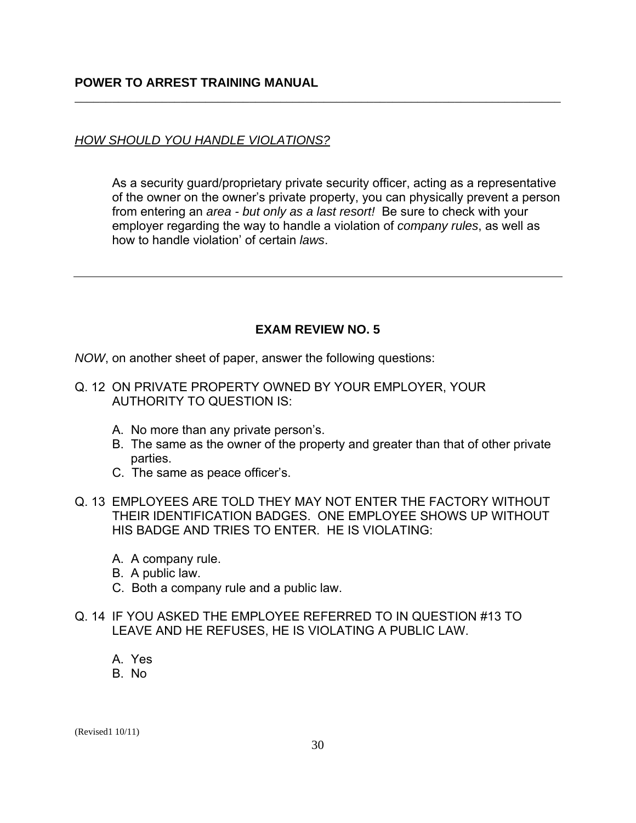### *HOW SHOULD YOU HANDLE VIOLATIONS?*

As a security guard/proprietary private security officer, acting as a representative of the owner on the owner's private property, you can physically prevent a person from entering an *area - but only as a last resort!* Be sure to check with your employer regarding the way to handle a violation of *company rules*, as well as how to handle violation' of certain *laws*.

\_\_\_\_\_\_\_\_\_\_\_\_\_\_\_\_\_\_\_\_\_\_\_\_\_\_\_\_\_\_\_\_\_\_\_\_\_\_\_\_\_\_\_\_\_\_\_\_\_\_\_\_\_\_\_\_\_\_\_\_\_\_\_\_\_\_\_\_\_\_\_\_\_\_\_\_\_\_

# **EXAM REVIEW NO. 5**

*NOW*, on another sheet of paper, answer the following questions:

- Q. 12 ON PRIVATE PROPERTY OWNED BY YOUR EMPLOYER, YOUR AUTHORITY TO QUESTION IS:
	- A. No more than any private person's.
	- B. The same as the owner of the property and greater than that of other private parties.
	- C. The same as peace officer's.
- Q. 13 EMPLOYEES ARE TOLD THEY MAY NOT ENTER THE FACTORY WITHOUT THEIR IDENTIFICATION BADGES. ONE EMPLOYEE SHOWS UP WITHOUT HIS BADGE AND TRIES TO ENTER. HE IS VIOLATING:
	- A. A company rule.
	- B. A public law.
	- C. Both a company rule and a public law.
- Q. 14 IF YOU ASKED THE EMPLOYEE REFERRED TO IN QUESTION #13 TO LEAVE AND HE REFUSES, HE IS VIOLATING A PUBLIC LAW.
	- A. Yes
	- B. No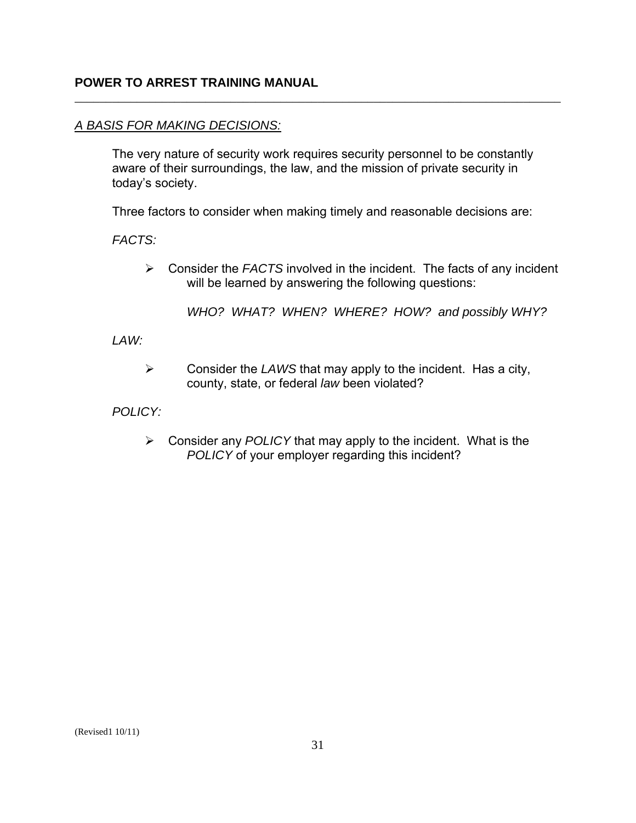#### *A BASIS FOR MAKING DECISIONS:*

The very nature of security work requires security personnel to be constantly aware of their surroundings, the law, and the mission of private security in today's society.

\_\_\_\_\_\_\_\_\_\_\_\_\_\_\_\_\_\_\_\_\_\_\_\_\_\_\_\_\_\_\_\_\_\_\_\_\_\_\_\_\_\_\_\_\_\_\_\_\_\_\_\_\_\_\_\_\_\_\_\_\_\_\_\_\_\_\_\_\_\_\_\_\_\_\_\_\_\_

Three factors to consider when making timely and reasonable decisions are:

*FACTS:* 

¾ Consider the *FACTS* involved in the incident. The facts of any incident will be learned by answering the following questions:

*WHO? WHAT? WHEN? WHERE? HOW? and possibly WHY?* 

*LAW:* 

¾ Consider the *LAWS* that may apply to the incident. Has a city, county, state, or federal *law* been violated?

*POLICY:* 

¾ Consider any *POLICY* that may apply to the incident. What is the *POLICY* of your employer regarding this incident?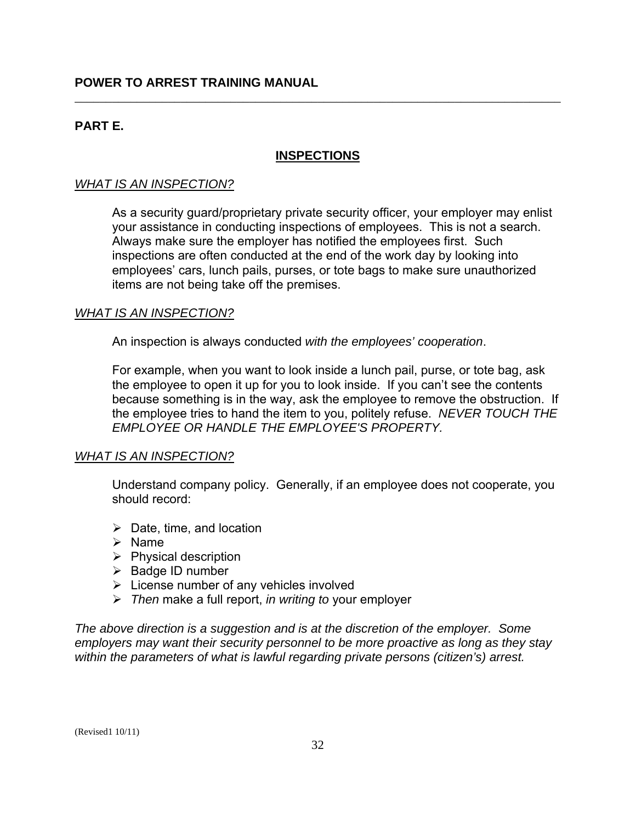# **PART E.**

### **INSPECTIONS**

\_\_\_\_\_\_\_\_\_\_\_\_\_\_\_\_\_\_\_\_\_\_\_\_\_\_\_\_\_\_\_\_\_\_\_\_\_\_\_\_\_\_\_\_\_\_\_\_\_\_\_\_\_\_\_\_\_\_\_\_\_\_\_\_\_\_\_\_\_\_\_\_\_\_\_\_\_\_

### *WHAT IS AN INSPECTION?*

As a security guard/proprietary private security officer, your employer may enlist your assistance in conducting inspections of employees. This is not a search. Always make sure the employer has notified the employees first. Such inspections are often conducted at the end of the work day by looking into employees' cars, lunch pails, purses, or tote bags to make sure unauthorized items are not being take off the premises.

#### *WHAT IS AN INSPECTION?*

An inspection is always conducted *with the employees' cooperation*.

For example, when you want to look inside a lunch pail, purse, or tote bag, ask the employee to open it up for you to look inside. If you can't see the contents because something is in the way, ask the employee to remove the obstruction. If the employee tries to hand the item to you, politely refuse. *NEVER TOUCH THE EMPLOYEE OR HANDLE THE EMPLOYEE'S PROPERTY.* 

#### *WHAT IS AN INSPECTION?*

Understand company policy. Generally, if an employee does not cooperate, you should record:

- $\triangleright$  Date, time, and location
- $\triangleright$  Name
- $\triangleright$  Physical description
- $\triangleright$  Badge ID number
- $\triangleright$  License number of any vehicles involved
- ¾ *Then* make a full report, *in writing to* your employer

*The above direction is a suggestion and is at the discretion of the employer. Some employers may want their security personnel to be more proactive as long as they stay within the parameters of what is lawful regarding private persons (citizen's) arrest.*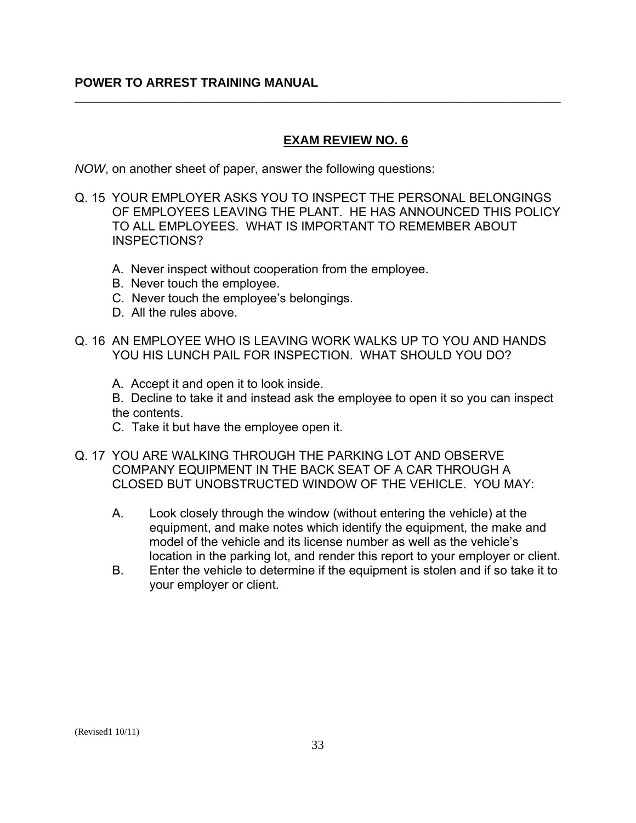# **EXAM REVIEW NO. 6**

*NOW*, on another sheet of paper, answer the following questions:

Q. 15 YOUR EMPLOYER ASKS YOU TO INSPECT THE PERSONAL BELONGINGS OF EMPLOYEES LEAVING THE PLANT. HE HAS ANNOUNCED THIS POLICY TO ALL EMPLOYEES. WHAT IS IMPORTANT TO REMEMBER ABOUT INSPECTIONS?

\_\_\_\_\_\_\_\_\_\_\_\_\_\_\_\_\_\_\_\_\_\_\_\_\_\_\_\_\_\_\_\_\_\_\_\_\_\_\_\_\_\_\_\_\_\_\_\_\_\_\_\_\_\_\_\_\_\_\_\_\_\_\_\_\_\_\_\_\_\_\_\_\_\_\_\_\_\_

- A. Never inspect without cooperation from the employee.
- B. Never touch the employee.
- C. Never touch the employee's belongings.
- D. All the rules above.
- Q. 16 AN EMPLOYEE WHO IS LEAVING WORK WALKS UP TO YOU AND HANDS YOU HIS LUNCH PAIL FOR INSPECTION. WHAT SHOULD YOU DO?
	- A. Accept it and open it to look inside.

B. Decline to take it and instead ask the employee to open it so you can inspect the contents.

- C. Take it but have the employee open it.
- Q. 17 YOU ARE WALKING THROUGH THE PARKING LOT AND OBSERVE COMPANY EQUIPMENT IN THE BACK SEAT OF A CAR THROUGH A CLOSED BUT UNOBSTRUCTED WINDOW OF THE VEHICLE. YOU MAY:
	- A. Look closely through the window (without entering the vehicle) at the equipment, and make notes which identify the equipment, the make and model of the vehicle and its license number as well as the vehicle's location in the parking lot, and render this report to your employer or client.
	- B. Enter the vehicle to determine if the equipment is stolen and if so take it to your employer or client.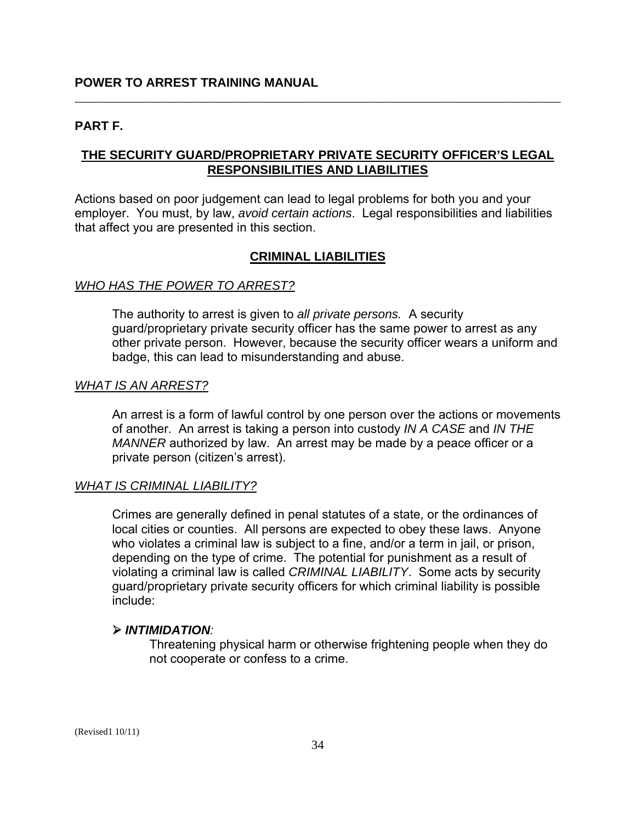#### **PART F.**

### **THE SECURITY GUARD/PROPRIETARY PRIVATE SECURITY OFFICER'S LEGAL RESPONSIBILITIES AND LIABILITIES**

\_\_\_\_\_\_\_\_\_\_\_\_\_\_\_\_\_\_\_\_\_\_\_\_\_\_\_\_\_\_\_\_\_\_\_\_\_\_\_\_\_\_\_\_\_\_\_\_\_\_\_\_\_\_\_\_\_\_\_\_\_\_\_\_\_\_\_\_\_\_\_\_\_\_\_\_\_\_

Actions based on poor judgement can lead to legal problems for both you and your employer. You must, by law, *avoid certain actions*. Legal responsibilities and liabilities that affect you are presented in this section.

#### **CRIMINAL LIABILITIES**

#### *WHO HAS THE POWER TO ARREST?*

The authority to arrest is given to *all private persons.* A security guard/proprietary private security officer has the same power to arrest as any other private person. However, because the security officer wears a uniform and badge, this can lead to misunderstanding and abuse.

#### *WHAT IS AN ARREST?*

An arrest is a form of lawful control by one person over the actions or movements of another. An arrest is taking a person into custody *IN A CASE* and *IN THE MANNER* authorized by law. An arrest may be made by a peace officer or a private person (citizen's arrest).

#### *WHAT IS CRIMINAL LIABILITY?*

Crimes are generally defined in penal statutes of a state, or the ordinances of local cities or counties. All persons are expected to obey these laws. Anyone who violates a criminal law is subject to a fine, and/or a term in jail, or prison, depending on the type of crime. The potential for punishment as a result of violating a criminal law is called *CRIMINAL LIABILITY*. Some acts by security guard/proprietary private security officers for which criminal liability is possible include:

#### ¾ *INTIMIDATION:*

Threatening physical harm or otherwise frightening people when they do not cooperate or confess to a crime.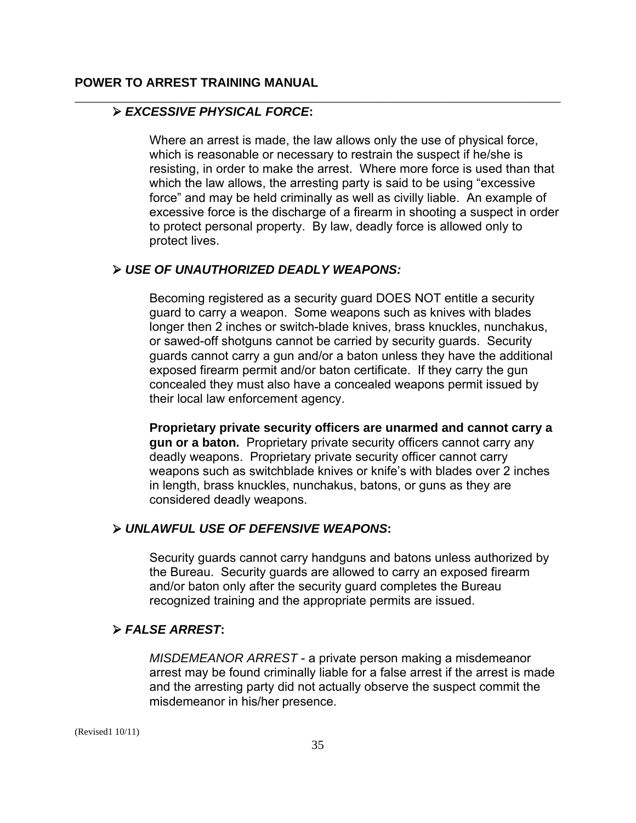#### ¾ *EXCESSIVE PHYSICAL FORCE***:**

Where an arrest is made, the law allows only the use of physical force, which is reasonable or necessary to restrain the suspect if he/she is resisting, in order to make the arrest. Where more force is used than that which the law allows, the arresting party is said to be using "excessive force" and may be held criminally as well as civilly liable. An example of excessive force is the discharge of a firearm in shooting a suspect in order to protect personal property. By law, deadly force is allowed only to protect lives.

\_\_\_\_\_\_\_\_\_\_\_\_\_\_\_\_\_\_\_\_\_\_\_\_\_\_\_\_\_\_\_\_\_\_\_\_\_\_\_\_\_\_\_\_\_\_\_\_\_\_\_\_\_\_\_\_\_\_\_\_\_\_\_\_\_\_\_\_\_\_\_\_\_\_\_\_\_\_

#### ¾ *USE OF UNAUTHORIZED DEADLY WEAPONS:*

Becoming registered as a security guard DOES NOT entitle a security guard to carry a weapon. Some weapons such as knives with blades longer then 2 inches or switch-blade knives, brass knuckles, nunchakus, or sawed-off shotguns cannot be carried by security guards. Security guards cannot carry a gun and/or a baton unless they have the additional exposed firearm permit and/or baton certificate. If they carry the gun concealed they must also have a concealed weapons permit issued by their local law enforcement agency.

**Proprietary private security officers are unarmed and cannot carry a gun or a baton.** Proprietary private security officers cannot carry any deadly weapons. Proprietary private security officer cannot carry weapons such as switchblade knives or knife's with blades over 2 inches in length, brass knuckles, nunchakus, batons, or guns as they are considered deadly weapons.

#### ¾ *UNLAWFUL USE OF DEFENSIVE WEAPONS***:**

Security guards cannot carry handguns and batons unless authorized by the Bureau. Security guards are allowed to carry an exposed firearm and/or baton only after the security guard completes the Bureau recognized training and the appropriate permits are issued.

#### ¾ *FALSE ARREST***:**

*MISDEMEANOR ARREST* - a private person making a misdemeanor arrest may be found criminally liable for a false arrest if the arrest is made and the arresting party did not actually observe the suspect commit the misdemeanor in his/her presence.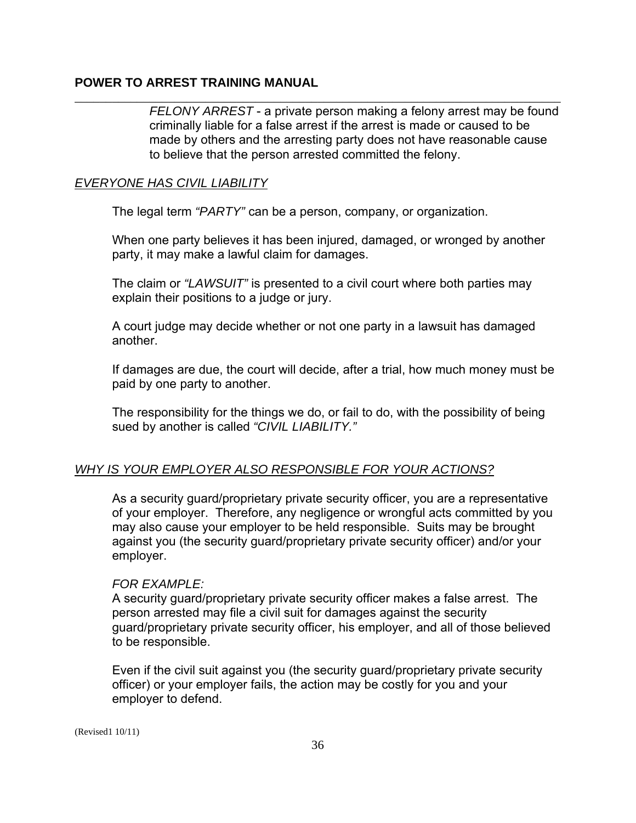*FELONY ARREST* - a private person making a felony arrest may be found criminally liable for a false arrest if the arrest is made or caused to be made by others and the arresting party does not have reasonable cause to believe that the person arrested committed the felony.

#### *EVERYONE HAS CIVIL LIABILITY*

The legal term *"PARTY"* can be a person, company, or organization.

When one party believes it has been injured, damaged, or wronged by another party, it may make a lawful claim for damages.

\_\_\_\_\_\_\_\_\_\_\_\_\_\_\_\_\_\_\_\_\_\_\_\_\_\_\_\_\_\_\_\_\_\_\_\_\_\_\_\_\_\_\_\_\_\_\_\_\_\_\_\_\_\_\_\_\_\_\_\_\_\_\_\_\_\_\_\_\_\_\_\_\_\_\_\_\_\_

The claim or *"LAWSUIT"* is presented to a civil court where both parties may explain their positions to a judge or jury.

A court judge may decide whether or not one party in a lawsuit has damaged another.

If damages are due, the court will decide, after a trial, how much money must be paid by one party to another.

The responsibility for the things we do, or fail to do, with the possibility of being sued by another is called *"CIVIL LIABILITY."* 

#### *WHY IS YOUR EMPLOYER ALSO RESPONSIBLE FOR YOUR ACTIONS?*

As a security guard/proprietary private security officer, you are a representative of your employer. Therefore, any negligence or wrongful acts committed by you may also cause your employer to be held responsible. Suits may be brought against you (the security guard/proprietary private security officer) and/or your employer.

#### *FOR EXAMPLE:*

A security guard/proprietary private security officer makes a false arrest. The person arrested may file a civil suit for damages against the security guard/proprietary private security officer, his employer, and all of those believed to be responsible.

Even if the civil suit against you (the security guard/proprietary private security officer) or your employer fails, the action may be costly for you and your employer to defend.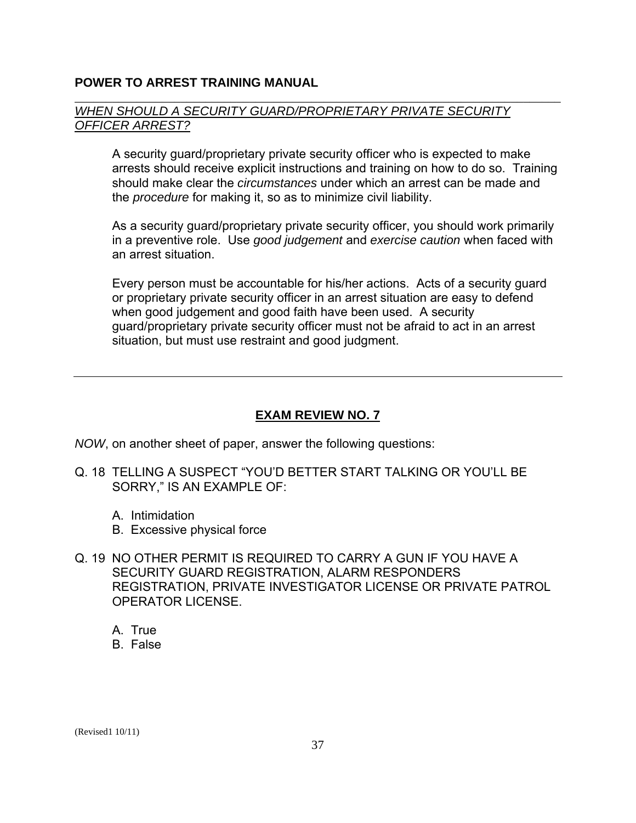#### \_\_\_\_\_\_\_\_\_\_\_\_\_\_\_\_\_\_\_\_\_\_\_\_\_\_\_\_\_\_\_\_\_\_\_\_\_\_\_\_\_\_\_\_\_\_\_\_\_\_\_\_\_\_\_\_\_\_\_\_\_\_\_\_\_\_\_\_\_\_\_\_\_\_\_\_\_\_ *WHEN SHOULD A SECURITY GUARD/PROPRIETARY PRIVATE SECURITY OFFICER ARREST?*

A security guard/proprietary private security officer who is expected to make arrests should receive explicit instructions and training on how to do so. Training should make clear the *circumstances* under which an arrest can be made and the *procedure* for making it, so as to minimize civil liability.

As a security guard/proprietary private security officer, you should work primarily in a preventive role. Use *good judgement* and *exercise caution* when faced with an arrest situation.

Every person must be accountable for his/her actions. Acts of a security guard or proprietary private security officer in an arrest situation are easy to defend when good judgement and good faith have been used. A security guard/proprietary private security officer must not be afraid to act in an arrest situation, but must use restraint and good judgment.

#### **EXAM REVIEW NO. 7**

*NOW*, on another sheet of paper, answer the following questions:

- Q. 18 TELLING A SUSPECT "YOU'D BETTER START TALKING OR YOU'LL BE SORRY," IS AN EXAMPLE OF:
	- A. Intimidation
	- B. Excessive physical force
- Q. 19 NO OTHER PERMIT IS REQUIRED TO CARRY A GUN IF YOU HAVE A SECURITY GUARD REGISTRATION, ALARM RESPONDERS REGISTRATION, PRIVATE INVESTIGATOR LICENSE OR PRIVATE PATROL OPERATOR LICENSE.
	- A. True
	- B. False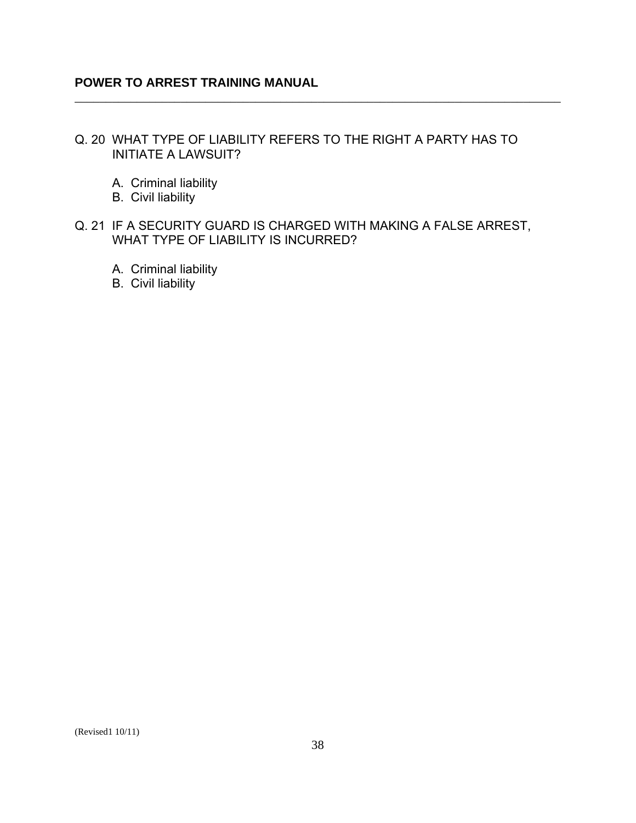# Q. 20 WHAT TYPE OF LIABILITY REFERS TO THE RIGHT A PARTY HAS TO INITIATE A LAWSUIT?

\_\_\_\_\_\_\_\_\_\_\_\_\_\_\_\_\_\_\_\_\_\_\_\_\_\_\_\_\_\_\_\_\_\_\_\_\_\_\_\_\_\_\_\_\_\_\_\_\_\_\_\_\_\_\_\_\_\_\_\_\_\_\_\_\_\_\_\_\_\_\_\_\_\_\_\_\_\_

- A. Criminal liability
- B. Civil liability
- Q. 21 IF A SECURITY GUARD IS CHARGED WITH MAKING A FALSE ARREST, WHAT TYPE OF LIABILITY IS INCURRED?
	- A. Criminal liability
	- B. Civil liability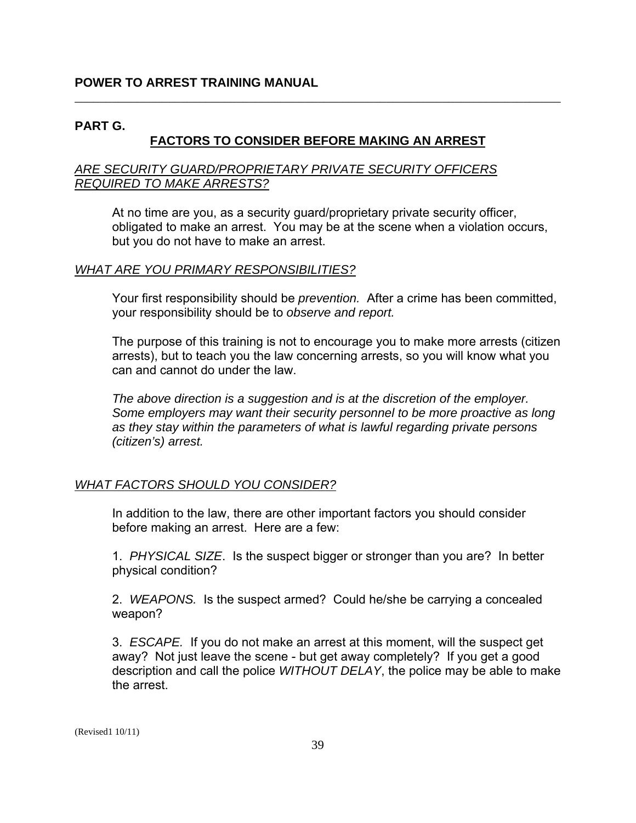### **PART G.**

# **FACTORS TO CONSIDER BEFORE MAKING AN ARREST**

\_\_\_\_\_\_\_\_\_\_\_\_\_\_\_\_\_\_\_\_\_\_\_\_\_\_\_\_\_\_\_\_\_\_\_\_\_\_\_\_\_\_\_\_\_\_\_\_\_\_\_\_\_\_\_\_\_\_\_\_\_\_\_\_\_\_\_\_\_\_\_\_\_\_\_\_\_\_

#### *ARE SECURITY GUARD/PROPRIETARY PRIVATE SECURITY OFFICERS REQUIRED TO MAKE ARRESTS?*

At no time are you, as a security guard/proprietary private security officer, obligated to make an arrest. You may be at the scene when a violation occurs, but you do not have to make an arrest.

### *WHAT ARE YOU PRIMARY RESPONSIBILITIES?*

Your first responsibility should be *prevention.* After a crime has been committed, your responsibility should be to *observe and report.* 

The purpose of this training is not to encourage you to make more arrests (citizen arrests), but to teach you the law concerning arrests, so you will know what you can and cannot do under the law.

*The above direction is a suggestion and is at the discretion of the employer. Some employers may want their security personnel to be more proactive as long as they stay within the parameters of what is lawful regarding private persons (citizen's) arrest.* 

#### *WHAT FACTORS SHOULD YOU CONSIDER?*

In addition to the law, there are other important factors you should consider before making an arrest. Here are a few:

1. *PHYSICAL SIZE*. Is the suspect bigger or stronger than you are? In better physical condition?

2. *WEAPONS.* Is the suspect armed? Could he/she be carrying a concealed weapon?

3. *ESCAPE.* If you do not make an arrest at this moment, will the suspect get away? Not just leave the scene - but get away completely? If you get a good description and call the police *WITHOUT DELAY*, the police may be able to make the arrest.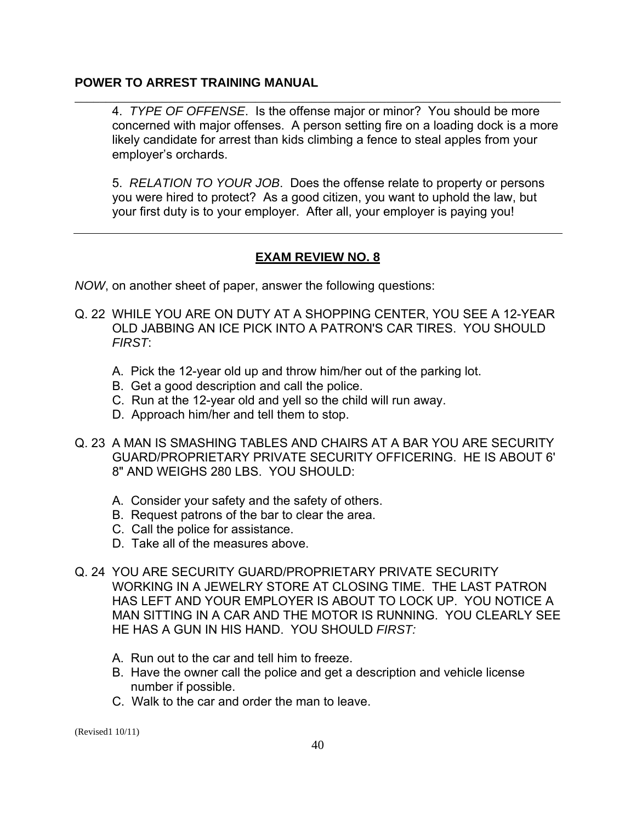4. *TYPE OF OFFENSE*. Is the offense major or minor? You should be more concerned with major offenses. A person setting fire on a loading dock is a more likely candidate for arrest than kids climbing a fence to steal apples from your employer's orchards.

\_\_\_\_\_\_\_\_\_\_\_\_\_\_\_\_\_\_\_\_\_\_\_\_\_\_\_\_\_\_\_\_\_\_\_\_\_\_\_\_\_\_\_\_\_\_\_\_\_\_\_\_\_\_\_\_\_\_\_\_\_\_\_\_\_\_\_\_\_\_\_\_\_\_\_\_\_\_

5. *RELATION TO YOUR JOB*. Does the offense relate to property or persons you were hired to protect? As a good citizen, you want to uphold the law, but your first duty is to your employer. After all, your employer is paying you!

# **EXAM REVIEW NO. 8**

*NOW*, on another sheet of paper, answer the following questions:

- Q. 22 WHILE YOU ARE ON DUTY AT A SHOPPING CENTER, YOU SEE A 12-YEAR OLD JABBING AN ICE PICK INTO A PATRON'S CAR TIRES. YOU SHOULD *FIRST*:
	- A. Pick the 12-year old up and throw him/her out of the parking lot.
	- B. Get a good description and call the police.
	- C. Run at the 12-year old and yell so the child will run away.
	- D. Approach him/her and tell them to stop.
- Q. 23 A MAN IS SMASHING TABLES AND CHAIRS AT A BAR YOU ARE SECURITY GUARD/PROPRIETARY PRIVATE SECURITY OFFICERING. HE IS ABOUT 6' 8" AND WEIGHS 280 LBS. YOU SHOULD:
	- A. Consider your safety and the safety of others.
	- B. Request patrons of the bar to clear the area.
	- C. Call the police for assistance.
	- D. Take all of the measures above.
- Q. 24 YOU ARE SECURITY GUARD/PROPRIETARY PRIVATE SECURITY WORKING IN A JEWELRY STORE AT CLOSING TIME. THE LAST PATRON HAS LEFT AND YOUR EMPLOYER IS ABOUT TO LOCK UP. YOU NOTICE A MAN SITTING IN A CAR AND THE MOTOR IS RUNNING. YOU CLEARLY SEE HE HAS A GUN IN HIS HAND. YOU SHOULD *FIRST:* 
	- A. Run out to the car and tell him to freeze.
	- B. Have the owner call the police and get a description and vehicle license number if possible.
	- C. Walk to the car and order the man to leave.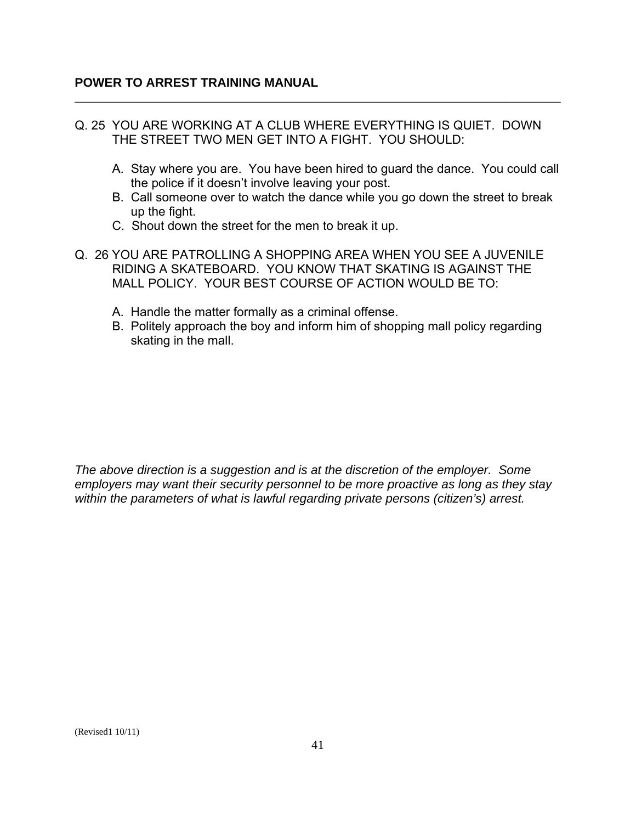Q. 25 YOU ARE WORKING AT A CLUB WHERE EVERYTHING IS QUIET. DOWN THE STREET TWO MEN GET INTO A FIGHT. YOU SHOULD:

\_\_\_\_\_\_\_\_\_\_\_\_\_\_\_\_\_\_\_\_\_\_\_\_\_\_\_\_\_\_\_\_\_\_\_\_\_\_\_\_\_\_\_\_\_\_\_\_\_\_\_\_\_\_\_\_\_\_\_\_\_\_\_\_\_\_\_\_\_\_\_\_\_\_\_\_\_\_

- A. Stay where you are. You have been hired to guard the dance. You could call the police if it doesn't involve leaving your post.
- B. Call someone over to watch the dance while you go down the street to break up the fight.
- C. Shout down the street for the men to break it up.
- Q. 26 YOU ARE PATROLLING A SHOPPING AREA WHEN YOU SEE A JUVENILE RIDING A SKATEBOARD. YOU KNOW THAT SKATING IS AGAINST THE MALL POLICY. YOUR BEST COURSE OF ACTION WOULD BE TO:
	- A. Handle the matter formally as a criminal offense.
	- B. Politely approach the boy and inform him of shopping mall policy regarding skating in the mall.

*The above direction is a suggestion and is at the discretion of the employer. Some employers may want their security personnel to be more proactive as long as they stay within the parameters of what is lawful regarding private persons (citizen's) arrest.*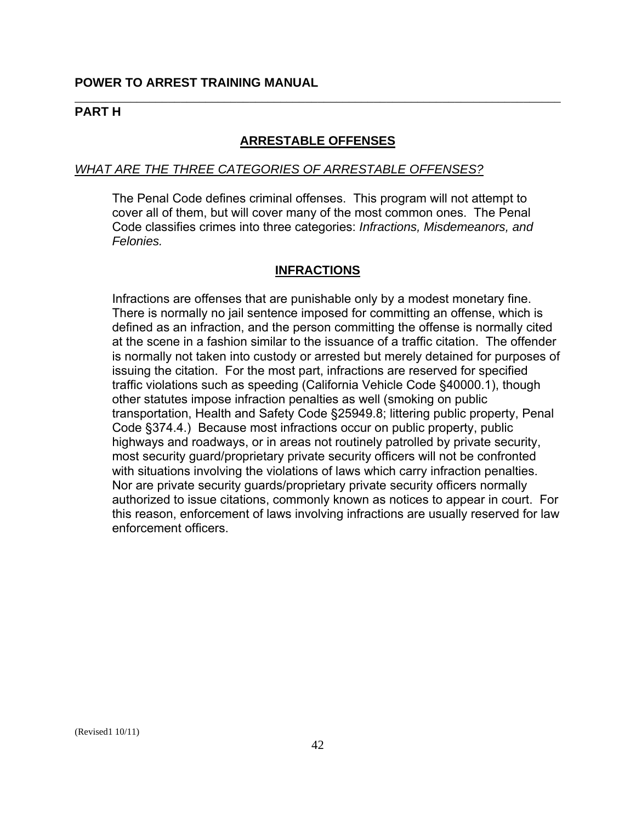#### **PART H**

### **ARRESTABLE OFFENSES**

\_\_\_\_\_\_\_\_\_\_\_\_\_\_\_\_\_\_\_\_\_\_\_\_\_\_\_\_\_\_\_\_\_\_\_\_\_\_\_\_\_\_\_\_\_\_\_\_\_\_\_\_\_\_\_\_\_\_\_\_\_\_\_\_\_\_\_\_\_\_\_\_\_\_\_\_\_\_

#### *WHAT ARE THE THREE CATEGORIES OF ARRESTABLE OFFENSES?*

The Penal Code defines criminal offenses. This program will not attempt to cover all of them, but will cover many of the most common ones. The Penal Code classifies crimes into three categories: *Infractions, Misdemeanors, and Felonies.* 

### **INFRACTIONS**

Infractions are offenses that are punishable only by a modest monetary fine. There is normally no jail sentence imposed for committing an offense, which is defined as an infraction, and the person committing the offense is normally cited at the scene in a fashion similar to the issuance of a traffic citation. The offender is normally not taken into custody or arrested but merely detained for purposes of issuing the citation. For the most part, infractions are reserved for specified traffic violations such as speeding (California Vehicle Code §40000.1), though other statutes impose infraction penalties as well (smoking on public transportation, Health and Safety Code §25949.8; littering public property, Penal Code §374.4.) Because most infractions occur on public property, public highways and roadways, or in areas not routinely patrolled by private security, most security guard/proprietary private security officers will not be confronted with situations involving the violations of laws which carry infraction penalties. Nor are private security guards/proprietary private security officers normally authorized to issue citations, commonly known as notices to appear in court. For this reason, enforcement of laws involving infractions are usually reserved for law enforcement officers.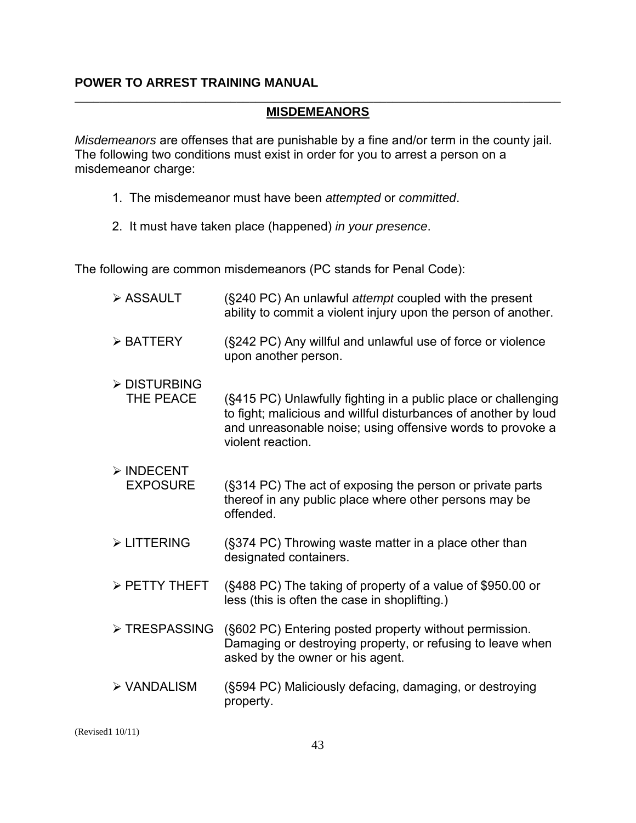#### \_\_\_\_\_\_\_\_\_\_\_\_\_\_\_\_\_\_\_\_\_\_\_\_\_\_\_\_\_\_\_\_\_\_\_\_\_\_\_\_\_\_\_\_\_\_\_\_\_\_\_\_\_\_\_\_\_\_\_\_\_\_\_\_\_\_\_\_\_\_\_\_\_\_\_\_\_\_ **MISDEMEANORS**

*Misdemeanors* are offenses that are punishable by a fine and/or term in the county jail. The following two conditions must exist in order for you to arrest a person on a misdemeanor charge:

- 1. The misdemeanor must have been *attempted* or *committed*.
- 2. It must have taken place (happened) *in your presence*.

The following are common misdemeanors (PC stands for Penal Code):

| > ASSAULT                                    | (§240 PC) An unlawful attempt coupled with the present<br>ability to commit a violent injury upon the person of another.                                                                                             |
|----------------------------------------------|----------------------------------------------------------------------------------------------------------------------------------------------------------------------------------------------------------------------|
| $\triangleright$ BATTERY                     | (§242 PC) Any willful and unlawful use of force or violence<br>upon another person.                                                                                                                                  |
| > DISTURBING<br>THE PEACE                    | (§415 PC) Unlawfully fighting in a public place or challenging<br>to fight; malicious and willful disturbances of another by loud<br>and unreasonable noise; using offensive words to provoke a<br>violent reaction. |
| $\triangleright$ INDECENT<br><b>EXPOSURE</b> | (§314 PC) The act of exposing the person or private parts<br>thereof in any public place where other persons may be<br>offended.                                                                                     |
| > LITTERING                                  | (§374 PC) Throwing waste matter in a place other than<br>designated containers.                                                                                                                                      |
| > PETTY THEFT                                | (§488 PC) The taking of property of a value of \$950.00 or<br>less (this is often the case in shoplifting.)                                                                                                          |
| > TRESPASSING                                | (§602 PC) Entering posted property without permission.<br>Damaging or destroying property, or refusing to leave when<br>asked by the owner or his agent.                                                             |
| > VANDALISM                                  | (§594 PC) Maliciously defacing, damaging, or destroying<br>property.                                                                                                                                                 |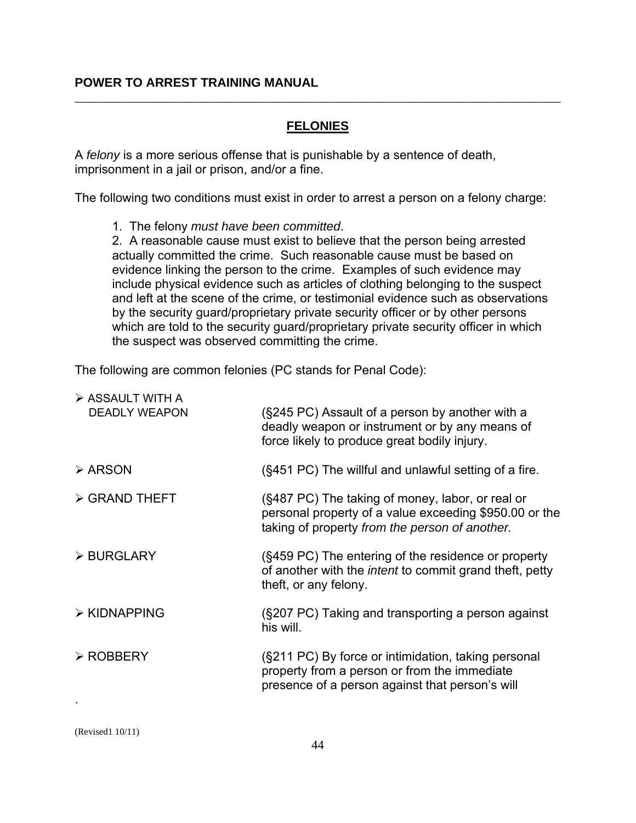### **FELONIES**

\_\_\_\_\_\_\_\_\_\_\_\_\_\_\_\_\_\_\_\_\_\_\_\_\_\_\_\_\_\_\_\_\_\_\_\_\_\_\_\_\_\_\_\_\_\_\_\_\_\_\_\_\_\_\_\_\_\_\_\_\_\_\_\_\_\_\_\_\_\_\_\_\_\_\_\_\_\_

A *felony* is a more serious offense that is punishable by a sentence of death, imprisonment in a jail or prison, and/or a fine.

The following two conditions must exist in order to arrest a person on a felony charge:

1. The felony *must have been committed*.

2. A reasonable cause must exist to believe that the person being arrested actually committed the crime. Such reasonable cause must be based on evidence linking the person to the crime. Examples of such evidence may include physical evidence such as articles of clothing belonging to the suspect and left at the scene of the crime, or testimonial evidence such as observations by the security guard/proprietary private security officer or by other persons which are told to the security guard/proprietary private security officer in which the suspect was observed committing the crime.

The following are common felonies (PC stands for Penal Code):

| > ASSAULT WITH A             |                                                                                                                                                              |
|------------------------------|--------------------------------------------------------------------------------------------------------------------------------------------------------------|
| <b>DEADLY WEAPON</b>         | (§245 PC) Assault of a person by another with a<br>deadly weapon or instrument or by any means of<br>force likely to produce great bodily injury.            |
| $\triangleright$ ARSON       | (§451 PC) The willful and unlawful setting of a fire.                                                                                                        |
| $\triangleright$ GRAND THEFT | (§487 PC) The taking of money, labor, or real or<br>personal property of a value exceeding \$950.00 or the<br>taking of property from the person of another. |
| > BURGLARY                   | (§459 PC) The entering of the residence or property<br>of another with the <i>intent</i> to commit grand theft, petty<br>theft, or any felony.               |
| $\triangleright$ KIDNAPPING  | (§207 PC) Taking and transporting a person against<br>his will.                                                                                              |
| > ROBBERY                    | (§211 PC) By force or intimidation, taking personal<br>property from a person or from the immediate<br>presence of a person against that person's will       |
|                              |                                                                                                                                                              |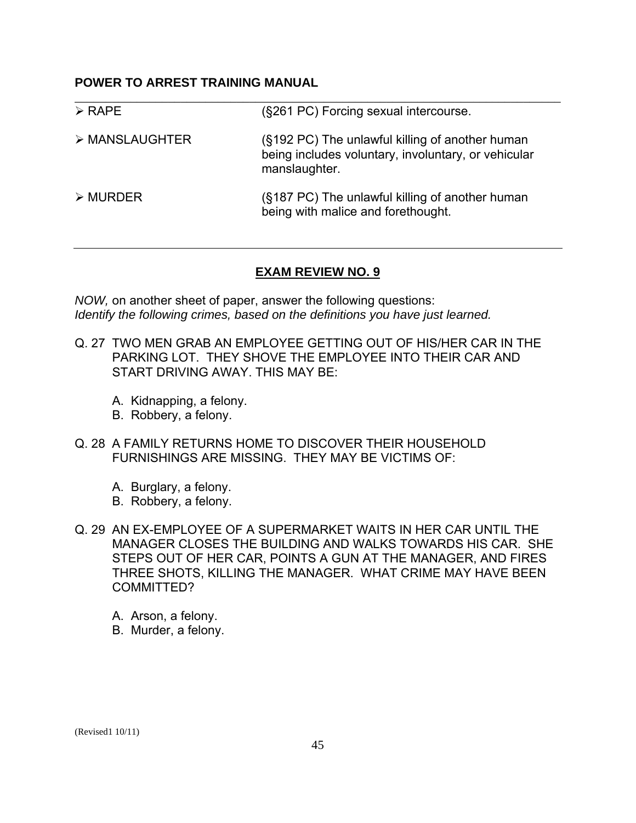| $\triangleright$ RAPE   | (§261 PC) Forcing sexual intercourse.                                                                                   |
|-------------------------|-------------------------------------------------------------------------------------------------------------------------|
| > MANSLAUGHTER          | (§192 PC) The unlawful killing of another human<br>being includes voluntary, involuntary, or vehicular<br>manslaughter. |
| $\triangleright$ MURDER | (§187 PC) The unlawful killing of another human<br>being with malice and forethought.                                   |

#### **EXAM REVIEW NO. 9**

*NOW,* on another sheet of paper, answer the following questions: *Identify the following crimes, based on the definitions you have just learned.*

- Q. 27 TWO MEN GRAB AN EMPLOYEE GETTING OUT OF HIS/HER CAR IN THE PARKING LOT. THEY SHOVE THE EMPLOYEE INTO THEIR CAR AND START DRIVING AWAY. THIS MAY BE:
	- A. Kidnapping, a felony.
	- B. Robbery, a felony.
- Q. 28 A FAMILY RETURNS HOME TO DISCOVER THEIR HOUSEHOLD FURNISHINGS ARE MISSING. THEY MAY BE VICTIMS OF:
	- A. Burglary, a felony.
	- B. Robbery, a felony.
- Q. 29 AN EX-EMPLOYEE OF A SUPERMARKET WAITS IN HER CAR UNTIL THE MANAGER CLOSES THE BUILDING AND WALKS TOWARDS HIS CAR. SHE STEPS OUT OF HER CAR, POINTS A GUN AT THE MANAGER, AND FIRES THREE SHOTS, KILLING THE MANAGER. WHAT CRIME MAY HAVE BEEN COMMITTED?
	- A. Arson, a felony.
	- B. Murder, a felony.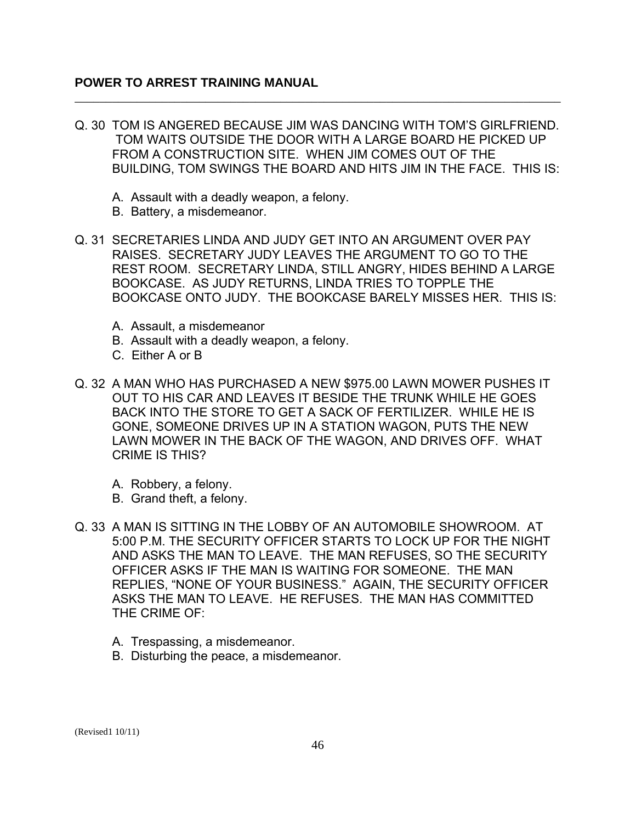Q. 30 TOM IS ANGERED BECAUSE JIM WAS DANCING WITH TOM'S GIRLFRIEND. TOM WAITS OUTSIDE THE DOOR WITH A LARGE BOARD HE PICKED UP FROM A CONSTRUCTION SITE. WHEN JIM COMES OUT OF THE BUILDING, TOM SWINGS THE BOARD AND HITS JIM IN THE FACE. THIS IS:

\_\_\_\_\_\_\_\_\_\_\_\_\_\_\_\_\_\_\_\_\_\_\_\_\_\_\_\_\_\_\_\_\_\_\_\_\_\_\_\_\_\_\_\_\_\_\_\_\_\_\_\_\_\_\_\_\_\_\_\_\_\_\_\_\_\_\_\_\_\_\_\_\_\_\_\_\_\_

- A. Assault with a deadly weapon, a felony.
- B. Battery, a misdemeanor.
- Q. 31 SECRETARIES LINDA AND JUDY GET INTO AN ARGUMENT OVER PAY RAISES. SECRETARY JUDY LEAVES THE ARGUMENT TO GO TO THE REST ROOM. SECRETARY LINDA, STILL ANGRY, HIDES BEHIND A LARGE BOOKCASE. AS JUDY RETURNS, LINDA TRIES TO TOPPLE THE BOOKCASE ONTO JUDY. THE BOOKCASE BARELY MISSES HER. THIS IS:
	- A. Assault, a misdemeanor
	- B. Assault with a deadly weapon, a felony.
	- C. Either A or B
- Q. 32 A MAN WHO HAS PURCHASED A NEW \$975.00 LAWN MOWER PUSHES IT OUT TO HIS CAR AND LEAVES IT BESIDE THE TRUNK WHILE HE GOES BACK INTO THE STORE TO GET A SACK OF FERTILIZER. WHILE HE IS GONE, SOMEONE DRIVES UP IN A STATION WAGON, PUTS THE NEW LAWN MOWER IN THE BACK OF THE WAGON, AND DRIVES OFF. WHAT CRIME IS THIS?
	- A. Robbery, a felony.
	- B. Grand theft, a felony.
- Q. 33 A MAN IS SITTING IN THE LOBBY OF AN AUTOMOBILE SHOWROOM. AT 5:00 P.M. THE SECURITY OFFICER STARTS TO LOCK UP FOR THE NIGHT AND ASKS THE MAN TO LEAVE. THE MAN REFUSES, SO THE SECURITY OFFICER ASKS IF THE MAN IS WAITING FOR SOMEONE. THE MAN REPLIES, "NONE OF YOUR BUSINESS." AGAIN, THE SECURITY OFFICER ASKS THE MAN TO LEAVE. HE REFUSES. THE MAN HAS COMMITTED THE CRIME OF:
	- A. Trespassing, a misdemeanor.
	- B. Disturbing the peace, a misdemeanor.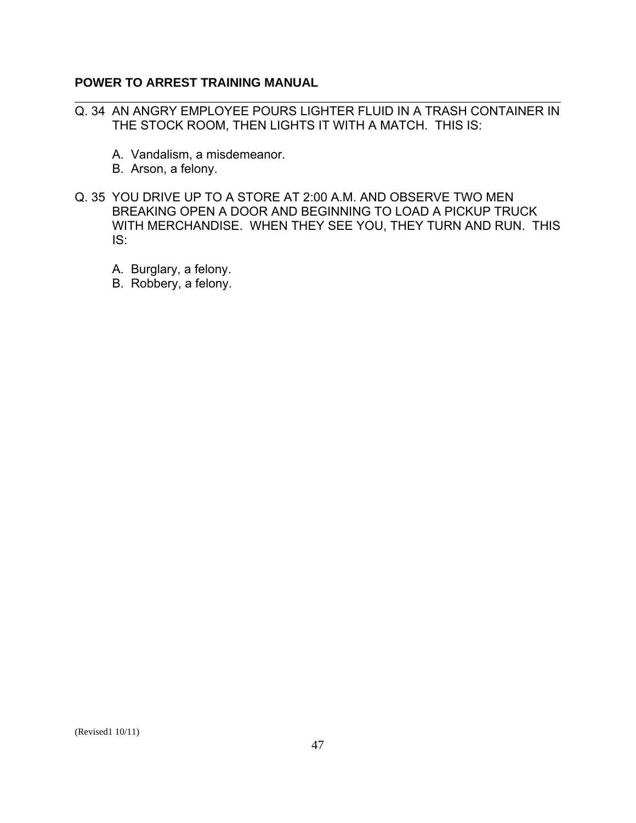Q. 34 AN ANGRY EMPLOYEE POURS LIGHTER FLUID IN A TRASH CONTAINER IN THE STOCK ROOM, THEN LIGHTS IT WITH A MATCH. THIS IS:

\_\_\_\_\_\_\_\_\_\_\_\_\_\_\_\_\_\_\_\_\_\_\_\_\_\_\_\_\_\_\_\_\_\_\_\_\_\_\_\_\_\_\_\_\_\_\_\_\_\_\_\_\_\_\_\_\_\_\_\_\_\_\_\_\_\_\_\_\_\_\_\_\_\_\_\_\_\_

- A. Vandalism, a misdemeanor.
- B. Arson, a felony.
- Q. 35 YOU DRIVE UP TO A STORE AT 2:00 A.M. AND OBSERVE TWO MEN BREAKING OPEN A DOOR AND BEGINNING TO LOAD A PICKUP TRUCK WITH MERCHANDISE. WHEN THEY SEE YOU, THEY TURN AND RUN. THIS IS:
	- A. Burglary, a felony.
	- B. Robbery, a felony.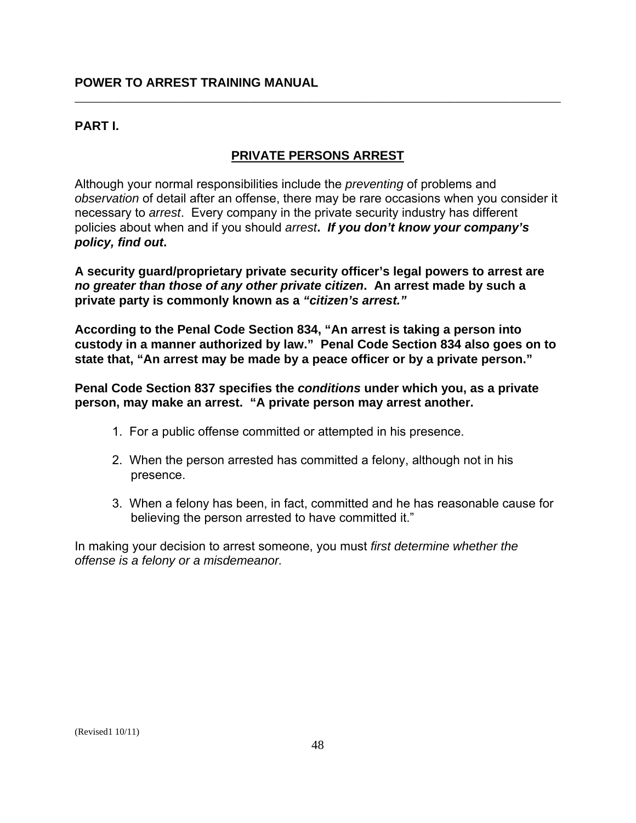### **PART I.**

### **PRIVATE PERSONS ARREST**

\_\_\_\_\_\_\_\_\_\_\_\_\_\_\_\_\_\_\_\_\_\_\_\_\_\_\_\_\_\_\_\_\_\_\_\_\_\_\_\_\_\_\_\_\_\_\_\_\_\_\_\_\_\_\_\_\_\_\_\_\_\_\_\_\_\_\_\_\_\_\_\_\_\_\_\_\_\_

Although your normal responsibilities include the *preventing* of problems and *observation* of detail after an offense, there may be rare occasions when you consider it necessary to *arrest*. Every company in the private security industry has different policies about when and if you should *arrest***.** *If you don't know your company's policy, find out***.** 

**A security guard/proprietary private security officer's legal powers to arrest are**  *no greater than those of any other private citizen***. An arrest made by such a private party is commonly known as a** *"citizen's arrest."* 

**According to the Penal Code Section 834, "An arrest is taking a person into custody in a manner authorized by law." Penal Code Section 834 also goes on to state that, "An arrest may be made by a peace officer or by a private person."** 

**Penal Code Section 837 specifies the** *conditions* **under which you, as a private person, may make an arrest. "A private person may arrest another.** 

- 1. For a public offense committed or attempted in his presence.
- 2. When the person arrested has committed a felony, although not in his presence.
- 3. When a felony has been, in fact, committed and he has reasonable cause for believing the person arrested to have committed it."

In making your decision to arrest someone, you must *first determine whether the offense is a felony or a misdemeanor.*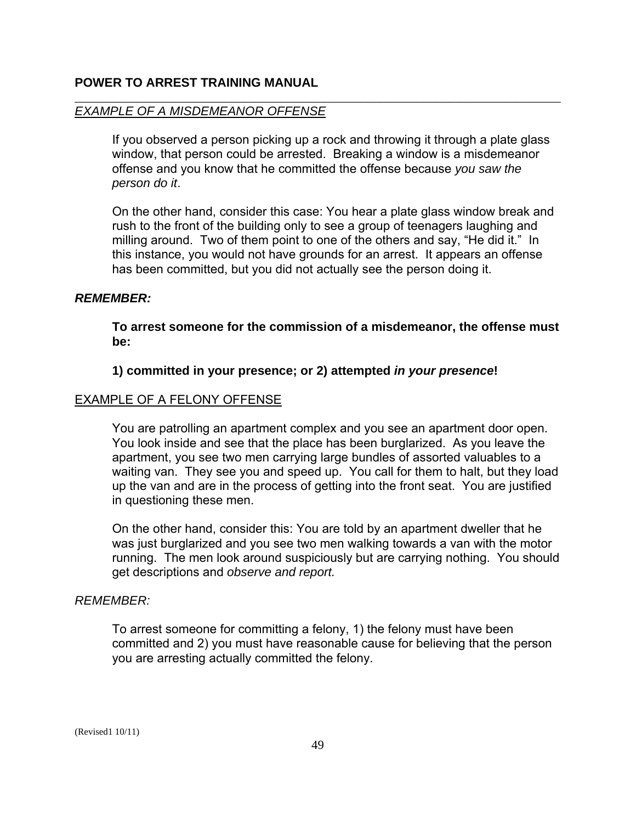#### *EXAMPLE OF A MISDEMEANOR OFFENSE*

If you observed a person picking up a rock and throwing it through a plate glass window, that person could be arrested. Breaking a window is a misdemeanor offense and you know that he committed the offense because *you saw the person do it*.

\_\_\_\_\_\_\_\_\_\_\_\_\_\_\_\_\_\_\_\_\_\_\_\_\_\_\_\_\_\_\_\_\_\_\_\_\_\_\_\_\_\_\_\_\_\_\_\_\_\_\_\_\_\_\_\_\_\_\_\_\_\_\_\_\_\_\_\_\_\_\_\_\_\_\_\_\_\_

On the other hand, consider this case: You hear a plate glass window break and rush to the front of the building only to see a group of teenagers laughing and milling around. Two of them point to one of the others and say, "He did it." In this instance, you would not have grounds for an arrest. It appears an offense has been committed, but you did not actually see the person doing it.

#### *REMEMBER:*

**To arrest someone for the commission of a misdemeanor, the offense must be:** 

#### **1) committed in your presence; or 2) attempted** *in your presence***!**

#### EXAMPLE OF A FELONY OFFENSE

You are patrolling an apartment complex and you see an apartment door open. You look inside and see that the place has been burglarized. As you leave the apartment, you see two men carrying large bundles of assorted valuables to a waiting van. They see you and speed up. You call for them to halt, but they load up the van and are in the process of getting into the front seat. You are justified in questioning these men.

On the other hand, consider this: You are told by an apartment dweller that he was just burglarized and you see two men walking towards a van with the motor running. The men look around suspiciously but are carrying nothing. You should get descriptions and *observe and report.* 

#### *REMEMBER:*

To arrest someone for committing a felony, 1) the felony must have been committed and 2) you must have reasonable cause for believing that the person you are arresting actually committed the felony.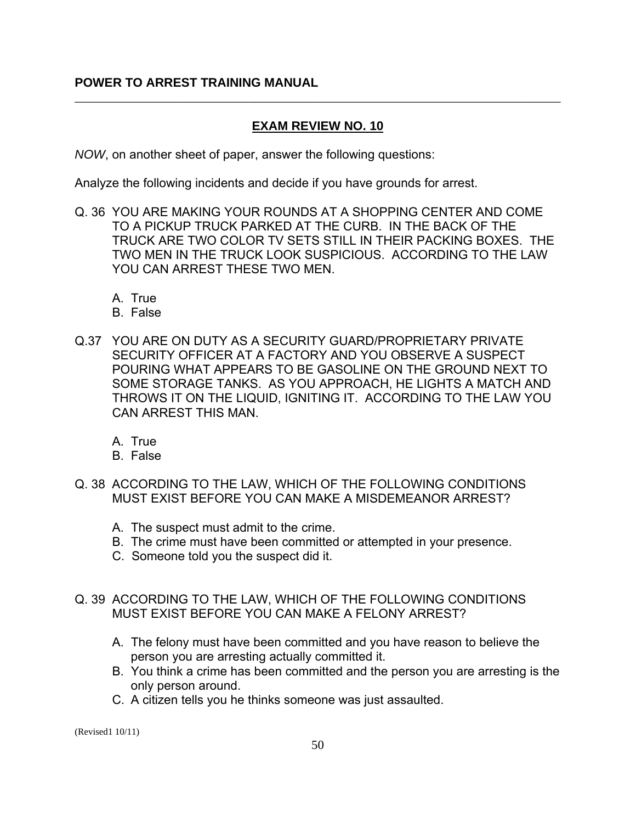### **EXAM REVIEW NO. 10**

\_\_\_\_\_\_\_\_\_\_\_\_\_\_\_\_\_\_\_\_\_\_\_\_\_\_\_\_\_\_\_\_\_\_\_\_\_\_\_\_\_\_\_\_\_\_\_\_\_\_\_\_\_\_\_\_\_\_\_\_\_\_\_\_\_\_\_\_\_\_\_\_\_\_\_\_\_\_

*NOW*, on another sheet of paper, answer the following questions:

Analyze the following incidents and decide if you have grounds for arrest.

- Q. 36 YOU ARE MAKING YOUR ROUNDS AT A SHOPPING CENTER AND COME TO A PICKUP TRUCK PARKED AT THE CURB. IN THE BACK OF THE TRUCK ARE TWO COLOR TV SETS STILL IN THEIR PACKING BOXES. THE TWO MEN IN THE TRUCK LOOK SUSPICIOUS. ACCORDING TO THE LAW YOU CAN ARREST THESE TWO MEN.
	- A. True
	- B. False
- Q.37 YOU ARE ON DUTY AS A SECURITY GUARD/PROPRIETARY PRIVATE SECURITY OFFICER AT A FACTORY AND YOU OBSERVE A SUSPECT POURING WHAT APPEARS TO BE GASOLINE ON THE GROUND NEXT TO SOME STORAGE TANKS. AS YOU APPROACH, HE LIGHTS A MATCH AND THROWS IT ON THE LIQUID, IGNITING IT. ACCORDING TO THE LAW YOU CAN ARREST THIS MAN.
	- A. True
	- B. False
- Q. 38 ACCORDING TO THE LAW, WHICH OF THE FOLLOWING CONDITIONS MUST EXIST BEFORE YOU CAN MAKE A MISDEMEANOR ARREST?
	- A. The suspect must admit to the crime.
	- B. The crime must have been committed or attempted in your presence.
	- C. Someone told you the suspect did it.
- Q. 39 ACCORDING TO THE LAW, WHICH OF THE FOLLOWING CONDITIONS MUST EXIST BEFORE YOU CAN MAKE A FELONY ARREST?
	- A. The felony must have been committed and you have reason to believe the person you are arresting actually committed it.
	- B. You think a crime has been committed and the person you are arresting is the only person around.
	- C. A citizen tells you he thinks someone was just assaulted.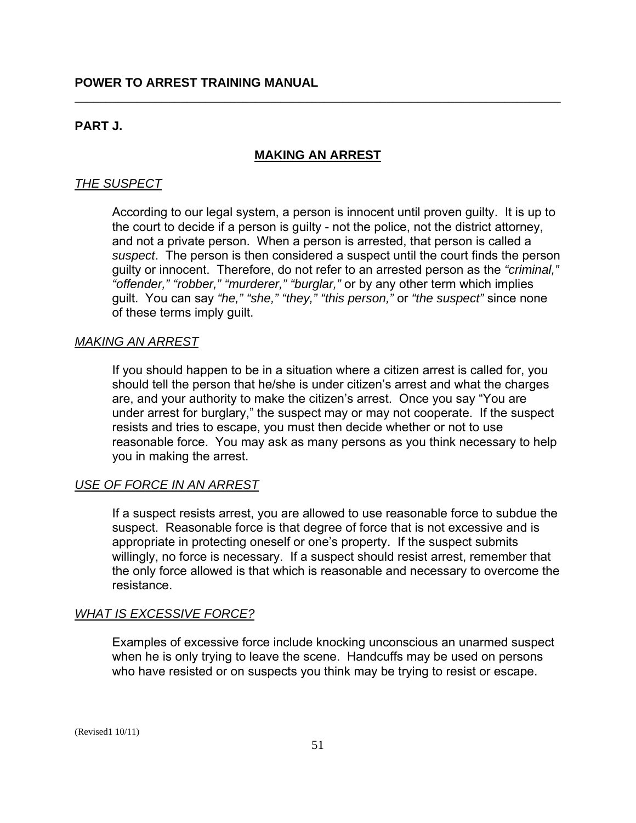### **PART J.**

### **MAKING AN ARREST**

\_\_\_\_\_\_\_\_\_\_\_\_\_\_\_\_\_\_\_\_\_\_\_\_\_\_\_\_\_\_\_\_\_\_\_\_\_\_\_\_\_\_\_\_\_\_\_\_\_\_\_\_\_\_\_\_\_\_\_\_\_\_\_\_\_\_\_\_\_\_\_\_\_\_\_\_\_\_

### *THE SUSPECT*

According to our legal system, a person is innocent until proven guilty. It is up to the court to decide if a person is guilty - not the police, not the district attorney, and not a private person. When a person is arrested, that person is called a *suspect*. The person is then considered a suspect until the court finds the person guilty or innocent. Therefore, do not refer to an arrested person as the *"criminal," "offender," "robber," "murderer," "burglar,"* or by any other term which implies guilt. You can say *"he," "she," "they," "this person,"* or *"the suspect"* since none of these terms imply guilt.

#### *MAKING AN ARREST*

If you should happen to be in a situation where a citizen arrest is called for, you should tell the person that he/she is under citizen's arrest and what the charges are, and your authority to make the citizen's arrest. Once you say "You are under arrest for burglary," the suspect may or may not cooperate. If the suspect resists and tries to escape, you must then decide whether or not to use reasonable force. You may ask as many persons as you think necessary to help you in making the arrest.

### *USE OF FORCE IN AN ARREST*

If a suspect resists arrest, you are allowed to use reasonable force to subdue the suspect. Reasonable force is that degree of force that is not excessive and is appropriate in protecting oneself or one's property. If the suspect submits willingly, no force is necessary. If a suspect should resist arrest, remember that the only force allowed is that which is reasonable and necessary to overcome the resistance.

#### *WHAT IS EXCESSIVE FORCE?*

Examples of excessive force include knocking unconscious an unarmed suspect when he is only trying to leave the scene. Handcuffs may be used on persons who have resisted or on suspects you think may be trying to resist or escape.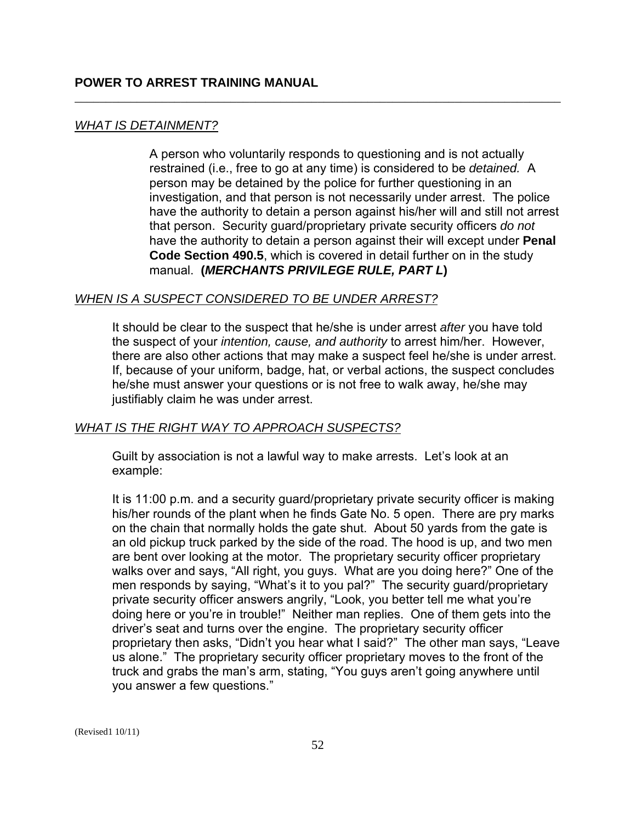### *WHAT IS DETAINMENT?*

 manual. **(***MERCHANTS PRIVILEGE RULE, PART L***)** A person who voluntarily responds to questioning and is not actually restrained (i.e., free to go at any time) is considered to be *detained.* A person may be detained by the police for further questioning in an investigation, and that person is not necessarily under arrest. The police have the authority to detain a person against his/her will and still not arrest that person. Security guard/proprietary private security officers *do not*  have the authority to detain a person against their will except under **Penal Code Section 490.5**, which is covered in detail further on in the study

\_\_\_\_\_\_\_\_\_\_\_\_\_\_\_\_\_\_\_\_\_\_\_\_\_\_\_\_\_\_\_\_\_\_\_\_\_\_\_\_\_\_\_\_\_\_\_\_\_\_\_\_\_\_\_\_\_\_\_\_\_\_\_\_\_\_\_\_\_\_\_\_\_\_\_\_\_\_

### *WHEN IS A SUSPECT CONSIDERED TO BE UNDER ARREST?*

It should be clear to the suspect that he/she is under arrest *after* you have told the suspect of your *intention, cause, and authority* to arrest him/her. However, there are also other actions that may make a suspect feel he/she is under arrest. If, because of your uniform, badge, hat, or verbal actions, the suspect concludes he/she must answer your questions or is not free to walk away, he/she may justifiably claim he was under arrest.

### *WHAT IS THE RIGHT WAY TO APPROACH SUSPECTS?*

Guilt by association is not a lawful way to make arrests. Let's look at an example:

It is 11:00 p.m. and a security guard/proprietary private security officer is making his/her rounds of the plant when he finds Gate No. 5 open. There are pry marks on the chain that normally holds the gate shut. About 50 yards from the gate is an old pickup truck parked by the side of the road. The hood is up, and two men are bent over looking at the motor. The proprietary security officer proprietary walks over and says, "All right, you guys. What are you doing here?" One of the men responds by saying, "What's it to you pal?" The security guard/proprietary private security officer answers angrily, "Look, you better tell me what you're doing here or you're in trouble!" Neither man replies. One of them gets into the driver's seat and turns over the engine. The proprietary security officer proprietary then asks, "Didn't you hear what I said?" The other man says, "Leave us alone." The proprietary security officer proprietary moves to the front of the truck and grabs the man's arm, stating, "You guys aren't going anywhere until you answer a few questions."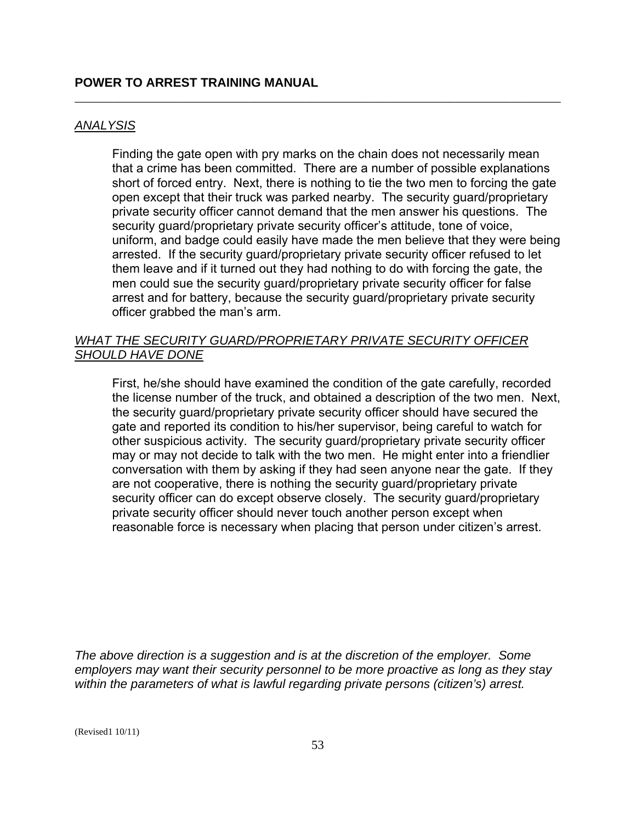### *ANALYSIS*

Finding the gate open with pry marks on the chain does not necessarily mean that a crime has been committed. There are a number of possible explanations short of forced entry. Next, there is nothing to tie the two men to forcing the gate open except that their truck was parked nearby. The security guard/proprietary private security officer cannot demand that the men answer his questions. The security guard/proprietary private security officer's attitude, tone of voice, uniform, and badge could easily have made the men believe that they were being arrested. If the security guard/proprietary private security officer refused to let them leave and if it turned out they had nothing to do with forcing the gate, the men could sue the security guard/proprietary private security officer for false arrest and for battery, because the security guard/proprietary private security officer grabbed the man's arm.

\_\_\_\_\_\_\_\_\_\_\_\_\_\_\_\_\_\_\_\_\_\_\_\_\_\_\_\_\_\_\_\_\_\_\_\_\_\_\_\_\_\_\_\_\_\_\_\_\_\_\_\_\_\_\_\_\_\_\_\_\_\_\_\_\_\_\_\_\_\_\_\_\_\_\_\_\_\_

### *WHAT THE SECURITY GUARD/PROPRIETARY PRIVATE SECURITY OFFICER SHOULD HAVE DONE*

First, he/she should have examined the condition of the gate carefully, recorded the license number of the truck, and obtained a description of the two men. Next, the security guard/proprietary private security officer should have secured the gate and reported its condition to his/her supervisor, being careful to watch for other suspicious activity. The security guard/proprietary private security officer may or may not decide to talk with the two men. He might enter into a friendlier conversation with them by asking if they had seen anyone near the gate. If they are not cooperative, there is nothing the security guard/proprietary private security officer can do except observe closely. The security guard/proprietary private security officer should never touch another person except when reasonable force is necessary when placing that person under citizen's arrest.

*The above direction is a suggestion and is at the discretion of the employer. Some employers may want their security personnel to be more proactive as long as they stay within the parameters of what is lawful regarding private persons (citizen's) arrest.*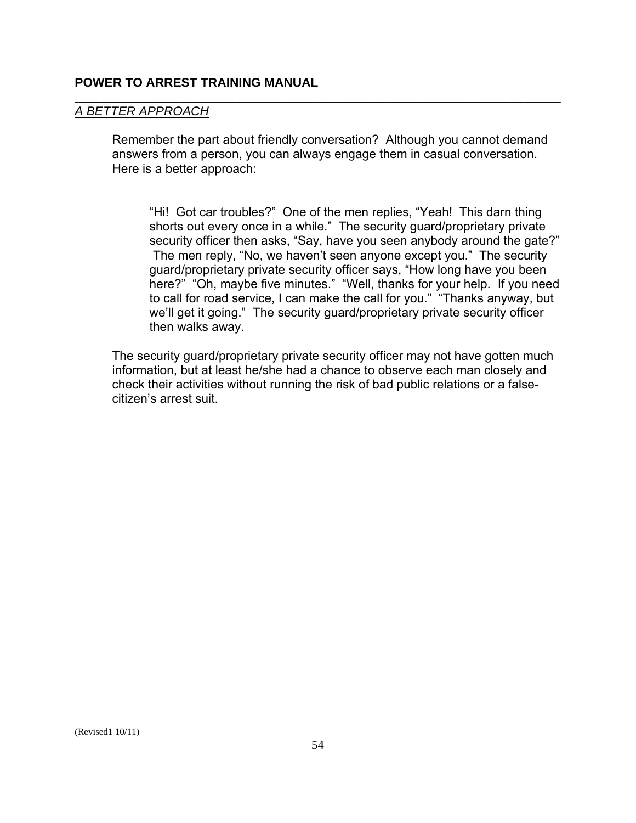#### *A BETTER APPROACH*

Remember the part about friendly conversation? Although you cannot demand answers from a person, you can always engage them in casual conversation. Here is a better approach:

\_\_\_\_\_\_\_\_\_\_\_\_\_\_\_\_\_\_\_\_\_\_\_\_\_\_\_\_\_\_\_\_\_\_\_\_\_\_\_\_\_\_\_\_\_\_\_\_\_\_\_\_\_\_\_\_\_\_\_\_\_\_\_\_\_\_\_\_\_\_\_\_\_\_\_\_\_\_

"Hi! Got car troubles?" One of the men replies, "Yeah! This darn thing shorts out every once in a while." The security guard/proprietary private security officer then asks, "Say, have you seen anybody around the gate?" The men reply, "No, we haven't seen anyone except you." The security guard/proprietary private security officer says, "How long have you been here?" "Oh, maybe five minutes." "Well, thanks for your help. If you need to call for road service, I can make the call for you." "Thanks anyway, but we'll get it going." The security guard/proprietary private security officer then walks away.

The security guard/proprietary private security officer may not have gotten much information, but at least he/she had a chance to observe each man closely and check their activities without running the risk of bad public relations or a falsecitizen's arrest suit.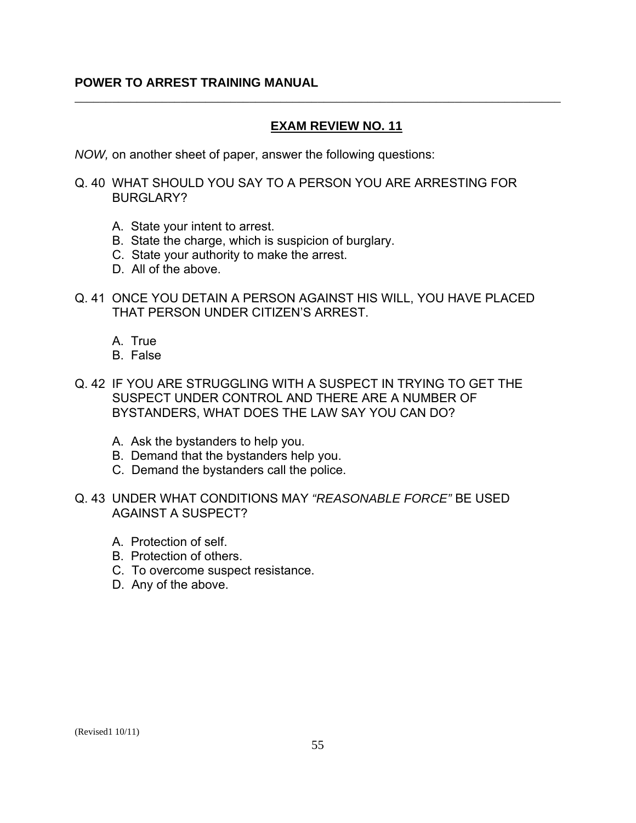### **EXAM REVIEW NO. 11**

\_\_\_\_\_\_\_\_\_\_\_\_\_\_\_\_\_\_\_\_\_\_\_\_\_\_\_\_\_\_\_\_\_\_\_\_\_\_\_\_\_\_\_\_\_\_\_\_\_\_\_\_\_\_\_\_\_\_\_\_\_\_\_\_\_\_\_\_\_\_\_\_\_\_\_\_\_\_

*NOW,* on another sheet of paper, answer the following questions:

Q. 40 WHAT SHOULD YOU SAY TO A PERSON YOU ARE ARRESTING FOR BURGLARY?

- A. State your intent to arrest.
- B. State the charge, which is suspicion of burglary.
- C. State your authority to make the arrest.
- D. All of the above.
- Q. 41 ONCE YOU DETAIN A PERSON AGAINST HIS WILL, YOU HAVE PLACED THAT PERSON UNDER CITIZEN'S ARREST.
	- A. True
	- B. False
- Q. 42 IF YOU ARE STRUGGLING WITH A SUSPECT IN TRYING TO GET THE SUSPECT UNDER CONTROL AND THERE ARE A NUMBER OF BYSTANDERS, WHAT DOES THE LAW SAY YOU CAN DO?
	- A. Ask the bystanders to help you.
	- B. Demand that the bystanders help you.
	- C. Demand the bystanders call the police.
- Q. 43 UNDER WHAT CONDITIONS MAY *"REASONABLE FORCE"* BE USED AGAINST A SUSPECT?
	- A. Protection of self.
	- B. Protection of others.
	- C. To overcome suspect resistance.
	- D. Any of the above.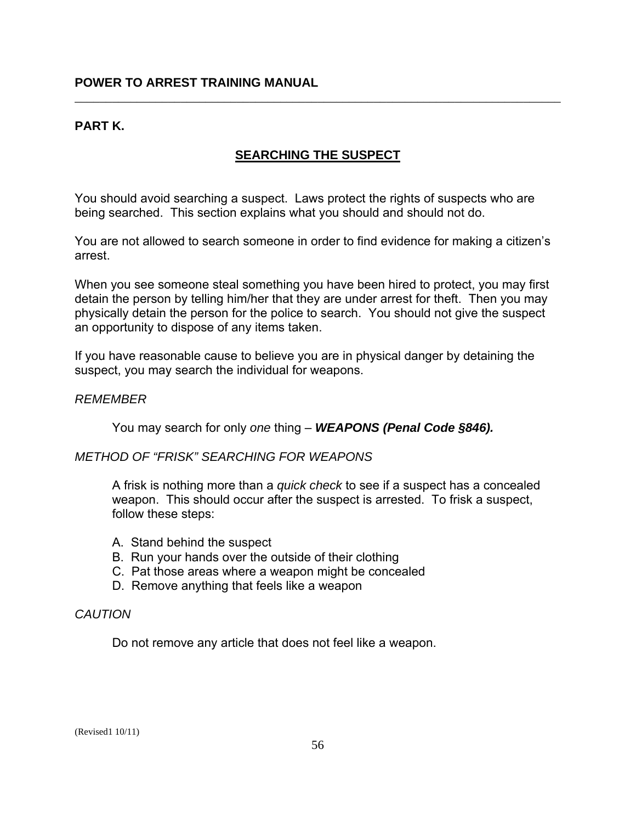### **PART K.**

### **SEARCHING THE SUSPECT**

\_\_\_\_\_\_\_\_\_\_\_\_\_\_\_\_\_\_\_\_\_\_\_\_\_\_\_\_\_\_\_\_\_\_\_\_\_\_\_\_\_\_\_\_\_\_\_\_\_\_\_\_\_\_\_\_\_\_\_\_\_\_\_\_\_\_\_\_\_\_\_\_\_\_\_\_\_\_

You should avoid searching a suspect. Laws protect the rights of suspects who are being searched. This section explains what you should and should not do.

You are not allowed to search someone in order to find evidence for making a citizen's arrest.

When you see someone steal something you have been hired to protect, you may first detain the person by telling him/her that they are under arrest for theft. Then you may physically detain the person for the police to search. You should not give the suspect an opportunity to dispose of any items taken.

If you have reasonable cause to believe you are in physical danger by detaining the suspect, you may search the individual for weapons.

#### *REMEMBER*

You may search for only *one* thing – *WEAPONS (Penal Code §846).* 

#### *METHOD OF "FRISK" SEARCHING FOR WEAPONS*

A frisk is nothing more than a *quick check* to see if a suspect has a concealed weapon. This should occur after the suspect is arrested. To frisk a suspect, follow these steps:

- A. Stand behind the suspect
- B. Run your hands over the outside of their clothing
- C. Pat those areas where a weapon might be concealed
- D. Remove anything that feels like a weapon

#### *CAUTION*

Do not remove any article that does not feel like a weapon.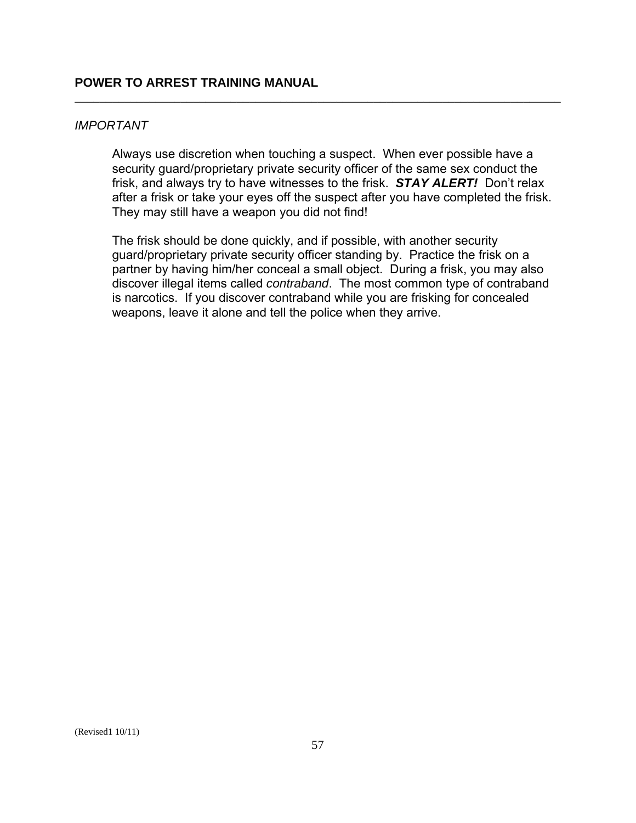### *IMPORTANT*

 frisk, and always try to have witnesses to the frisk. *STAY ALERT!* Don't relax Always use discretion when touching a suspect. When ever possible have a security guard/proprietary private security officer of the same sex conduct the after a frisk or take your eyes off the suspect after you have completed the frisk. They may still have a weapon you did not find!

\_\_\_\_\_\_\_\_\_\_\_\_\_\_\_\_\_\_\_\_\_\_\_\_\_\_\_\_\_\_\_\_\_\_\_\_\_\_\_\_\_\_\_\_\_\_\_\_\_\_\_\_\_\_\_\_\_\_\_\_\_\_\_\_\_\_\_\_\_\_\_\_\_\_\_\_\_\_

The frisk should be done quickly, and if possible, with another security guard/proprietary private security officer standing by. Practice the frisk on a partner by having him/her conceal a small object. During a frisk, you may also discover illegal items called *contraband*. The most common type of contraband is narcotics. If you discover contraband while you are frisking for concealed weapons, leave it alone and tell the police when they arrive.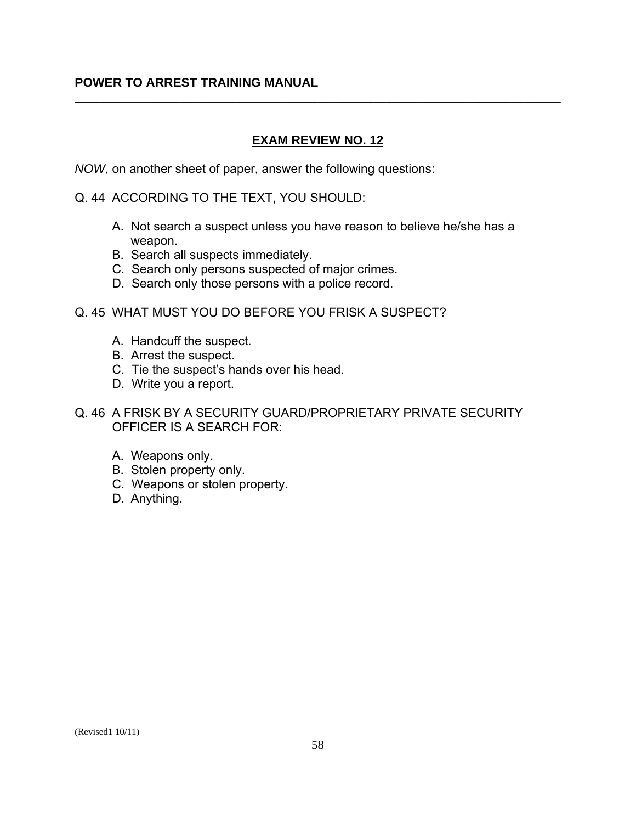### **EXAM REVIEW NO. 12**

\_\_\_\_\_\_\_\_\_\_\_\_\_\_\_\_\_\_\_\_\_\_\_\_\_\_\_\_\_\_\_\_\_\_\_\_\_\_\_\_\_\_\_\_\_\_\_\_\_\_\_\_\_\_\_\_\_\_\_\_\_\_\_\_\_\_\_\_\_\_\_\_\_\_\_\_\_\_

*NOW*, on another sheet of paper, answer the following questions:

Q. 44 ACCORDING TO THE TEXT, YOU SHOULD:

- A. Not search a suspect unless you have reason to believe he/she has a weapon.
- B. Search all suspects immediately.
- C. Search only persons suspected of major crimes.
- D. Search only those persons with a police record.
- Q. 45 WHAT MUST YOU DO BEFORE YOU FRISK A SUSPECT?
	- A. Handcuff the suspect.
	- B. Arrest the suspect.
	- C. Tie the suspect's hands over his head.
	- D. Write you a report.
- Q. 46 A FRISK BY A SECURITY GUARD/PROPRIETARY PRIVATE SECURITY OFFICER IS A SEARCH FOR:
	- A. Weapons only.
	- B. Stolen property only.
	- C. Weapons or stolen property.
	- D. Anything.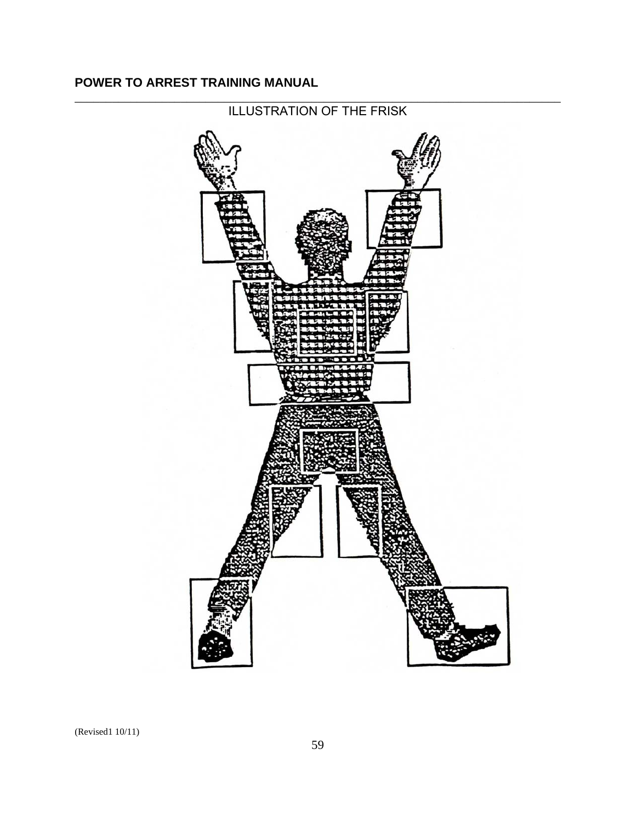

#### \_\_\_\_\_\_\_\_\_\_\_\_\_\_\_\_\_\_\_\_\_\_\_\_\_\_\_\_\_\_\_\_\_\_\_\_\_\_\_\_\_\_\_\_\_\_\_\_\_\_\_\_\_\_\_\_\_\_\_\_\_\_\_\_\_\_\_\_\_\_\_\_\_\_\_\_\_\_ ILLUSTRATION OF THE FRISK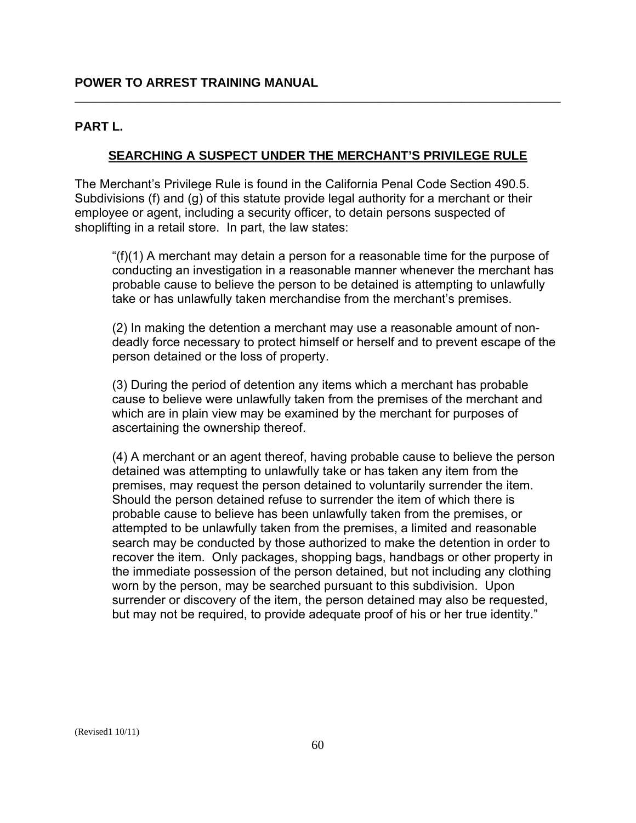### **PART L.**

### **SEARCHING A SUSPECT UNDER THE MERCHANT'S PRIVILEGE RULE**

\_\_\_\_\_\_\_\_\_\_\_\_\_\_\_\_\_\_\_\_\_\_\_\_\_\_\_\_\_\_\_\_\_\_\_\_\_\_\_\_\_\_\_\_\_\_\_\_\_\_\_\_\_\_\_\_\_\_\_\_\_\_\_\_\_\_\_\_\_\_\_\_\_\_\_\_\_\_

The Merchant's Privilege Rule is found in the California Penal Code Section 490.5. Subdivisions (f) and (g) of this statute provide legal authority for a merchant or their employee or agent, including a security officer, to detain persons suspected of shoplifting in a retail store. In part, the law states:

"(f)(1) A merchant may detain a person for a reasonable time for the purpose of conducting an investigation in a reasonable manner whenever the merchant has probable cause to believe the person to be detained is attempting to unlawfully take or has unlawfully taken merchandise from the merchant's premises.

(2) In making the detention a merchant may use a reasonable amount of nondeadly force necessary to protect himself or herself and to prevent escape of the person detained or the loss of property.

(3) During the period of detention any items which a merchant has probable cause to believe were unlawfully taken from the premises of the merchant and which are in plain view may be examined by the merchant for purposes of ascertaining the ownership thereof.

(4) A merchant or an agent thereof, having probable cause to believe the person detained was attempting to unlawfully take or has taken any item from the premises, may request the person detained to voluntarily surrender the item. Should the person detained refuse to surrender the item of which there is probable cause to believe has been unlawfully taken from the premises, or attempted to be unlawfully taken from the premises, a limited and reasonable search may be conducted by those authorized to make the detention in order to recover the item. Only packages, shopping bags, handbags or other property in the immediate possession of the person detained, but not including any clothing worn by the person, may be searched pursuant to this subdivision. Upon surrender or discovery of the item, the person detained may also be requested, but may not be required, to provide adequate proof of his or her true identity."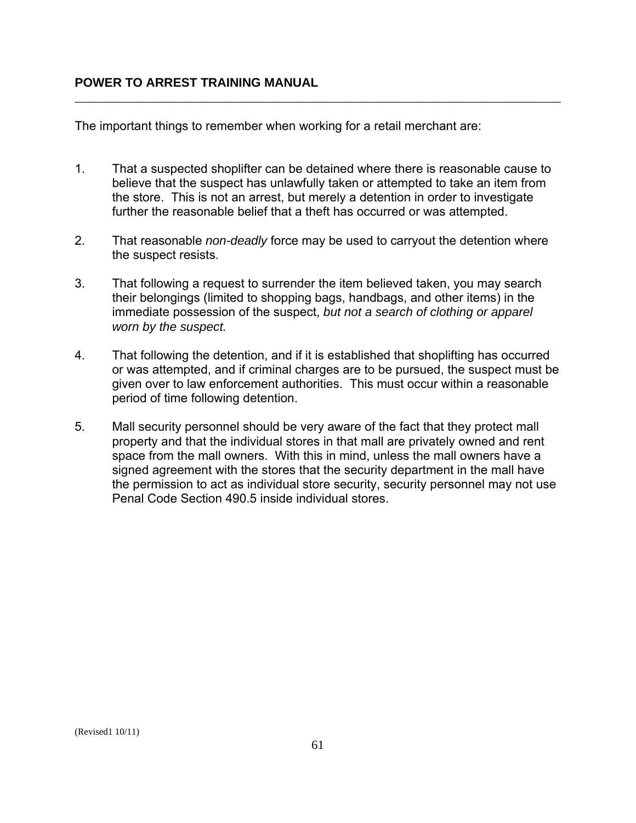The important things to remember when working for a retail merchant are:

1. That a suspected shoplifter can be detained where there is reasonable cause to believe that the suspect has unlawfully taken or attempted to take an item from the store. This is not an arrest, but merely a detention in order to investigate further the reasonable belief that a theft has occurred or was attempted.

\_\_\_\_\_\_\_\_\_\_\_\_\_\_\_\_\_\_\_\_\_\_\_\_\_\_\_\_\_\_\_\_\_\_\_\_\_\_\_\_\_\_\_\_\_\_\_\_\_\_\_\_\_\_\_\_\_\_\_\_\_\_\_\_\_\_\_\_\_\_\_\_\_\_\_\_\_\_

- 2. That reasonable *non-deadly* force may be used to carryout the detention where the suspect resists.
- 3. That following a request to surrender the item believed taken, you may search their belongings (limited to shopping bags, handbags, and other items) in the immediate possession of the suspect, *but not a search of clothing or apparel worn by the suspect.*
- 4. That following the detention, and if it is established that shoplifting has occurred or was attempted, and if criminal charges are to be pursued, the suspect must be given over to law enforcement authorities. This must occur within a reasonable period of time following detention.
- 5. Mall security personnel should be very aware of the fact that they protect mall property and that the individual stores in that mall are privately owned and rent space from the mall owners. With this in mind, unless the mall owners have a signed agreement with the stores that the security department in the mall have the permission to act as individual store security, security personnel may not use Penal Code Section 490.5 inside individual stores.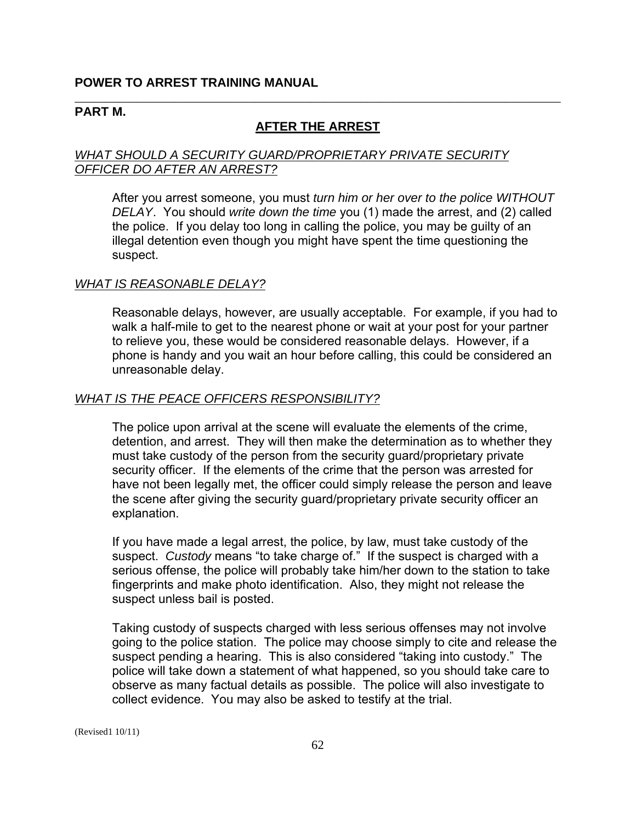#### **PART M.**

### **AFTER THE ARREST**

\_\_\_\_\_\_\_\_\_\_\_\_\_\_\_\_\_\_\_\_\_\_\_\_\_\_\_\_\_\_\_\_\_\_\_\_\_\_\_\_\_\_\_\_\_\_\_\_\_\_\_\_\_\_\_\_\_\_\_\_\_\_\_\_\_\_\_\_\_\_\_\_\_\_\_\_\_\_

### *WHAT SHOULD A SECURITY GUARD/PROPRIETARY PRIVATE SECURITY OFFICER DO AFTER AN ARREST?*

After you arrest someone, you must *turn him or her over to the police WITHOUT DELAY*. You should *write down the time* you (1) made the arrest, and (2) called the police. If you delay too long in calling the police, you may be guilty of an illegal detention even though you might have spent the time questioning the suspect.

#### *WHAT IS REASONABLE DELAY?*

Reasonable delays, however, are usually acceptable. For example, if you had to walk a half-mile to get to the nearest phone or wait at your post for your partner to relieve you, these would be considered reasonable delays. However, if a phone is handy and you wait an hour before calling, this could be considered an unreasonable delay.

#### *WHAT IS THE PEACE OFFICERS RESPONSIBILITY?*

The police upon arrival at the scene will evaluate the elements of the crime, detention, and arrest. They will then make the determination as to whether they must take custody of the person from the security guard/proprietary private security officer. If the elements of the crime that the person was arrested for have not been legally met, the officer could simply release the person and leave the scene after giving the security guard/proprietary private security officer an explanation.

If you have made a legal arrest, the police, by law, must take custody of the suspect. *Custody* means "to take charge of." If the suspect is charged with a serious offense, the police will probably take him/her down to the station to take fingerprints and make photo identification. Also, they might not release the suspect unless bail is posted.

Taking custody of suspects charged with less serious offenses may not involve going to the police station. The police may choose simply to cite and release the suspect pending a hearing. This is also considered "taking into custody." The police will take down a statement of what happened, so you should take care to observe as many factual details as possible. The police will also investigate to collect evidence. You may also be asked to testify at the trial.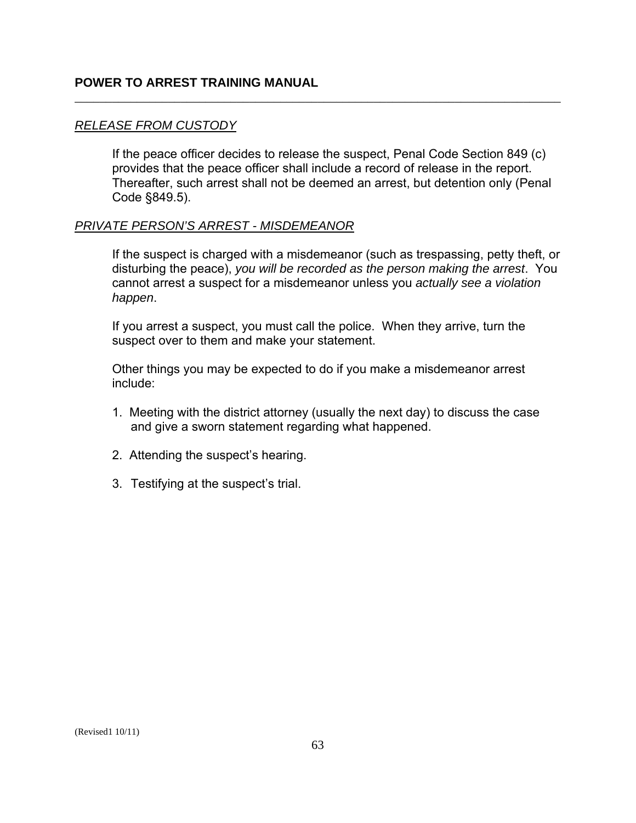#### *RELEASE FROM CUSTODY*

If the peace officer decides to release the suspect, Penal Code Section 849 (c) provides that the peace officer shall include a record of release in the report. Thereafter, such arrest shall not be deemed an arrest, but detention only (Penal Code §849.5).

\_\_\_\_\_\_\_\_\_\_\_\_\_\_\_\_\_\_\_\_\_\_\_\_\_\_\_\_\_\_\_\_\_\_\_\_\_\_\_\_\_\_\_\_\_\_\_\_\_\_\_\_\_\_\_\_\_\_\_\_\_\_\_\_\_\_\_\_\_\_\_\_\_\_\_\_\_\_

#### *PRIVATE PERSON'S ARREST - MISDEMEANOR*

If the suspect is charged with a misdemeanor (such as trespassing, petty theft, or disturbing the peace), *you will be recorded as the person making the arrest*. You cannot arrest a suspect for a misdemeanor unless you *actually see a violation happen*.

If you arrest a suspect, you must call the police. When they arrive, turn the suspect over to them and make your statement.

Other things you may be expected to do if you make a misdemeanor arrest include:

- 1. Meeting with the district attorney (usually the next day) to discuss the case and give a sworn statement regarding what happened.
- 2. Attending the suspect's hearing.
- 3. Testifying at the suspect's trial.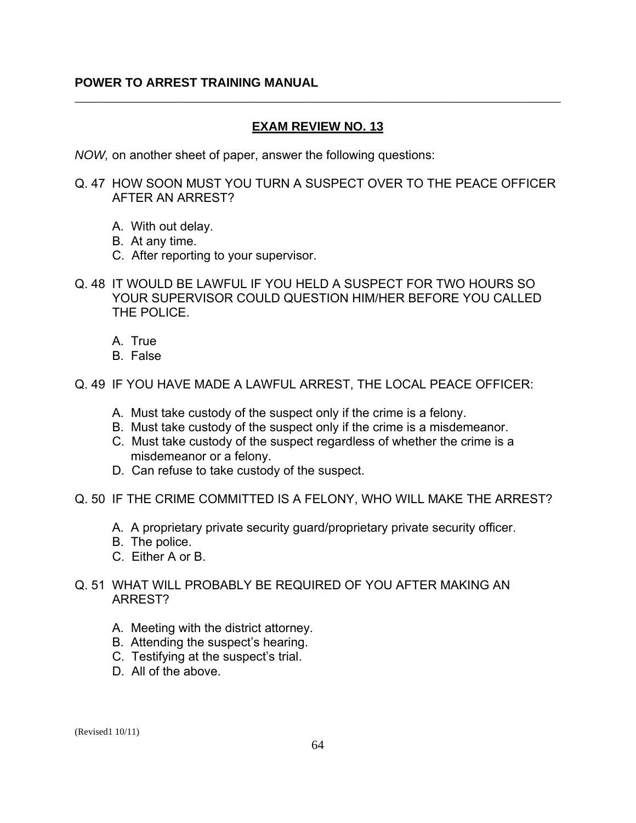### **EXAM REVIEW NO. 13**

\_\_\_\_\_\_\_\_\_\_\_\_\_\_\_\_\_\_\_\_\_\_\_\_\_\_\_\_\_\_\_\_\_\_\_\_\_\_\_\_\_\_\_\_\_\_\_\_\_\_\_\_\_\_\_\_\_\_\_\_\_\_\_\_\_\_\_\_\_\_\_\_\_\_\_\_\_\_

*NOW,* on another sheet of paper, answer the following questions:

Q. 47 HOW SOON MUST YOU TURN A SUSPECT OVER TO THE PEACE OFFICER AFTER AN ARREST?

- A. With out delay.
- B. At any time.
- C. After reporting to your supervisor.
- Q. 48 IT WOULD BE LAWFUL IF YOU HELD A SUSPECT FOR TWO HOURS SO YOUR SUPERVISOR COULD QUESTION HIM/HER BEFORE YOU CALLED THE POLICE.
	- A. True
	- B. False
- Q. 49 IF YOU HAVE MADE A LAWFUL ARREST, THE LOCAL PEACE OFFICER:
	- A. Must take custody of the suspect only if the crime is a felony.
	- B. Must take custody of the suspect only if the crime is a misdemeanor.
	- C. Must take custody of the suspect regardless of whether the crime is a misdemeanor or a felony.
	- D. Can refuse to take custody of the suspect.
- Q. 50 IF THE CRIME COMMITTED IS A FELONY, WHO WILL MAKE THE ARREST?
	- A. A proprietary private security guard/proprietary private security officer.
	- B. The police.
	- C. Either A or B.
- Q. 51 WHAT WILL PROBABLY BE REQUIRED OF YOU AFTER MAKING AN ARREST?
	- A. Meeting with the district attorney.
	- B. Attending the suspect's hearing.
	- C. Testifying at the suspect's trial.
	- D. All of the above.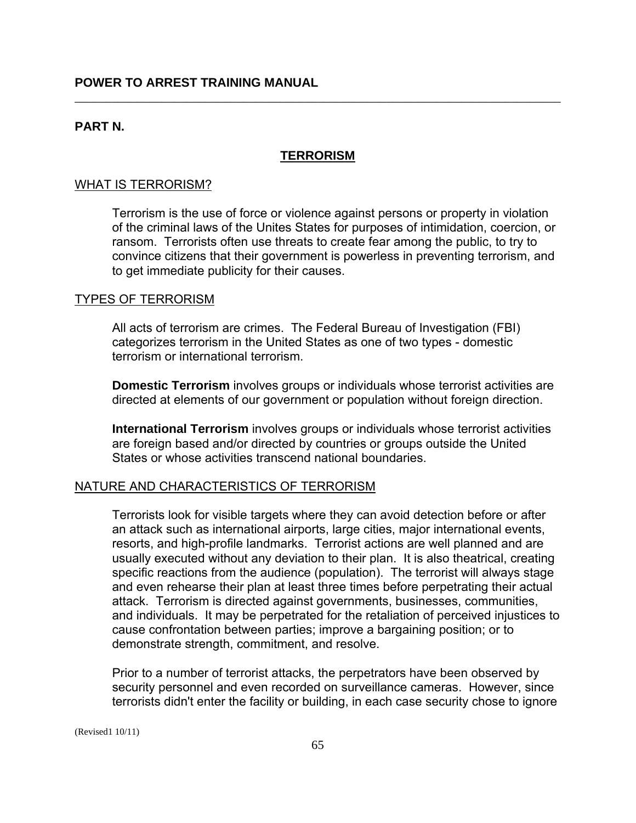### **PART N.**

#### **TERRORISM**

\_\_\_\_\_\_\_\_\_\_\_\_\_\_\_\_\_\_\_\_\_\_\_\_\_\_\_\_\_\_\_\_\_\_\_\_\_\_\_\_\_\_\_\_\_\_\_\_\_\_\_\_\_\_\_\_\_\_\_\_\_\_\_\_\_\_\_\_\_\_\_\_\_\_\_\_\_\_

#### WHAT IS TERRORISM?

Terrorism is the use of force or violence against persons or property in violation of the criminal laws of the Unites States for purposes of intimidation, coercion, or ransom. Terrorists often use threats to create fear among the public, to try to convince citizens that their government is powerless in preventing terrorism, and to get immediate publicity for their causes.

#### TYPES OF TERRORISM

All acts of terrorism are crimes. The Federal Bureau of Investigation (FBI) categorizes terrorism in the United States as one of two types - domestic terrorism or international terrorism.

 **Domestic Terrorism** involves groups or individuals whose terrorist activities are directed at elements of our government or population without foreign direction.

 **International Terrorism** involves groups or individuals whose terrorist activities are foreign based and/or directed by countries or groups outside the United States or whose activities transcend national boundaries.

#### NATURE AND CHARACTERISTICS OF TERRORISM

Terrorists look for visible targets where they can avoid detection before or after an attack such as international airports, large cities, major international events, resorts, and high-profile landmarks. Terrorist actions are well planned and are usually executed without any deviation to their plan. It is also theatrical, creating specific reactions from the audience (population). The terrorist will always stage and even rehearse their plan at least three times before perpetrating their actual attack. Terrorism is directed against governments, businesses, communities, and individuals. It may be perpetrated for the retaliation of perceived injustices to cause confrontation between parties; improve a bargaining position; or to demonstrate strength, commitment, and resolve.

Prior to a number of terrorist attacks, the perpetrators have been observed by security personnel and even recorded on surveillance cameras. However, since terrorists didn't enter the facility or building, in each case security chose to ignore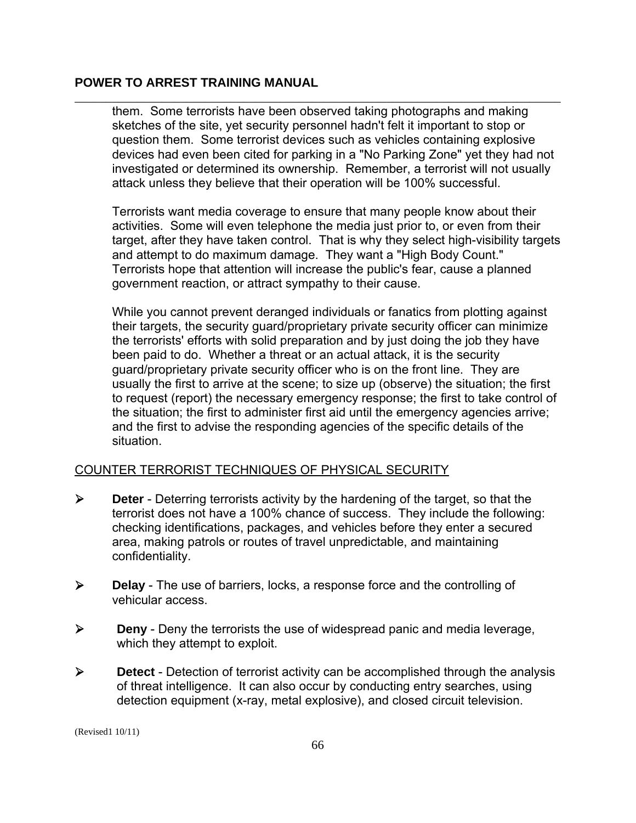them. Some terrorists have been observed taking photographs and making sketches of the site, yet security personnel hadn't felt it important to stop or question them. Some terrorist devices such as vehicles containing explosive devices had even been cited for parking in a "No Parking Zone" yet they had not investigated or determined its ownership. Remember, a terrorist will not usually attack unless they believe that their operation will be 100% successful.

\_\_\_\_\_\_\_\_\_\_\_\_\_\_\_\_\_\_\_\_\_\_\_\_\_\_\_\_\_\_\_\_\_\_\_\_\_\_\_\_\_\_\_\_\_\_\_\_\_\_\_\_\_\_\_\_\_\_\_\_\_\_\_\_\_\_\_\_\_\_\_\_\_\_\_\_\_\_

Terrorists want media coverage to ensure that many people know about their activities. Some will even telephone the media just prior to, or even from their target, after they have taken control. That is why they select high-visibility targets and attempt to do maximum damage. They want a "High Body Count." Terrorists hope that attention will increase the public's fear, cause a planned government reaction, or attract sympathy to their cause.

While you cannot prevent deranged individuals or fanatics from plotting against their targets, the security guard/proprietary private security officer can minimize the terrorists' efforts with solid preparation and by just doing the job they have been paid to do. Whether a threat or an actual attack, it is the security guard/proprietary private security officer who is on the front line. They are usually the first to arrive at the scene; to size up (observe) the situation; the first to request (report) the necessary emergency response; the first to take control of the situation; the first to administer first aid until the emergency agencies arrive; and the first to advise the responding agencies of the specific details of the situation.

### COUNTER TERRORIST TECHNIQUES OF PHYSICAL SECURITY

- ¾ **Deter** Deterring terrorists activity by the hardening of the target, so that the terrorist does not have a 100% chance of success. They include the following: checking identifications, packages, and vehicles before they enter a secured area, making patrols or routes of travel unpredictable, and maintaining confidentiality.
- ¾ **Delay** The use of barriers, locks, a response force and the controlling of vehicular access.
- ¾ **Deny** Deny the terrorists the use of widespread panic and media leverage, which they attempt to exploit.
- ¾ **Detect** Detection of terrorist activity can be accomplished through the analysis of threat intelligence. It can also occur by conducting entry searches, using detection equipment (x-ray, metal explosive), and closed circuit television.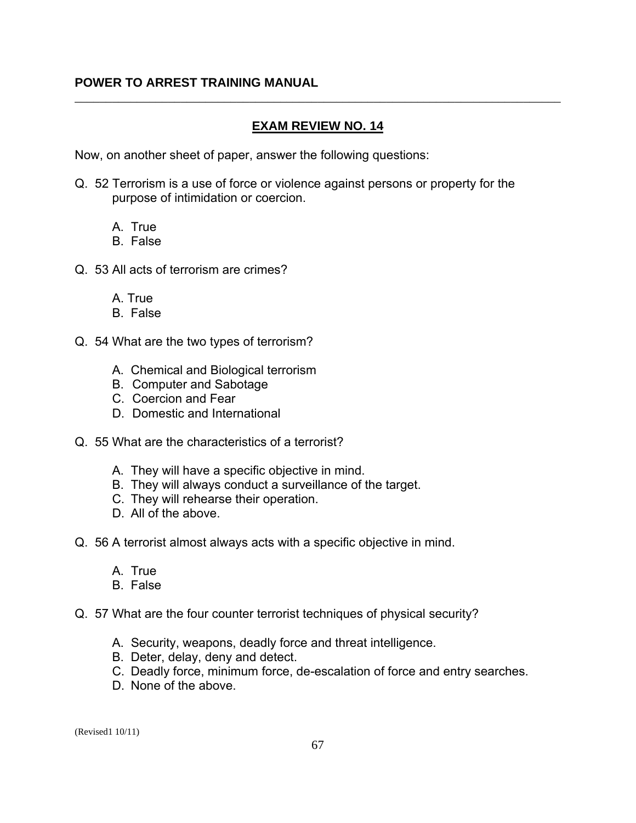### **EXAM REVIEW NO. 14**

\_\_\_\_\_\_\_\_\_\_\_\_\_\_\_\_\_\_\_\_\_\_\_\_\_\_\_\_\_\_\_\_\_\_\_\_\_\_\_\_\_\_\_\_\_\_\_\_\_\_\_\_\_\_\_\_\_\_\_\_\_\_\_\_\_\_\_\_\_\_\_\_\_\_\_\_\_\_

Now, on another sheet of paper, answer the following questions:

- Q. 52 Terrorism is a use of force or violence against persons or property for the purpose of intimidation or coercion.
	- A. True
	- B. False
- Q. 53 All acts of terrorism are crimes?
	- A. True
	- B. False
- Q. 54 What are the two types of terrorism?
	- A. Chemical and Biological terrorism
	- B. Computer and Sabotage
	- C. Coercion and Fear
	- D. Domestic and International
- Q. 55 What are the characteristics of a terrorist?
	- A. They will have a specific objective in mind.
	- B. They will always conduct a surveillance of the target.
	- C. They will rehearse their operation.
	- D. All of the above.
- Q. 56 A terrorist almost always acts with a specific objective in mind.
	- A. True
	- B. False
- Q. 57 What are the four counter terrorist techniques of physical security?
	- A. Security, weapons, deadly force and threat intelligence.
	- B. Deter, delay, deny and detect.
	- C. Deadly force, minimum force, de-escalation of force and entry searches.
	- D. None of the above.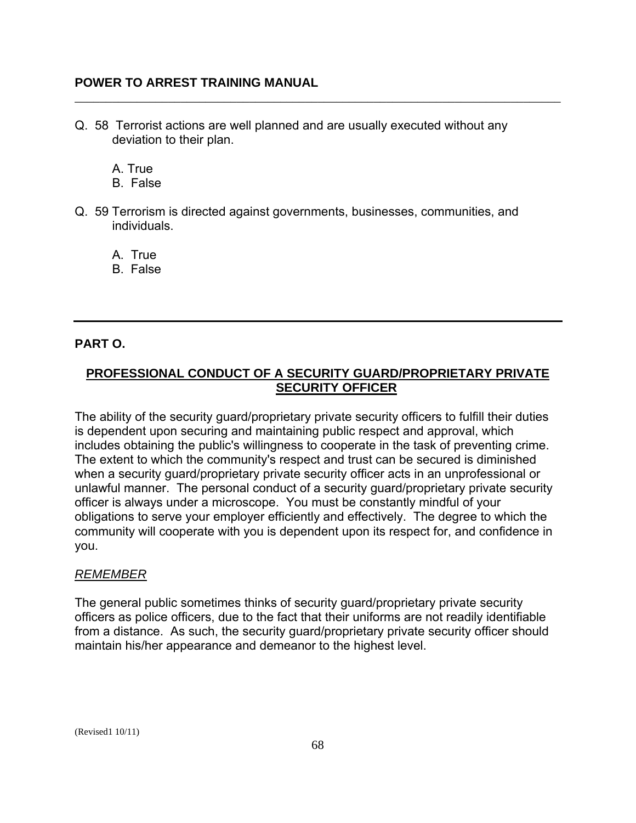Q. 58 Terrorist actions are well planned and are usually executed without any deviation to their plan.

\_\_\_\_\_\_\_\_\_\_\_\_\_\_\_\_\_\_\_\_\_\_\_\_\_\_\_\_\_\_\_\_\_\_\_\_\_\_\_\_\_\_\_\_\_\_\_\_\_\_\_\_\_\_\_\_\_\_\_\_\_\_\_\_\_\_\_\_\_\_\_\_\_\_\_\_\_\_

A. True

- B. False
- Q. 59 Terrorism is directed against governments, businesses, communities, and individuals.

A. True

B. False

# **PART O.**

# **PROFESSIONAL CONDUCT OF A SECURITY GUARD/PROPRIETARY PRIVATE SECURITY OFFICER**

The ability of the security guard/proprietary private security officers to fulfill their duties is dependent upon securing and maintaining public respect and approval, which includes obtaining the public's willingness to cooperate in the task of preventing crime. The extent to which the community's respect and trust can be secured is diminished when a security guard/proprietary private security officer acts in an unprofessional or unlawful manner. The personal conduct of a security guard/proprietary private security officer is always under a microscope. You must be constantly mindful of your obligations to serve your employer efficiently and effectively. The degree to which the community will cooperate with you is dependent upon its respect for, and confidence in you.

### *REMEMBER*

The general public sometimes thinks of security guard/proprietary private security officers as police officers, due to the fact that their uniforms are not readily identifiable from a distance. As such, the security guard/proprietary private security officer should maintain his/her appearance and demeanor to the highest level.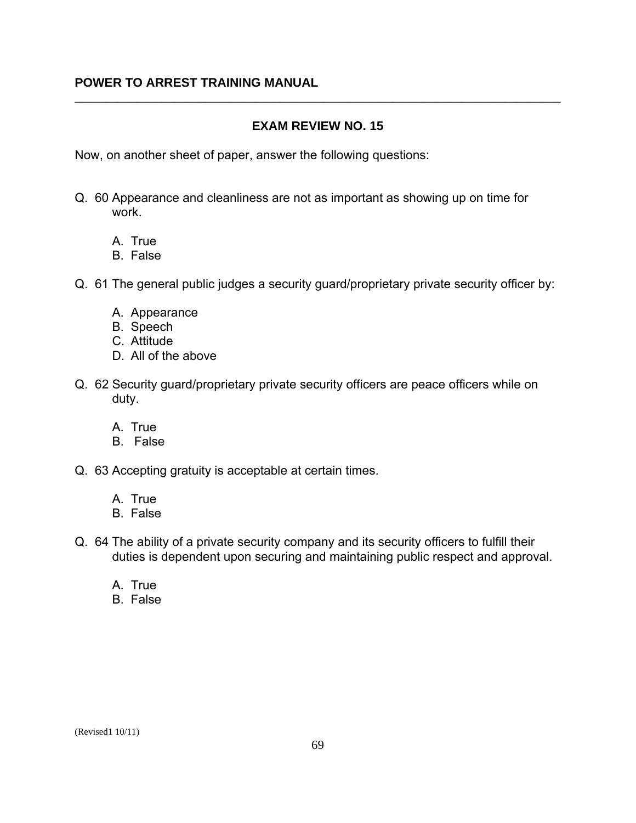### **EXAM REVIEW NO. 15**

\_\_\_\_\_\_\_\_\_\_\_\_\_\_\_\_\_\_\_\_\_\_\_\_\_\_\_\_\_\_\_\_\_\_\_\_\_\_\_\_\_\_\_\_\_\_\_\_\_\_\_\_\_\_\_\_\_\_\_\_\_\_\_\_\_\_\_\_\_\_\_\_\_\_\_\_\_\_

Now, on another sheet of paper, answer the following questions:

- Q. 60 Appearance and cleanliness are not as important as showing up on time for work.
	- A. True
	- B. False
- Q. 61 The general public judges a security guard/proprietary private security officer by:
	- A. Appearance
	- B. Speech
	- C. Attitude
	- D. All of the above
- Q. 62 Security guard/proprietary private security officers are peace officers while on duty.
	- A. True
	- B. False
- Q. 63 Accepting gratuity is acceptable at certain times.
	- A. True
	- B. False
- Q. 64 The ability of a private security company and its security officers to fulfill their duties is dependent upon securing and maintaining public respect and approval.
	- A. True
	- B. False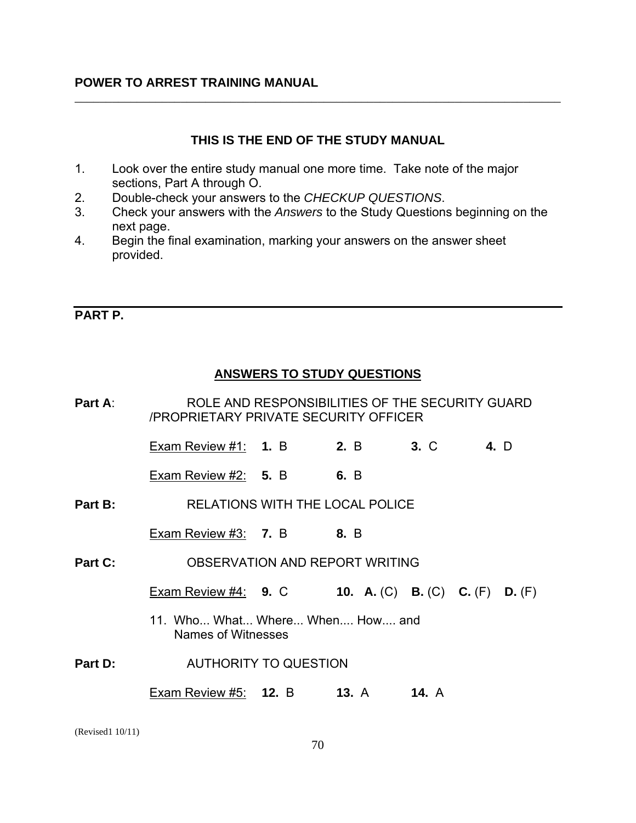### **THIS IS THE END OF THE STUDY MANUAL**

\_\_\_\_\_\_\_\_\_\_\_\_\_\_\_\_\_\_\_\_\_\_\_\_\_\_\_\_\_\_\_\_\_\_\_\_\_\_\_\_\_\_\_\_\_\_\_\_\_\_\_\_\_\_\_\_\_\_\_\_\_\_\_\_\_\_\_\_\_\_\_\_\_\_\_\_\_\_

- 1. Look over the entire study manual one more time. Take note of the major sections, Part A through O.
- 2. Double-check your answers to the *CHECKUP QUESTIONS*.
- 3. Check your answers with the *Answers* to the Study Questions beginning on the next page.
- 4. Begin the final examination, marking your answers on the answer sheet provided.

### **PART P.**

# **ANSWERS TO STUDY QUESTIONS**

| Part A: |                                                              | ROLE AND RESPONSIBILITIES OF THE SECURITY GUARD<br>/PROPRIETARY PRIVATE SECURITY OFFICER |  |                                        |      |  |
|---------|--------------------------------------------------------------|------------------------------------------------------------------------------------------|--|----------------------------------------|------|--|
|         | <b>Exam Review #1: 1. B 2. B</b>                             |                                                                                          |  | $3. \, C$                              | 4. D |  |
|         | Exam Review $#2: 5. B$ 6. B                                  |                                                                                          |  |                                        |      |  |
| Part B: | RELATIONS WITH THE LOCAL POLICE                              |                                                                                          |  |                                        |      |  |
|         | Exam Review #3: $7. B$ 8. B                                  |                                                                                          |  |                                        |      |  |
| Part C: | OBSERVATION AND REPORT WRITING                               |                                                                                          |  |                                        |      |  |
|         | Exam Review #4: 9. C                                         |                                                                                          |  | <b>10.</b> A. (C) B. (C) C. (F) D. (F) |      |  |
|         | 11. Who What Where When How and<br><b>Names of Witnesses</b> |                                                                                          |  |                                        |      |  |
| Part D: | <b>AUTHORITY TO QUESTION</b>                                 |                                                                                          |  |                                        |      |  |
|         | Exam Review #5: 12. B 13. A 14. A                            |                                                                                          |  |                                        |      |  |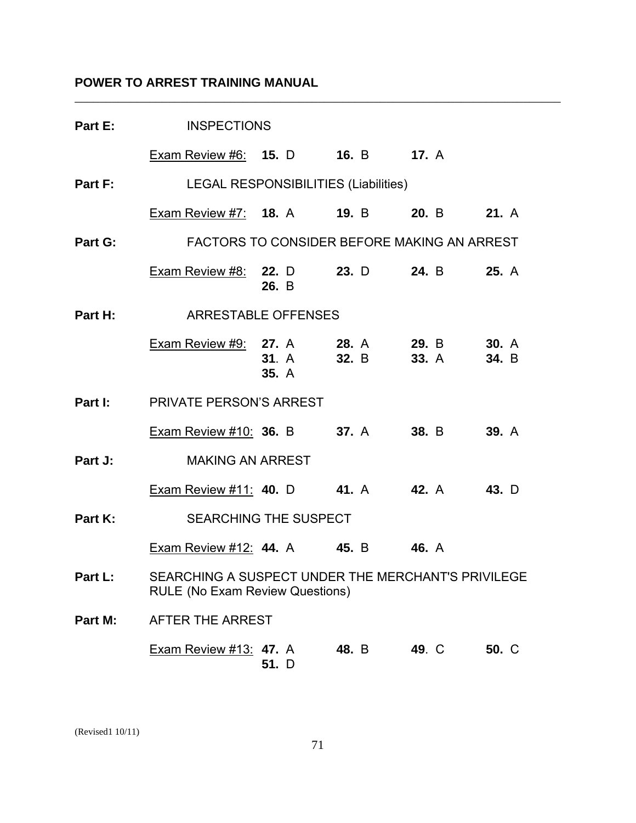|         | <b>Part E:</b> INSPECTIONS                                                                   |              |       |                         |       |
|---------|----------------------------------------------------------------------------------------------|--------------|-------|-------------------------|-------|
|         | Exam Review #6: 15. D 16. B 17. A                                                            |              |       |                         |       |
|         | <b>Part F:</b> LEGAL RESPONSIBILITIES (Liabilities)                                          |              |       |                         |       |
|         | <b>Exam Review #7: 18. A 19. B 20. B 21. A</b>                                               |              |       |                         |       |
|         | <b>Part G:</b> FACTORS TO CONSIDER BEFORE MAKING AN ARREST                                   |              |       |                         |       |
|         | <b>Exam Review #8: 22.</b> D 23. D 24. B 25. A                                               | 26. B        |       |                         |       |
| Part H: | ARRESTABLE OFFENSES                                                                          |              |       |                         |       |
|         | <b>Exam Review #9: 27.</b> A 28. A 29. B 30. A                                               | <b>35.</b> A |       | 31. A 32. B 33. A 34. B |       |
|         | <b>Part I:</b> PRIVATE PERSON'S ARREST                                                       |              |       |                         |       |
|         | Exam Review #10: 36. B 37. A 38. B 39. A                                                     |              |       |                         |       |
| Part J: | MAKING AN ARREST                                                                             |              |       |                         |       |
|         | Exam Review #11: 40. D 41. A 42. A 43. D                                                     |              |       |                         |       |
| Part K: | SEARCHING THE SUSPECT                                                                        |              |       |                         |       |
|         | Exam Review #12: 44. A 45. B 46. A                                                           |              |       |                         |       |
| Part L: | SEARCHING A SUSPECT UNDER THE MERCHANT'S PRIVILEGE<br><b>RULE (No Exam Review Questions)</b> |              |       |                         |       |
| Part M: | AFTER THE ARREST                                                                             |              |       |                         |       |
|         | <b>Exam Review #13: 47. A</b>                                                                | 51. D        | 48. B | 49. C                   | 50. C |

\_\_\_\_\_\_\_\_\_\_\_\_\_\_\_\_\_\_\_\_\_\_\_\_\_\_\_\_\_\_\_\_\_\_\_\_\_\_\_\_\_\_\_\_\_\_\_\_\_\_\_\_\_\_\_\_\_\_\_\_\_\_\_\_\_\_\_\_\_\_\_\_\_\_\_\_\_\_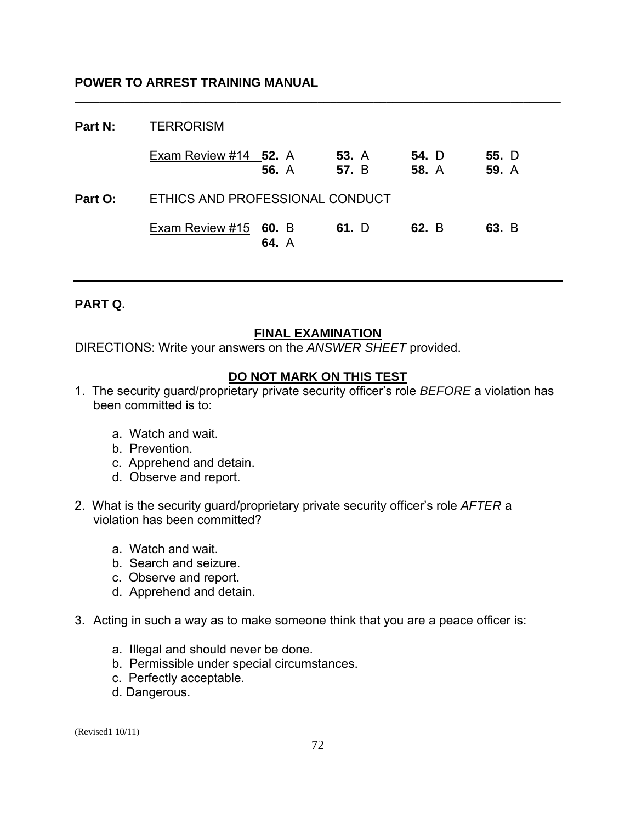| Part N: | <b>TERRORISM</b>                |              |                       |                       |                |
|---------|---------------------------------|--------------|-----------------------|-----------------------|----------------|
|         | Exam Review #14 52. A           | <b>56.</b> A | <b>53.</b> A<br>57. B | 54. D<br><b>58. A</b> | 55. D<br>59. A |
| Part O: | ETHICS AND PROFESSIONAL CONDUCT |              |                       |                       |                |
|         | Exam Review $#15$ 60. B         | 64. A        | 61. D                 | 62. B                 | 63. B          |

\_\_\_\_\_\_\_\_\_\_\_\_\_\_\_\_\_\_\_\_\_\_\_\_\_\_\_\_\_\_\_\_\_\_\_\_\_\_\_\_\_\_\_\_\_\_\_\_\_\_\_\_\_\_\_\_\_\_\_\_\_\_\_\_\_\_\_\_\_\_\_\_\_\_\_\_\_\_

### **PART Q.**

### **FINAL EXAMINATION**

DIRECTIONS: Write your answers on the *ANSWER SHEET* provided.

### **DO NOT MARK ON THIS TEST**

- 1. The security guard/proprietary private security officer's role *BEFORE* a violation has been committed is to:
	- a. Watch and wait.
	- b. Prevention.
	- c. Apprehend and detain.
	- d. Observe and report.
- 2. What is the security guard/proprietary private security officer's role *AFTER* a violation has been committed?
	- a. Watch and wait.
	- b. Search and seizure.
	- c. Observe and report.
	- d. Apprehend and detain.
- 3. Acting in such a way as to make someone think that you are a peace officer is:
	- a. Illegal and should never be done.
	- b. Permissible under special circumstances.
	- c. Perfectly acceptable.
	- d. Dangerous.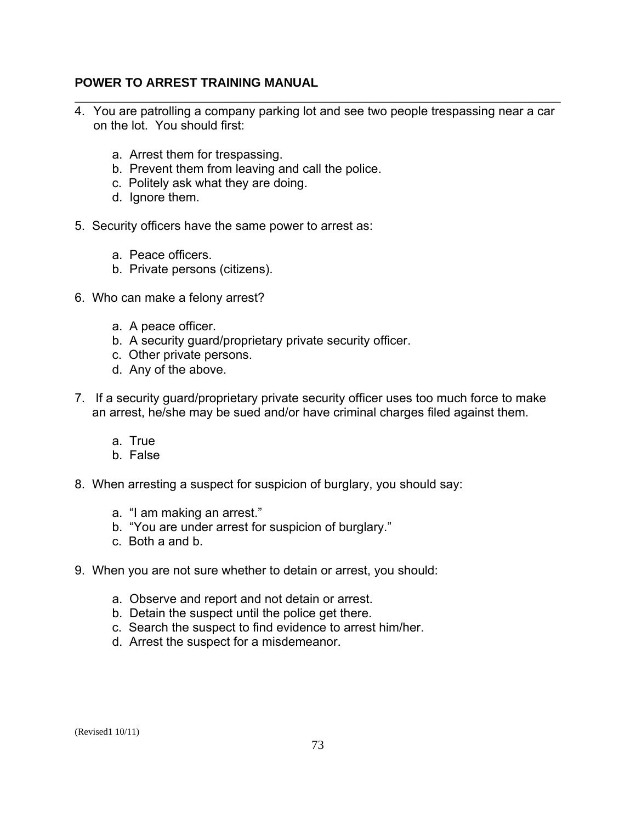4. You are patrolling a company parking lot and see two people trespassing near a car on the lot. You should first:

\_\_\_\_\_\_\_\_\_\_\_\_\_\_\_\_\_\_\_\_\_\_\_\_\_\_\_\_\_\_\_\_\_\_\_\_\_\_\_\_\_\_\_\_\_\_\_\_\_\_\_\_\_\_\_\_\_\_\_\_\_\_\_\_\_\_\_\_\_\_\_\_\_\_\_\_\_\_

- a. Arrest them for trespassing.
- b. Prevent them from leaving and call the police.
- c. Politely ask what they are doing.
- d. Ignore them.
- 5. Security officers have the same power to arrest as:
	- a. Peace officers.
	- b. Private persons (citizens).
- 6. Who can make a felony arrest?
	- a. A peace officer.
	- b. A security guard/proprietary private security officer.
	- c. Other private persons.
	- d. Any of the above.
- 7. If a security guard/proprietary private security officer uses too much force to make an arrest, he/she may be sued and/or have criminal charges filed against them.
	- a. True
	- b. False
- 8. When arresting a suspect for suspicion of burglary, you should say:
	- a. "I am making an arrest."
	- b. "You are under arrest for suspicion of burglary."
	- c. Both a and b.
- 9. When you are not sure whether to detain or arrest, you should:
	- a. Observe and report and not detain or arrest.
	- b. Detain the suspect until the police get there.
	- c. Search the suspect to find evidence to arrest him/her.
	- d. Arrest the suspect for a misdemeanor.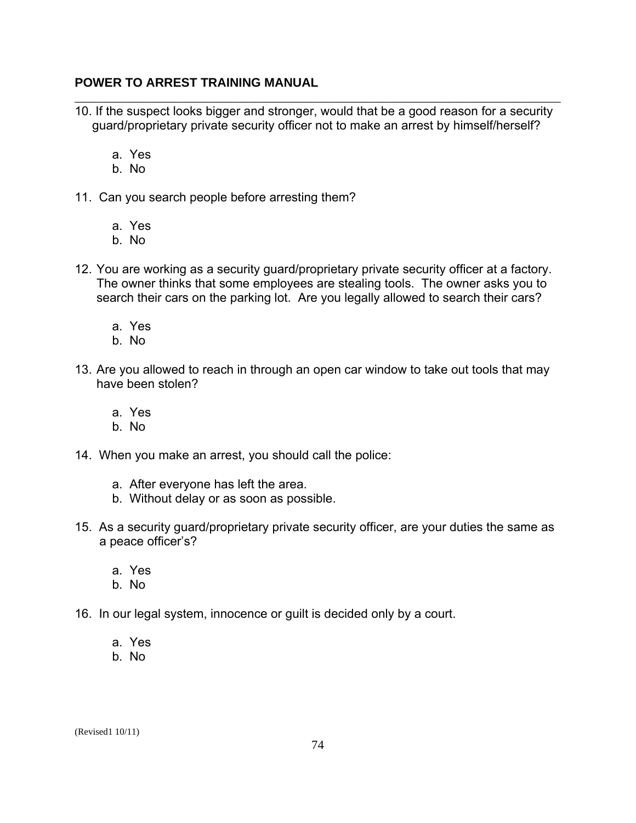- \_\_\_\_\_\_\_\_\_\_\_\_\_\_\_\_\_\_\_\_\_\_\_\_\_\_\_\_\_\_\_\_\_\_\_\_\_\_\_\_\_\_\_\_\_\_\_\_\_\_\_\_\_\_\_\_\_\_\_\_\_\_\_\_\_\_\_\_\_\_\_\_\_\_\_\_\_\_ 10. If the suspect looks bigger and stronger, would that be a good reason for a security guard/proprietary private security officer not to make an arrest by himself/herself?
	- a. Yes
	- b. No
- 11. Can you search people before arresting them?
	- a. Yes
	- b. No
- 12. You are working as a security guard/proprietary private security officer at a factory. The owner thinks that some employees are stealing tools. The owner asks you to search their cars on the parking lot. Are you legally allowed to search their cars?
	- a. Yes
	- b. No
- 13. Are you allowed to reach in through an open car window to take out tools that may have been stolen?
	- a. Yes
	- b. No
- 14. When you make an arrest, you should call the police:
	- a. After everyone has left the area.
	- b. Without delay or as soon as possible.
- 15. As a security guard/proprietary private security officer, are your duties the same as a peace officer's?
	- a. Yes
	- b. No
- 16. In our legal system, innocence or guilt is decided only by a court.
	- a. Yes
	- b. No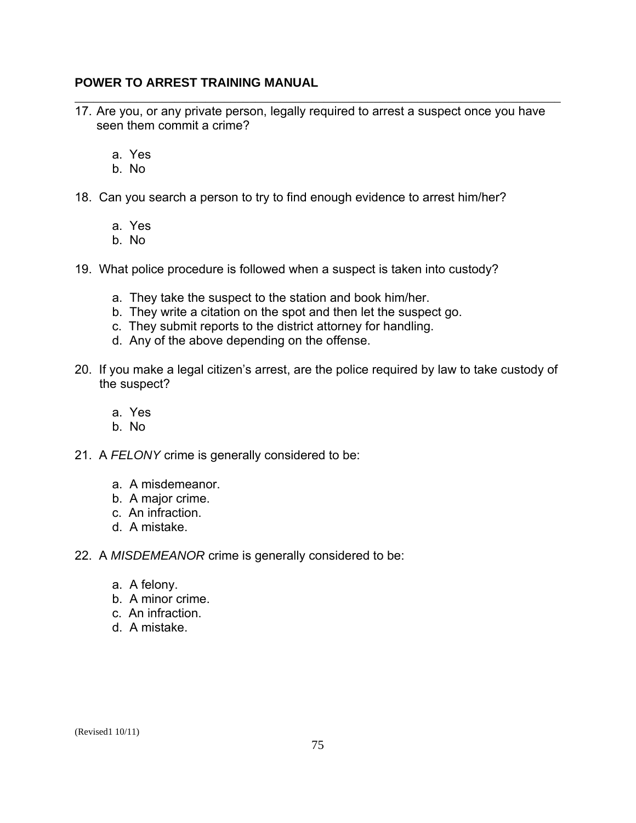17. Are you, or any private person, legally required to arrest a suspect once you have seen them commit a crime?

\_\_\_\_\_\_\_\_\_\_\_\_\_\_\_\_\_\_\_\_\_\_\_\_\_\_\_\_\_\_\_\_\_\_\_\_\_\_\_\_\_\_\_\_\_\_\_\_\_\_\_\_\_\_\_\_\_\_\_\_\_\_\_\_\_\_\_\_\_\_\_\_\_\_\_\_\_\_

- a. Yes
- b. No
- 18. Can you search a person to try to find enough evidence to arrest him/her?
	- a. Yes
	- b. No
- 19. What police procedure is followed when a suspect is taken into custody?
	- a. They take the suspect to the station and book him/her.
	- b. They write a citation on the spot and then let the suspect go.
	- c. They submit reports to the district attorney for handling.
	- d. Any of the above depending on the offense.
- 20. If you make a legal citizen's arrest, are the police required by law to take custody of the suspect?
	- a. Yes
	- b. No
- 21. A *FELONY* crime is generally considered to be:
	- a. A misdemeanor.
	- b. A major crime.
	- c. An infraction.
	- d. A mistake.
- 22. A *MISDEMEANOR* crime is generally considered to be:
	- a. A felony.
	- b. A minor crime.
	- c. An infraction.
	- d. A mistake.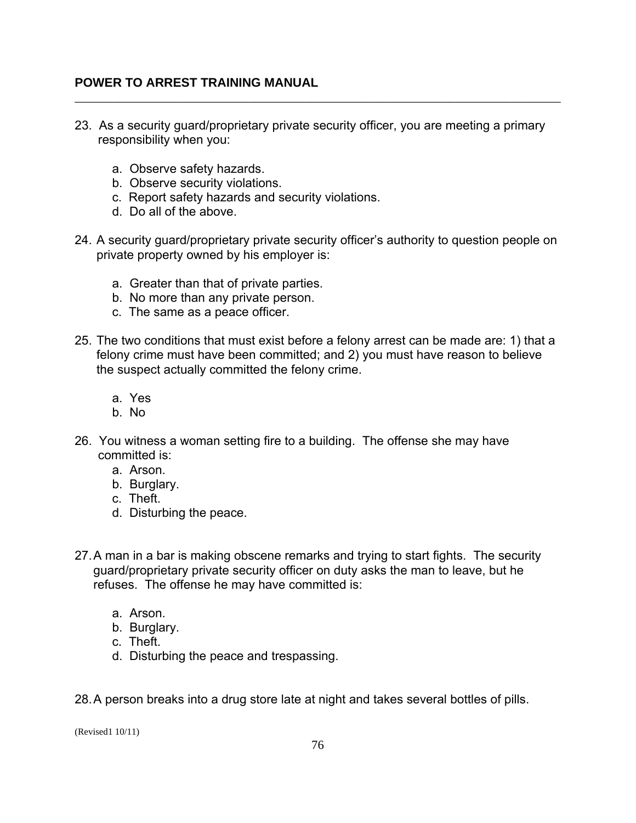23. As a security guard/proprietary private security officer, you are meeting a primary responsibility when you:

\_\_\_\_\_\_\_\_\_\_\_\_\_\_\_\_\_\_\_\_\_\_\_\_\_\_\_\_\_\_\_\_\_\_\_\_\_\_\_\_\_\_\_\_\_\_\_\_\_\_\_\_\_\_\_\_\_\_\_\_\_\_\_\_\_\_\_\_\_\_\_\_\_\_\_\_\_\_

- a. Observe safety hazards.
- b. Observe security violations.
- c. Report safety hazards and security violations.
- d. Do all of the above.
- 24. A security guard/proprietary private security officer's authority to question people on private property owned by his employer is:
	- a. Greater than that of private parties.
	- b. No more than any private person.
	- c. The same as a peace officer.
- 25. The two conditions that must exist before a felony arrest can be made are: 1) that a felony crime must have been committed; and 2) you must have reason to believe the suspect actually committed the felony crime.
	- a. Yes
	- b. No
- 26. You witness a woman setting fire to a building. The offense she may have committed is:
	- a. Arson.
	- b. Burglary.
	- c. Theft.
	- d. Disturbing the peace.
- 27.A man in a bar is making obscene remarks and trying to start fights. The security guard/proprietary private security officer on duty asks the man to leave, but he refuses. The offense he may have committed is:
	- a. Arson.
	- b. Burglary.
	- c. Theft.
	- d. Disturbing the peace and trespassing.

28.A person breaks into a drug store late at night and takes several bottles of pills.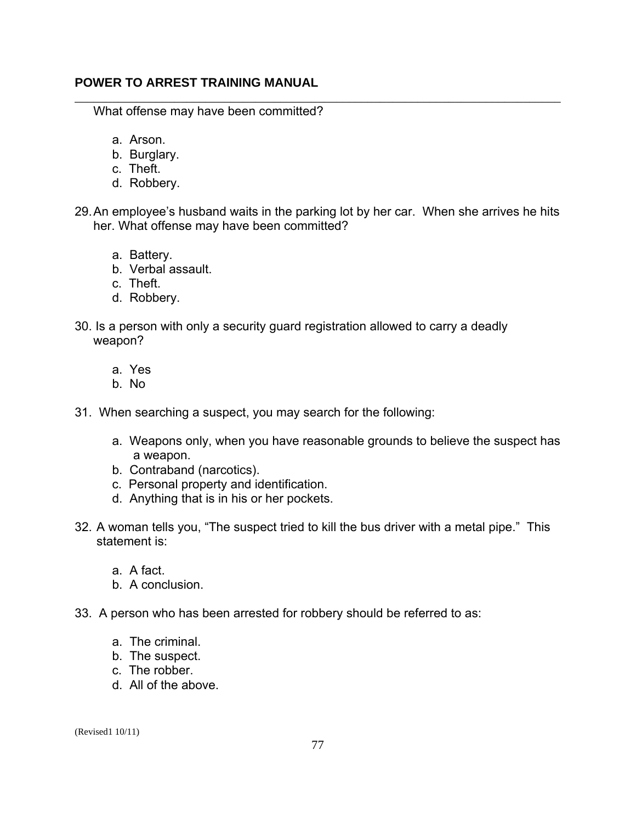What offense may have been committed?

- a. Arson.
- b. Burglary.
- c. Theft.
- d. Robbery.
- 29.An employee's husband waits in the parking lot by her car. When she arrives he hits her. What offense may have been committed?

\_\_\_\_\_\_\_\_\_\_\_\_\_\_\_\_\_\_\_\_\_\_\_\_\_\_\_\_\_\_\_\_\_\_\_\_\_\_\_\_\_\_\_\_\_\_\_\_\_\_\_\_\_\_\_\_\_\_\_\_\_\_\_\_\_\_\_\_\_\_\_\_\_\_\_\_\_\_

- a. Battery.
- b. Verbal assault.
- c. Theft.
- d. Robbery.
- 30. Is a person with only a security guard registration allowed to carry a deadly weapon?
	- a. Yes
	- b. No
- 31. When searching a suspect, you may search for the following:
	- a. Weapons only, when you have reasonable grounds to believe the suspect has a weapon.
	- b. Contraband (narcotics).
	- c. Personal property and identification.
	- d. Anything that is in his or her pockets.
- 32. A woman tells you, "The suspect tried to kill the bus driver with a metal pipe." This statement is:
	- a. A fact.
	- b. A conclusion.
- 33. A person who has been arrested for robbery should be referred to as:
	- a. The criminal.
	- b. The suspect.
	- c. The robber.
	- d. All of the above.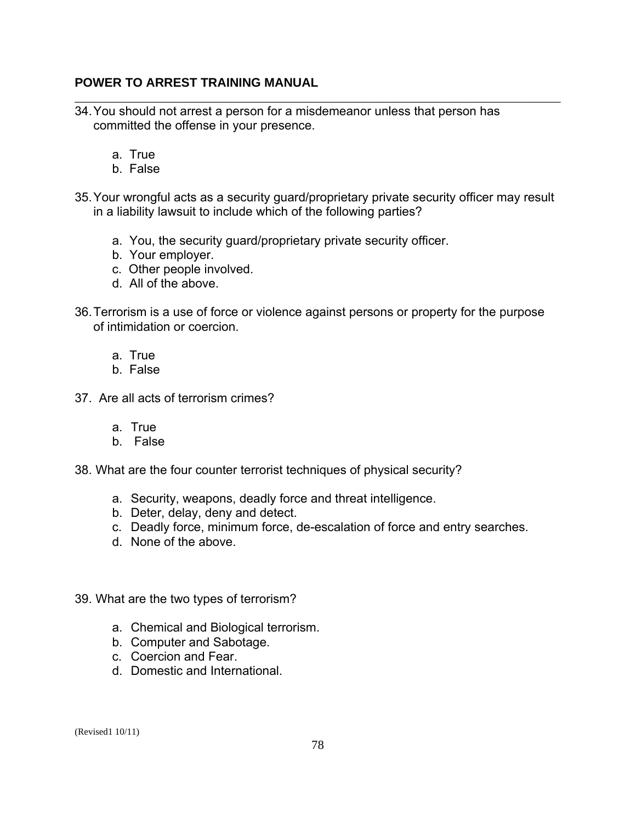- 34.You should not arrest a person for a misdemeanor unless that person has committed the offense in your presence.
	- a. True
	- b. False
- 35.Your wrongful acts as a security guard/proprietary private security officer may result in a liability lawsuit to include which of the following parties?

\_\_\_\_\_\_\_\_\_\_\_\_\_\_\_\_\_\_\_\_\_\_\_\_\_\_\_\_\_\_\_\_\_\_\_\_\_\_\_\_\_\_\_\_\_\_\_\_\_\_\_\_\_\_\_\_\_\_\_\_\_\_\_\_\_\_\_\_\_\_\_\_\_\_\_\_\_\_

- a. You, the security guard/proprietary private security officer.
- b. Your employer.
- c. Other people involved.
- d. All of the above.
- 36.Terrorism is a use of force or violence against persons or property for the purpose of intimidation or coercion.
	- a. True
	- b. False
- 37. Are all acts of terrorism crimes?
	- a. True
	- b. False
- 38. What are the four counter terrorist techniques of physical security?
	- a. Security, weapons, deadly force and threat intelligence.
	- b. Deter, delay, deny and detect.
	- c. Deadly force, minimum force, de-escalation of force and entry searches.
	- d. None of the above.
- 39. What are the two types of terrorism?
	- a. Chemical and Biological terrorism.
	- b. Computer and Sabotage.
	- c. Coercion and Fear.
	- d. Domestic and International.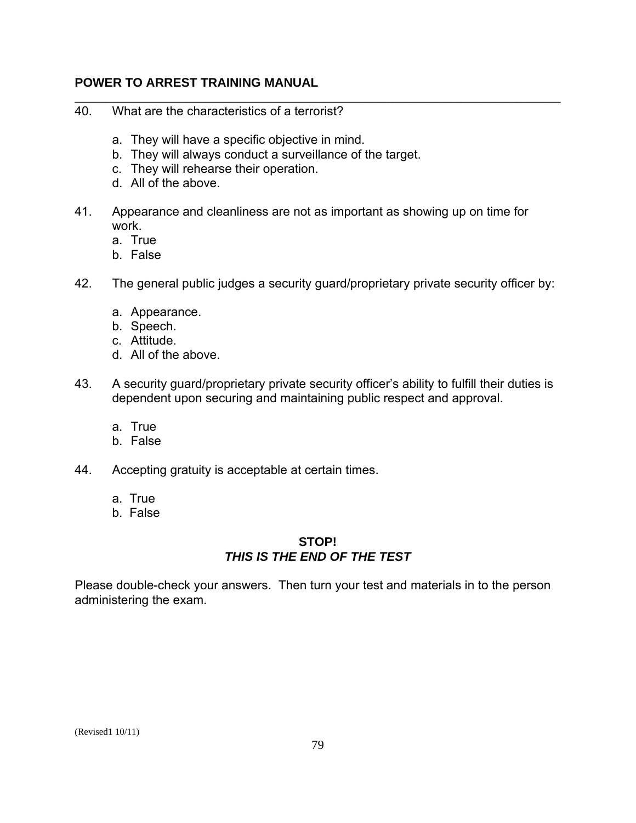- \_\_\_\_\_\_\_\_\_\_\_\_\_\_\_\_\_\_\_\_\_\_\_\_\_\_\_\_\_\_\_\_\_\_\_\_\_\_\_\_\_\_\_\_\_\_\_\_\_\_\_\_\_\_\_\_\_\_\_\_\_\_\_\_\_\_\_\_\_\_\_\_\_\_\_\_\_\_ 40. What are the characteristics of a terrorist?
	- a. They will have a specific objective in mind.
	- b. They will always conduct a surveillance of the target.
	- c. They will rehearse their operation.
	- d. All of the above.
- 41. Appearance and cleanliness are not as important as showing up on time for work.
	- a. True
	- b. False
- 42. The general public judges a security guard/proprietary private security officer by:
	- a. Appearance.
	- b. Speech.
	- c. Attitude.
	- d. All of the above.
- 43. A security guard/proprietary private security officer's ability to fulfill their duties is dependent upon securing and maintaining public respect and approval.
	- a. True
	- b. False
- 44. Accepting gratuity is acceptable at certain times.
	- a. True
	- b. False

#### **STOP!**  *THIS IS THE END OF THE TEST*

Please double-check your answers. Then turn your test and materials in to the person administering the exam.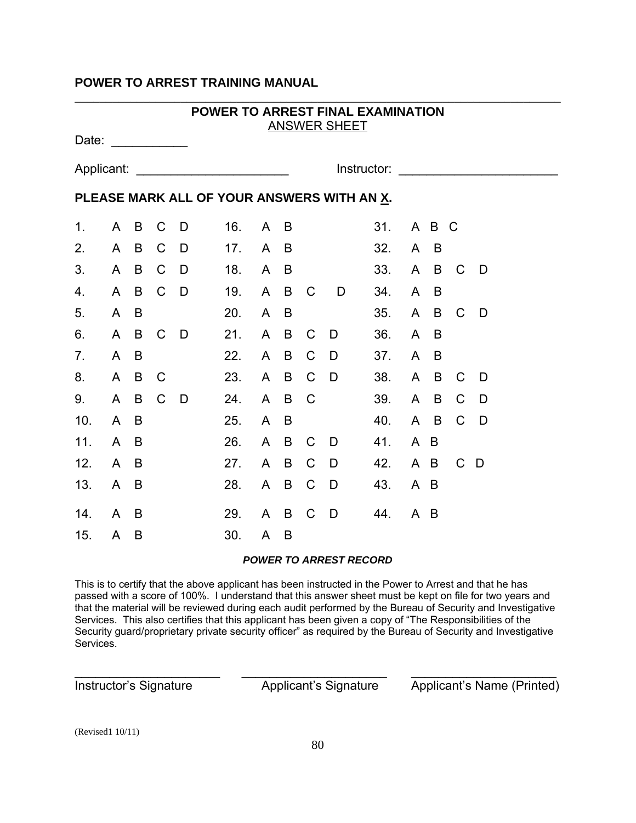|                | POWER TO ARREST FINAL EXAMINATION<br><b>ANSWER SHEET</b><br>Date: |                |               |       |     |                                     |                |               |                |     |              |       |                |              |
|----------------|-------------------------------------------------------------------|----------------|---------------|-------|-----|-------------------------------------|----------------|---------------|----------------|-----|--------------|-------|----------------|--------------|
|                |                                                                   |                |               |       |     |                                     |                |               |                |     |              |       |                |              |
|                |                                                                   |                |               |       |     | Instructor: <u>________________</u> |                |               |                |     |              |       |                |              |
|                | PLEASE MARK ALL OF YOUR ANSWERS WITH AN X.                        |                |               |       |     |                                     |                |               |                |     |              |       |                |              |
| 1.             |                                                                   | $A$ B          | C             | D     | 16. |                                     | A B            |               |                | 31. |              | A B C |                |              |
| 2.             |                                                                   | A B            | $\mathsf{C}$  | D     | 17. |                                     | A B            |               |                | 32. |              | $A$ B |                |              |
| 3.             | $\mathsf{A}$                                                      | B              | $C$ $D$       |       | 18. |                                     | A B            |               |                | 33. | $\mathsf{A}$ | B     | C <sub>c</sub> | - D          |
| 4.             | $\mathsf{A}$                                                      |                | B C D         |       | 19. |                                     |                | A B C         | D              | 34. | $\mathsf{A}$ | B     |                |              |
| 5.             | $\mathsf{A}$                                                      | B              |               |       | 20. | $\mathsf{A}$                        | B              |               |                | 35. |              | A B   | - C            | - D          |
| 6.             | $\mathsf{A}$                                                      | B              |               | $C$ D | 21. | $\mathsf{A}$                        | $\overline{B}$ | C             | D              | 36. | $\mathsf{A}$ | B     |                |              |
| 7 <sub>1</sub> | $\mathsf{A}$                                                      | B              |               |       | 22. |                                     | $A$ B          | $\mathsf{C}$  | D              | 37. | $\mathsf{A}$ | B     |                |              |
| 8.             |                                                                   | A B            | C             |       | 23. |                                     | A B            | $\mathsf{C}$  | D <sub>D</sub> | 38. |              | A B   | C              | - D          |
| 9.             | $\mathsf{A}$                                                      | B              | $\mathcal{C}$ | D-    | 24. |                                     | A B            | $\mathcal{C}$ |                | 39. | $\mathsf{A}$ | B     | $\mathsf{C}$   | <sup>D</sup> |
| 10.            | A B                                                               |                |               |       | 25. | $\mathsf{A}$                        | B              |               |                | 40. |              | A B   | $\mathcal{C}$  | <sup>D</sup> |
| 11.            | $\mathsf{A}$                                                      | B              |               |       | 26. |                                     | A B            | $\mathsf{C}$  | D.             | 41. | A B          |       |                |              |
| 12.            | $\mathsf{A}$                                                      | B              |               |       | 27. | $\mathsf{A}$                        | B              | $\mathsf{C}$  | D.             | 42. |              | A B   | $\mathbf C$    | - D          |
| 13.            | $\mathsf{A}$                                                      | $\overline{B}$ |               |       | 28. |                                     | A B            | $\mathsf{C}$  | D              | 43. | A B          |       |                |              |
| 14.            | $\mathsf{A}$                                                      | B              |               |       | 29. |                                     | $A$ B          | $\mathsf{C}$  | D              | 44. | $A$ B        |       |                |              |
| 15.            | A                                                                 | B              |               |       | 30. | $\mathsf{A}$                        | B              |               |                |     |              |       |                |              |

#### *POWER TO ARREST RECORD*

This is to certify that the above applicant has been instructed in the Power to Arrest and that he has passed with a score of 100%. I understand that this answer sheet must be kept on file for two years and that the material will be reviewed during each audit performed by the Bureau of Security and Investigative Services. This also certifies that this applicant has been given a copy of "The Responsibilities of the Security guard/proprietary private security officer" as required by the Bureau of Security and Investigative Services.

\_\_\_\_\_\_\_\_\_\_\_\_\_\_\_\_\_\_\_\_\_ \_\_\_\_\_\_\_\_\_\_\_\_\_\_\_\_\_\_\_\_\_ \_\_\_\_\_\_\_\_\_\_\_\_\_\_\_\_\_\_\_\_\_

Instructor's Signature Applicant's Signature Applicant's Name (Printed)